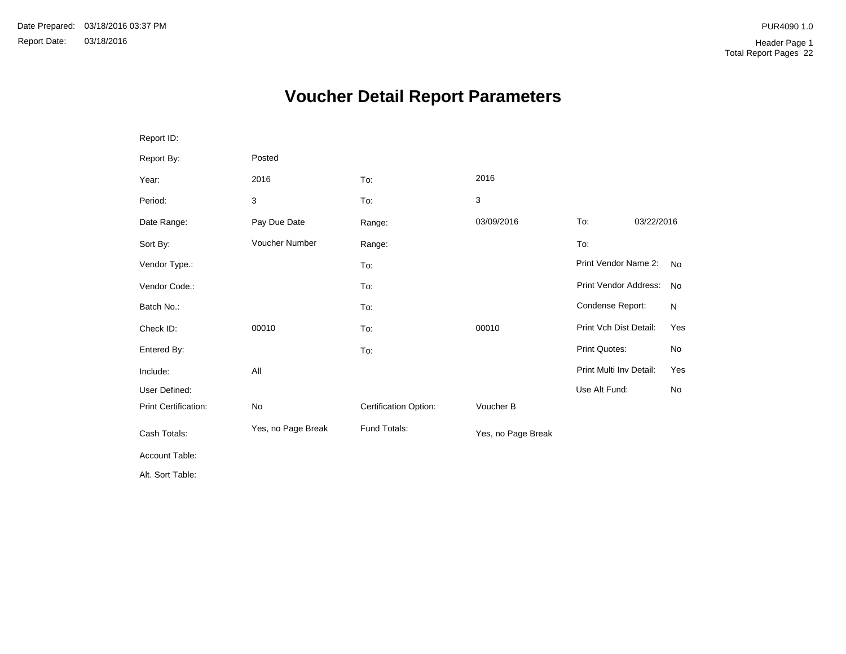# **Voucher Detail Report Parameters**

| Report ID:           |                    |                       |                    |                         |            |           |
|----------------------|--------------------|-----------------------|--------------------|-------------------------|------------|-----------|
| Report By:           | Posted             |                       |                    |                         |            |           |
| Year:                | 2016               | To:                   | 2016               |                         |            |           |
| Period:              | 3                  | To:                   | 3                  |                         |            |           |
| Date Range:          | Pay Due Date       | Range:                | 03/09/2016         | To:                     | 03/22/2016 |           |
| Sort By:             | Voucher Number     | Range:                |                    | To:                     |            |           |
| Vendor Type.:        |                    | To:                   |                    | Print Vendor Name 2:    |            | <b>No</b> |
| Vendor Code.:        |                    | To:                   |                    | Print Vendor Address:   |            | <b>No</b> |
| Batch No.:           |                    | To:                   |                    | Condense Report:        |            | N         |
| Check ID:            | 00010              | To:                   | 00010              | Print Vch Dist Detail:  |            | Yes       |
| Entered By:          |                    | To:                   |                    | Print Quotes:           |            | No        |
| Include:             | All                |                       |                    | Print Multi Inv Detail: |            | Yes       |
| User Defined:        |                    |                       |                    | Use Alt Fund:           |            | <b>No</b> |
| Print Certification: | No                 | Certification Option: | Voucher B          |                         |            |           |
| Cash Totals:         | Yes, no Page Break | Fund Totals:          | Yes, no Page Break |                         |            |           |
| Account Table:       |                    |                       |                    |                         |            |           |
| Alt. Sort Table:     |                    |                       |                    |                         |            |           |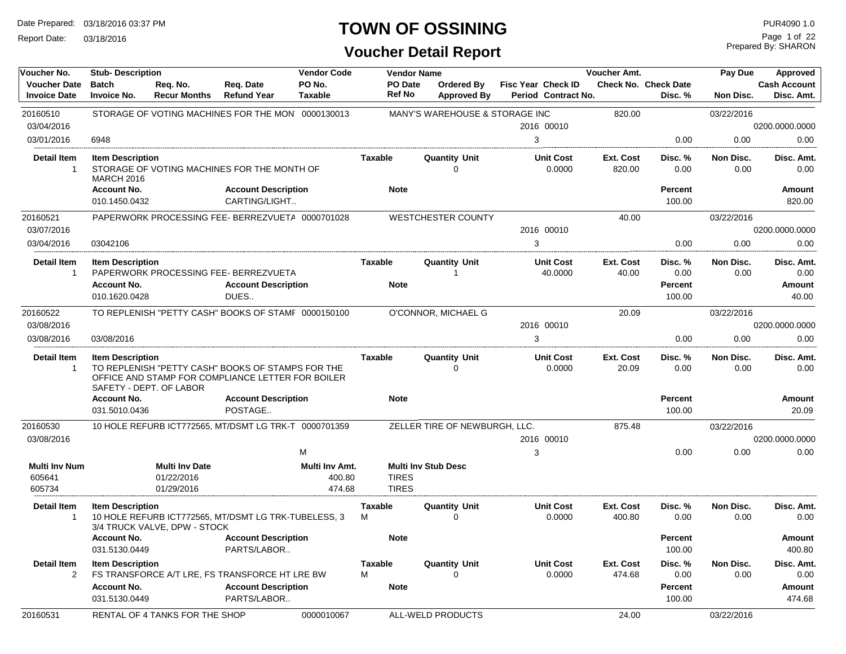Report Date: 03/18/2016

#### **TOWN OF OSSINING**

| Voucher No.                                | <b>Stub-Description</b>                            |                                                   |                                                                                                        | <b>Vendor Code</b>                 | <b>Vendor Name</b>           |                                         |                                           | Voucher Amt.        |                                        | Pay Due           | Approved                          |
|--------------------------------------------|----------------------------------------------------|---------------------------------------------------|--------------------------------------------------------------------------------------------------------|------------------------------------|------------------------------|-----------------------------------------|-------------------------------------------|---------------------|----------------------------------------|-------------------|-----------------------------------|
| <b>Voucher Date</b><br><b>Invoice Date</b> | <b>Batch</b><br><b>Invoice No.</b>                 | Req. No.<br><b>Recur Months</b>                   | Req. Date<br><b>Refund Year</b>                                                                        | PO No.<br><b>Taxable</b>           | PO Date<br><b>Ref No</b>     | <b>Ordered By</b><br><b>Approved By</b> | Fisc Year Check ID<br>Period Contract No. |                     | <b>Check No. Check Date</b><br>Disc. % | <b>Non Disc.</b>  | <b>Cash Account</b><br>Disc. Amt. |
| 20160510                                   |                                                    |                                                   | STORAGE OF VOTING MACHINES FOR THE MON' 0000130013                                                     |                                    |                              | MANY'S WAREHOUSE & STORAGE INC          |                                           | 820.00              |                                        | 03/22/2016        |                                   |
| 03/04/2016                                 |                                                    |                                                   |                                                                                                        |                                    |                              |                                         | 2016 00010                                |                     |                                        |                   | 0200.0000.0000                    |
| 03/01/2016                                 | 6948                                               |                                                   |                                                                                                        |                                    |                              |                                         | 3                                         |                     | 0.00                                   | 0.00              | 0.00                              |
| <b>Detail Item</b><br>$\overline{1}$       | <b>Item Description</b><br><b>MARCH 2016</b>       |                                                   | STORAGE OF VOTING MACHINES FOR THE MONTH OF                                                            |                                    | Taxable                      | <b>Quantity Unit</b><br>$\Omega$        | <b>Unit Cost</b><br>0.0000                | Ext. Cost<br>820.00 | Disc. %<br>0.00                        | Non Disc.<br>0.00 | Disc. Amt.<br>0.00                |
|                                            | <b>Account No.</b><br>010.1450.0432                |                                                   | <b>Account Description</b><br>CARTING/LIGHT                                                            |                                    | <b>Note</b>                  |                                         |                                           |                     | Percent<br>100.00                      |                   | <b>Amount</b><br>820.00           |
|                                            |                                                    |                                                   |                                                                                                        |                                    |                              |                                         |                                           |                     |                                        |                   |                                   |
| 20160521<br>03/07/2016                     |                                                    |                                                   | PAPERWORK PROCESSING FEE-BERREZVUETA 0000701028                                                        |                                    |                              | <b>WESTCHESTER COUNTY</b>               | 2016 00010                                | 40.00               |                                        | 03/22/2016        |                                   |
|                                            |                                                    |                                                   |                                                                                                        |                                    |                              |                                         |                                           |                     | 0.00                                   | 0.00              | 0200.0000.0000                    |
| 03/04/2016                                 | 03042106                                           |                                                   |                                                                                                        |                                    |                              |                                         | 3                                         |                     |                                        |                   | 0.00                              |
| <b>Detail Item</b><br>$\mathbf{1}$         | <b>Item Description</b>                            |                                                   | PAPERWORK PROCESSING FEE- BERREZVUETA                                                                  |                                    | Taxable                      | <b>Quantity Unit</b><br>$\overline{1}$  | <b>Unit Cost</b><br>40.0000               | Ext. Cost<br>40.00  | Disc. %<br>0.00                        | Non Disc.<br>0.00 | Disc. Amt.<br>0.00                |
|                                            | <b>Account No.</b><br>010.1620.0428                |                                                   | <b>Account Description</b><br>DUES                                                                     |                                    | <b>Note</b>                  |                                         |                                           |                     | Percent<br>100.00                      |                   | Amount<br>40.00                   |
| 20160522                                   |                                                    |                                                   | TO REPLENISH "PETTY CASH" BOOKS OF STAMF 0000150100                                                    |                                    |                              | O'CONNOR, MICHAEL G                     |                                           | 20.09               |                                        | 03/22/2016        |                                   |
| 03/08/2016                                 |                                                    |                                                   |                                                                                                        |                                    |                              |                                         | 2016 00010                                |                     |                                        |                   | 0200.0000.0000                    |
| 03/08/2016                                 | 03/08/2016                                         |                                                   |                                                                                                        |                                    |                              |                                         | 3                                         |                     | 0.00                                   | 0.00              | 0.00                              |
| <b>Detail Item</b><br>$\overline{1}$       | <b>Item Description</b><br>SAFETY - DEPT. OF LABOR |                                                   | TO REPLENISH "PETTY CASH" BOOKS OF STAMPS FOR THE<br>OFFICE AND STAMP FOR COMPLIANCE LETTER FOR BOILER |                                    | <b>Taxable</b>               | <b>Quantity Unit</b><br>$\Omega$        | <b>Unit Cost</b><br>0.0000                | Ext. Cost<br>20.09  | Disc. %<br>0.00                        | Non Disc.<br>0.00 | Disc. Amt.<br>0.00                |
|                                            | <b>Account No.</b>                                 |                                                   | <b>Account Description</b>                                                                             |                                    | <b>Note</b>                  |                                         |                                           |                     | Percent                                |                   | Amount                            |
|                                            | 031.5010.0436                                      |                                                   | POSTAGE                                                                                                |                                    |                              |                                         |                                           |                     | 100.00                                 |                   | 20.09                             |
| 20160530                                   |                                                    |                                                   | 10 HOLE REFURB ICT772565, MT/DSMT LG TRK-T 0000701359                                                  |                                    |                              | ZELLER TIRE OF NEWBURGH, LLC.           |                                           | 875.48              |                                        | 03/22/2016        |                                   |
| 03/08/2016                                 |                                                    |                                                   |                                                                                                        |                                    |                              |                                         | 2016 00010                                |                     |                                        |                   | 0200.0000.0000                    |
|                                            |                                                    |                                                   |                                                                                                        | M                                  |                              |                                         | 3                                         |                     | 0.00                                   | 0.00              | 0.00                              |
| <b>Multi Inv Num</b><br>605641<br>605734   |                                                    | <b>Multi Inv Date</b><br>01/22/2016<br>01/29/2016 |                                                                                                        | Multi Inv Amt.<br>400.80<br>474.68 | <b>TIRES</b><br><b>TIRES</b> | <b>Multi Inv Stub Desc</b>              |                                           |                     |                                        |                   |                                   |
| <b>Detail Item</b><br>$\overline{1}$       | <b>Item Description</b>                            | 3/4 TRUCK VALVE, DPW - STOCK                      | 10 HOLE REFURB ICT772565, MT/DSMT LG TRK-TUBELESS, 3                                                   |                                    | <b>Taxable</b><br>м          | <b>Quantity Unit</b><br>$\Omega$        | <b>Unit Cost</b><br>0.0000                | Ext. Cost<br>400.80 | Disc. %<br>0.00                        | Non Disc.<br>0.00 | Disc. Amt.<br>0.00                |
|                                            | <b>Account No.</b><br>031.5130.0449                |                                                   | <b>Account Description</b><br>PARTS/LABOR                                                              |                                    | <b>Note</b>                  |                                         |                                           |                     | <b>Percent</b><br>100.00               |                   | Amount<br>400.80                  |
| <b>Detail Item</b><br>2                    | <b>Item Description</b>                            |                                                   | FS TRANSFORCE A/T LRE, FS TRANSFORCE HT LRE BW                                                         |                                    | <b>Taxable</b><br>M          | <b>Quantity Unit</b><br>$\Omega$        | <b>Unit Cost</b><br>0.0000                | Ext. Cost<br>474.68 | Disc. %<br>0.00                        | Non Disc.<br>0.00 | Disc. Amt.<br>0.00                |
|                                            | <b>Account No.</b><br>031.5130.0449                |                                                   | <b>Account Description</b><br>PARTS/LABOR                                                              |                                    | <b>Note</b>                  |                                         |                                           |                     | Percent<br>100.00                      |                   | Amount<br>474.68                  |
| 20160531                                   |                                                    | RENTAL OF 4 TANKS FOR THE SHOP                    |                                                                                                        | 0000010067                         |                              | ALL-WELD PRODUCTS                       |                                           | 24.00               |                                        | 03/22/2016        |                                   |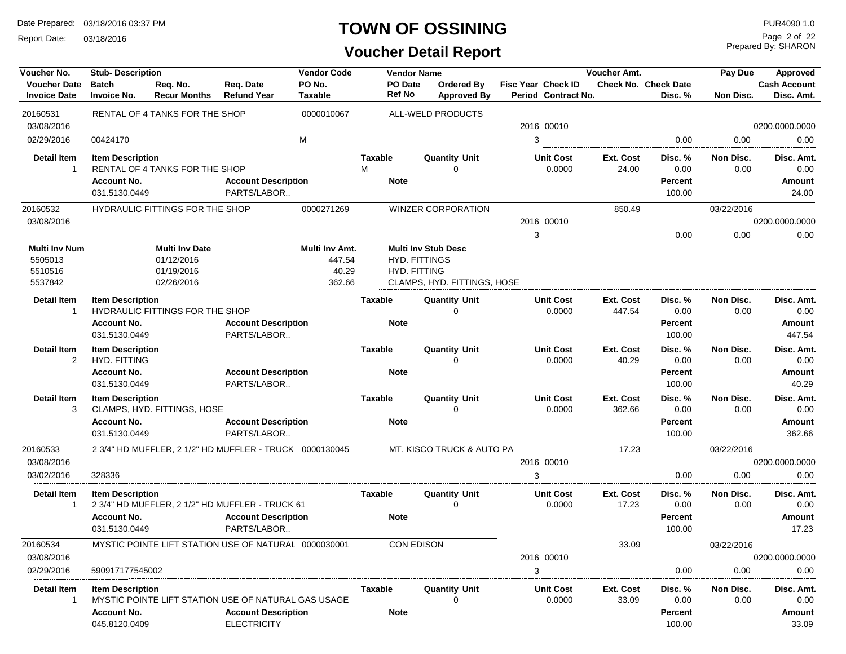Report Date: 03/18/2016

#### **TOWN OF OSSINING**

# **Voucher Detail Report**

Prepared By: SHARON Page 2 of 22

| Voucher No.                                           | <b>Stub-Description</b>                                        |                                                                 |                                                                                                         | <b>Vendor Code</b>                          |                | <b>Vendor Name</b>                                                 |                                  |                                           | Voucher Amt.        |                                             | Pay Due           | Approved                               |
|-------------------------------------------------------|----------------------------------------------------------------|-----------------------------------------------------------------|---------------------------------------------------------------------------------------------------------|---------------------------------------------|----------------|--------------------------------------------------------------------|----------------------------------|-------------------------------------------|---------------------|---------------------------------------------|-------------------|----------------------------------------|
| <b>Voucher Date</b><br><b>Invoice Date</b>            | <b>Batch</b><br><b>Invoice No.</b>                             | Req. No.<br><b>Recur Months</b>                                 | Req. Date<br><b>Refund Year</b>                                                                         | PO No.<br><b>Taxable</b>                    |                | <b>PO Date</b><br><b>Ref No</b>                                    | Ordered By<br><b>Approved By</b> | Fisc Year Check ID<br>Period Contract No. |                     | <b>Check No. Check Date</b><br>Disc. %      | Non Disc.         | <b>Cash Account</b><br>Disc. Amt.      |
| 20160531<br>03/08/2016                                |                                                                | RENTAL OF 4 TANKS FOR THE SHOP                                  |                                                                                                         | 0000010067                                  |                |                                                                    | ALL-WELD PRODUCTS                | 2016 00010                                |                     |                                             |                   | 0200.0000.0000                         |
| 02/29/2016                                            | 00424170                                                       |                                                                 |                                                                                                         | M                                           |                |                                                                    |                                  | 3                                         |                     | 0.00                                        | 0.00              | 0.00                                   |
|                                                       |                                                                |                                                                 |                                                                                                         |                                             |                |                                                                    |                                  |                                           |                     |                                             |                   |                                        |
| <b>Detail Item</b><br>-1                              | <b>Item Description</b><br><b>Account No.</b><br>031.5130.0449 | RENTAL OF 4 TANKS FOR THE SHOP                                  | <b>Account Description</b><br>PARTS/LABOR                                                               |                                             | Taxable<br>м   | <b>Note</b>                                                        | <b>Quantity Unit</b><br>$\Omega$ | <b>Unit Cost</b><br>0.0000                | Ext. Cost<br>24.00  | Disc. %<br>0.00<br><b>Percent</b><br>100.00 | Non Disc.<br>0.00 | Disc. Amt.<br>0.00<br>Amount<br>24.00  |
| 20160532                                              |                                                                | HYDRAULIC FITTINGS FOR THE SHOP                                 |                                                                                                         | 0000271269                                  |                |                                                                    | <b>WINZER CORPORATION</b>        |                                           | 850.49              |                                             | 03/22/2016        |                                        |
| 03/08/2016                                            |                                                                |                                                                 |                                                                                                         |                                             |                |                                                                    |                                  | 2016 00010                                |                     |                                             |                   | 0200.0000.0000                         |
|                                                       |                                                                |                                                                 |                                                                                                         |                                             |                |                                                                    |                                  | 3                                         |                     | 0.00                                        | 0.00              | 0.00                                   |
| <b>Multi Inv Num</b><br>5505013<br>5510516<br>5537842 |                                                                | <b>Multi Inv Date</b><br>01/12/2016<br>01/19/2016<br>02/26/2016 |                                                                                                         | Multi Inv Amt.<br>447.54<br>40.29<br>362.66 |                | <b>Multi Inv Stub Desc</b><br><b>HYD. FITTINGS</b><br>HYD. FITTING | CLAMPS, HYD. FITTINGS, HOSE      |                                           |                     |                                             |                   |                                        |
| <b>Detail Item</b><br>1                               | <b>Item Description</b><br><b>Account No.</b><br>031.5130.0449 | HYDRAULIC FITTINGS FOR THE SHOP                                 | <b>Account Description</b><br>PARTS/LABOR                                                               |                                             | <b>Taxable</b> | <b>Note</b>                                                        | <b>Quantity Unit</b><br>∩        | <b>Unit Cost</b><br>0.0000                | Ext. Cost<br>447.54 | Disc. %<br>0.00<br><b>Percent</b><br>100.00 | Non Disc.<br>0.00 | Disc. Amt.<br>0.00<br>Amount<br>447.54 |
| <b>Detail Item</b><br>2                               | <b>Item Description</b><br>HYD. FITTING                        |                                                                 |                                                                                                         |                                             | <b>Taxable</b> |                                                                    | <b>Quantity Unit</b><br>$\Omega$ | <b>Unit Cost</b><br>0.0000                | Ext. Cost<br>40.29  | Disc. %<br>0.00                             | Non Disc.<br>0.00 | Disc. Amt.<br>0.00                     |
|                                                       | <b>Account No.</b><br>031.5130.0449                            |                                                                 | <b>Account Description</b><br>PARTS/LABOR                                                               |                                             |                | <b>Note</b>                                                        |                                  |                                           |                     | Percent<br>100.00                           |                   | Amount<br>40.29                        |
| <b>Detail Item</b><br>3                               | <b>Item Description</b>                                        | CLAMPS, HYD. FITTINGS, HOSE                                     |                                                                                                         |                                             | <b>Taxable</b> |                                                                    | <b>Quantity Unit</b><br>$\Omega$ | <b>Unit Cost</b><br>0.0000                | Ext. Cost<br>362.66 | Disc. %<br>0.00                             | Non Disc.<br>0.00 | Disc. Amt.<br>0.00                     |
|                                                       | <b>Account No.</b><br>031.5130.0449                            |                                                                 | <b>Account Description</b><br>PARTS/LABOR                                                               |                                             |                | <b>Note</b>                                                        |                                  |                                           |                     | <b>Percent</b><br>100.00                    |                   | Amount<br>362.66                       |
| 20160533                                              |                                                                |                                                                 | 2 3/4" HD MUFFLER, 2 1/2" HD MUFFLER - TRUCK 0000130045                                                 |                                             |                |                                                                    | MT. KISCO TRUCK & AUTO PA        |                                           | 17.23               |                                             | 03/22/2016        |                                        |
| 03/08/2016                                            |                                                                |                                                                 |                                                                                                         |                                             |                |                                                                    |                                  | 2016 00010                                |                     |                                             |                   | 0200.0000.0000                         |
| 03/02/2016                                            | 328336                                                         |                                                                 |                                                                                                         |                                             |                |                                                                    |                                  | 3                                         |                     | 0.00                                        | 0.00              | 0.00                                   |
| Detail Item<br>-1                                     | <b>Item Description</b>                                        |                                                                 | 2 3/4" HD MUFFLER, 2 1/2" HD MUFFLER - TRUCK 61                                                         |                                             | Taxable        |                                                                    | <b>Quantity Unit</b><br>$\Omega$ | <b>Unit Cost</b><br>0.0000                | Ext. Cost<br>17.23  | Disc. %<br>0.00                             | Non Disc.<br>0.00 | Disc. Amt.<br>0.00                     |
|                                                       | <b>Account No.</b><br>031.5130.0449                            |                                                                 | <b>Account Description</b><br>PARTS/LABOR                                                               |                                             |                | <b>Note</b>                                                        |                                  |                                           |                     | Percent<br>100.00                           |                   | Amount<br>17.23                        |
| 20160534                                              |                                                                |                                                                 | MYSTIC POINTE LIFT STATION USE OF NATURAL 0000030001                                                    |                                             |                | CON EDISON                                                         |                                  |                                           | 33.09               |                                             | 03/22/2016        |                                        |
| 03/08/2016                                            |                                                                |                                                                 |                                                                                                         |                                             |                |                                                                    |                                  | 2016 00010                                |                     |                                             |                   | 0200.0000.0000                         |
| 02/29/2016                                            | 590917177545002                                                |                                                                 |                                                                                                         |                                             |                |                                                                    |                                  | 3                                         |                     | 0.00                                        | 0.00              | 0.00                                   |
| Detail Item<br>-1                                     | <b>Item Description</b><br><b>Account No.</b><br>045.8120.0409 |                                                                 | MYSTIC POINTE LIFT STATION USE OF NATURAL GAS USAGE<br><b>Account Description</b><br><b>ELECTRICITY</b> |                                             | Taxable        | <b>Note</b>                                                        | <b>Quantity Unit</b><br>∩        | <b>Unit Cost</b><br>0.0000                | Ext. Cost<br>33.09  | Disc. %<br>0.00<br>Percent<br>100.00        | Non Disc.<br>0.00 | Disc. Amt.<br>0.00<br>Amount<br>33.09  |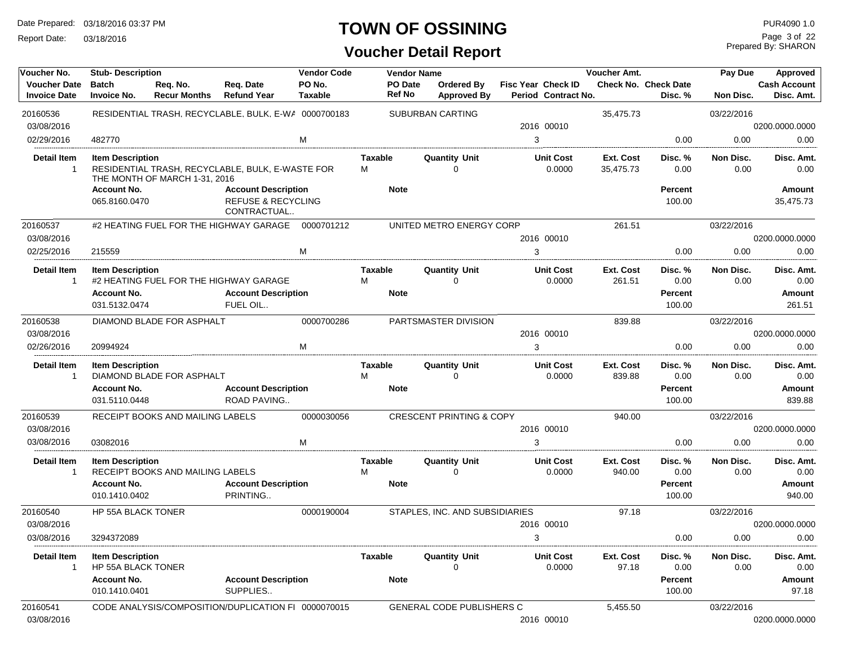Report Date: 03/18/2016

#### **TOWN OF OSSINING**

# **Voucher Detail Report**

Prepared By: SHARON Page 3 of 22

| Voucher No.                                | <b>Stub-Description</b>                              |                                  |                                                                            | <b>Vendor Code</b>       |                          | <b>Vendor Name</b>                  |                                           | Voucher Amt.           |                                        | Pay Due           | Approved                          |
|--------------------------------------------|------------------------------------------------------|----------------------------------|----------------------------------------------------------------------------|--------------------------|--------------------------|-------------------------------------|-------------------------------------------|------------------------|----------------------------------------|-------------------|-----------------------------------|
| <b>Voucher Date</b><br><b>Invoice Date</b> | <b>Batch</b><br><b>Invoice No.</b>                   | Reg. No.<br><b>Recur Months</b>  | Req. Date<br><b>Refund Year</b>                                            | PO No.<br><b>Taxable</b> | PO Date<br><b>Ref No</b> | Ordered By<br><b>Approved By</b>    | Fisc Year Check ID<br>Period Contract No. |                        | <b>Check No. Check Date</b><br>Disc. % | Non Disc.         | <b>Cash Account</b><br>Disc. Amt. |
| 20160536                                   |                                                      |                                  | RESIDENTIAL TRASH, RECYCLABLE, BULK, E-WA 0000700183                       |                          |                          | <b>SUBURBAN CARTING</b>             |                                           | 35,475.73              |                                        | 03/22/2016        |                                   |
| 03/08/2016                                 |                                                      |                                  |                                                                            |                          |                          |                                     | 2016 00010                                |                        |                                        |                   | 0200.0000.0000                    |
| 02/29/2016                                 | 482770                                               |                                  |                                                                            | м                        |                          |                                     | 3                                         |                        | 0.00                                   | 0.00              | 0.00                              |
| <b>Detail Item</b>                         | <b>Item Description</b>                              | THE MONTH OF MARCH 1-31, 2016    | RESIDENTIAL TRASH, RECYCLABLE, BULK, E-WASTE FOR                           |                          | Taxable<br>м             | <b>Quantity Unit</b><br>0           | <b>Unit Cost</b><br>0.0000                | Ext. Cost<br>35,475.73 | Disc. %<br>0.00                        | Non Disc.<br>0.00 | Disc. Amt.<br>0.00                |
|                                            | <b>Account No.</b><br>065.8160.0470                  |                                  | <b>Account Description</b><br><b>REFUSE &amp; RECYCLING</b><br>CONTRACTUAL |                          | <b>Note</b>              |                                     |                                           |                        | <b>Percent</b><br>100.00               |                   | <b>Amount</b><br>35,475.73        |
| 20160537                                   |                                                      |                                  | #2 HEATING FUEL FOR THE HIGHWAY GARAGE                                     | 0000701212               |                          | UNITED METRO ENERGY CORP            |                                           | 261.51                 |                                        | 03/22/2016        |                                   |
| 03/08/2016                                 |                                                      |                                  |                                                                            |                          |                          |                                     | 2016 00010                                |                        |                                        |                   | 0200.0000.0000                    |
| 02/25/2016                                 | 215559                                               |                                  |                                                                            | M                        |                          |                                     | 3                                         |                        | 0.00                                   | 0.00              | 0.00                              |
| <b>Detail Item</b><br>-1                   | <b>Item Description</b>                              |                                  | #2 HEATING FUEL FOR THE HIGHWAY GARAGE                                     |                          | Taxable<br>М             | <b>Quantity Unit</b><br>$\Omega$    | <b>Unit Cost</b><br>0.0000                | Ext. Cost<br>261.51    | Disc. %<br>0.00                        | Non Disc.<br>0.00 | Disc. Amt.<br>0.00                |
|                                            | <b>Account No.</b>                                   |                                  | <b>Account Description</b>                                                 |                          | <b>Note</b>              |                                     |                                           |                        | <b>Percent</b>                         |                   | Amount                            |
|                                            | 031.5132.0474                                        |                                  | FUEL OIL                                                                   |                          |                          |                                     |                                           |                        | 100.00                                 |                   | 261.51                            |
| 20160538                                   |                                                      | DIAMOND BLADE FOR ASPHALT        |                                                                            | 0000700286               |                          | PARTSMASTER DIVISION                |                                           | 839.88                 |                                        | 03/22/2016        |                                   |
| 03/08/2016                                 |                                                      |                                  |                                                                            |                          |                          |                                     | 2016 00010                                |                        |                                        |                   | 0200.0000.0000                    |
| 02/26/2016                                 | 20994924                                             |                                  |                                                                            | M                        |                          |                                     | 3                                         |                        | 0.00                                   | 0.00              | 0.00                              |
| Detail Item<br>-1                          | <b>Item Description</b>                              | DIAMOND BLADE FOR ASPHALT        |                                                                            |                          | Taxable<br>M             | <b>Quantity Unit</b><br>$\Omega$    | <b>Unit Cost</b><br>0.0000                | Ext. Cost<br>839.88    | Disc. %<br>0.00                        | Non Disc.<br>0.00 | Disc. Amt.<br>0.00                |
|                                            | Account No.                                          |                                  | <b>Account Description</b>                                                 |                          | <b>Note</b>              |                                     |                                           |                        | <b>Percent</b>                         |                   | <b>Amount</b>                     |
|                                            | 031.5110.0448                                        |                                  | ROAD PAVING                                                                |                          |                          |                                     |                                           |                        | 100.00                                 |                   | 839.88                            |
| 20160539                                   |                                                      | RECEIPT BOOKS AND MAILING LABELS |                                                                            | 0000030056               |                          | <b>CRESCENT PRINTING &amp; COPY</b> |                                           | 940.00                 |                                        | 03/22/2016        |                                   |
| 03/08/2016                                 |                                                      |                                  |                                                                            |                          |                          |                                     | 2016 00010                                |                        |                                        |                   | 0200.0000.0000                    |
| 03/08/2016                                 | 03082016                                             |                                  |                                                                            | м                        |                          |                                     | 3                                         |                        | 0.00                                   | 0.00              | 0.00                              |
| <b>Detail Item</b><br>1                    | <b>Item Description</b>                              | RECEIPT BOOKS AND MAILING LABELS |                                                                            |                          | Taxable<br>м             | <b>Quantity Unit</b><br>$\Omega$    | <b>Unit Cost</b><br>0.0000                | Ext. Cost<br>940.00    | Disc. %<br>0.00                        | Non Disc.<br>0.00 | Disc. Amt.<br>0.00                |
|                                            | Account No.                                          |                                  | <b>Account Description</b>                                                 |                          | <b>Note</b>              |                                     |                                           |                        | <b>Percent</b>                         |                   | <b>Amount</b>                     |
|                                            | 010.1410.0402                                        |                                  | PRINTING                                                                   |                          |                          |                                     |                                           |                        | 100.00                                 |                   | 940.00                            |
| 20160540                                   | HP 55A BLACK TONER                                   |                                  |                                                                            | 0000190004               |                          | STAPLES, INC. AND SUBSIDIARIES      |                                           | 97.18                  |                                        | 03/22/2016        |                                   |
| 03/08/2016                                 |                                                      |                                  |                                                                            |                          |                          |                                     | 2016 00010                                |                        |                                        |                   | 0200.0000.0000                    |
| 03/08/2016                                 | 3294372089                                           |                                  |                                                                            |                          |                          |                                     | 3                                         |                        | 0.00                                   | 0.00              | 0.00                              |
| Detail Item                                | <b>Item Description</b><br><b>HP 55A BLACK TONER</b> |                                  |                                                                            |                          | Taxable                  | <b>Quantity Unit</b>                | <b>Unit Cost</b><br>0.0000                | Ext. Cost<br>97.18     | Disc. %<br>0.00                        | Non Disc.<br>0.00 | Disc. Amt.<br>$0.00\,$            |
|                                            | <b>Account No.</b><br>010.1410.0401                  |                                  | <b>Account Description</b><br>SUPPLIES                                     |                          | <b>Note</b>              |                                     |                                           |                        | <b>Percent</b><br>100.00               |                   | Amount<br>97.18                   |
| 20160541                                   |                                                      |                                  | CODE ANALYSIS/COMPOSITION/DUPLICATION FI 0000070015                        |                          |                          | GENERAL CODE PUBLISHERS C           |                                           | 5,455.50               |                                        | 03/22/2016        |                                   |
| 03/08/2016                                 |                                                      |                                  |                                                                            |                          |                          |                                     | 2016 00010                                |                        |                                        |                   | 0200.0000.0000                    |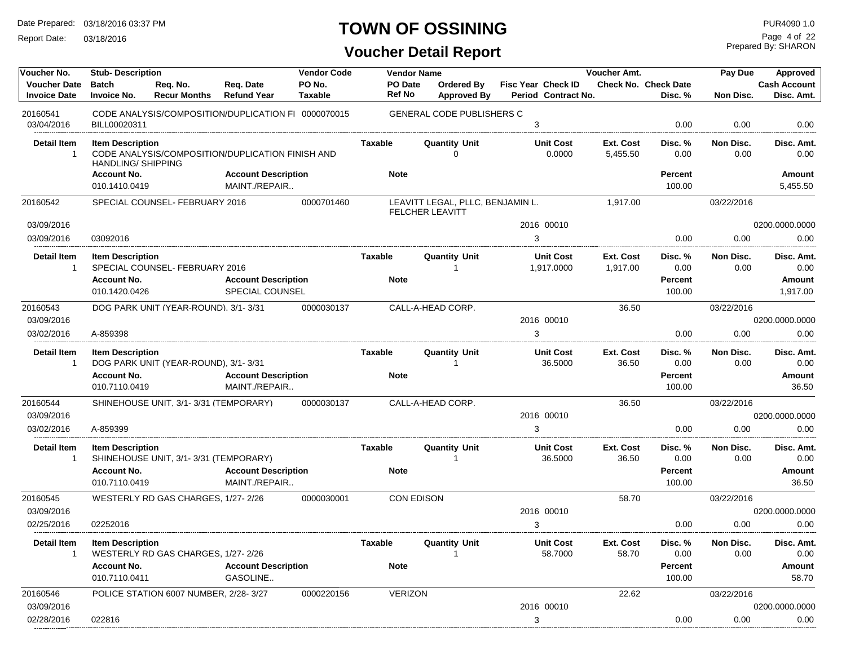Report Date: 03/18/2016

# **TOWN OF OSSINING**

Prepared By: SHARON Page 4 of 22

| Voucher No.                                | <b>Stub-Description</b>                              |                                       |                                                     | <b>Vendor Code</b> |                   | <b>Vendor Name</b>                                         |                                                  | Voucher Amt.                 |                                        | Pay Due           | Approved                          |
|--------------------------------------------|------------------------------------------------------|---------------------------------------|-----------------------------------------------------|--------------------|-------------------|------------------------------------------------------------|--------------------------------------------------|------------------------------|----------------------------------------|-------------------|-----------------------------------|
| <b>Voucher Date</b><br><b>Invoice Date</b> | <b>Batch</b><br><b>Invoice No.</b>                   | Req. No.<br><b>Recur Months</b>       | Req. Date<br><b>Refund Year</b>                     | PO No.<br>Taxable  | PO Date<br>Ref No | Ordered By<br><b>Approved By</b>                           | <b>Fisc Year Check ID</b><br>Period Contract No. |                              | <b>Check No. Check Date</b><br>Disc. % | Non Disc.         | <b>Cash Account</b><br>Disc. Amt. |
| 20160541                                   |                                                      |                                       | CODE ANALYSIS/COMPOSITION/DUPLICATION FI 0000070015 |                    |                   | <b>GENERAL CODE PUBLISHERS C</b>                           |                                                  |                              |                                        |                   |                                   |
| 03/04/2016                                 | BILL00020311                                         |                                       |                                                     |                    |                   |                                                            | 3                                                |                              | 0.00                                   | 0.00              | 0.00                              |
| Detail Item<br>1                           | <b>Item Description</b><br><b>HANDLING/ SHIPPING</b> |                                       | CODE ANALYSIS/COMPOSITION/DUPLICATION FINISH AND    |                    | Taxable           | Quantity Unit<br>0                                         | <b>Unit Cost</b><br>0.0000                       | <b>Ext. Cost</b><br>5,455.50 | Disc. %<br>0.00                        | Non Disc.<br>0.00 | Disc. Amt.<br>0.00                |
|                                            | <b>Account No.</b><br>010.1410.0419                  |                                       | <b>Account Description</b><br>MAINT./REPAIR         |                    | <b>Note</b>       |                                                            |                                                  |                              | <b>Percent</b><br>100.00               |                   | Amount<br>5,455.50                |
| 20160542                                   |                                                      | SPECIAL COUNSEL- FEBRUARY 2016        |                                                     | 0000701460         |                   | LEAVITT LEGAL, PLLC, BENJAMIN L.<br><b>FELCHER LEAVITT</b> |                                                  | 1.917.00                     |                                        | 03/22/2016        |                                   |
| 03/09/2016                                 |                                                      |                                       |                                                     |                    |                   |                                                            | 2016 00010                                       |                              |                                        |                   | 0200.0000.0000                    |
| 03/09/2016                                 | 03092016                                             |                                       |                                                     |                    |                   |                                                            | 3                                                |                              | 0.00                                   | 0.00              | 0.00                              |
| Detail Item<br>$\mathbf{1}$                | <b>Item Description</b>                              | SPECIAL COUNSEL- FEBRUARY 2016        |                                                     |                    | Taxable           | <b>Quantity Unit</b><br>-1                                 | <b>Unit Cost</b><br>1,917.0000                   | <b>Ext. Cost</b><br>1,917.00 | Disc. %<br>0.00                        | Non Disc.<br>0.00 | Disc. Amt.<br>0.00                |
|                                            | <b>Account No.</b><br>010.1420.0426                  |                                       | <b>Account Description</b><br>SPECIAL COUNSEL       |                    | <b>Note</b>       |                                                            |                                                  |                              | Percent<br>100.00                      |                   | Amount<br>1,917.00                |
| 20160543                                   |                                                      | DOG PARK UNIT (YEAR-ROUND), 3/1-3/31  |                                                     | 0000030137         |                   | CALL-A-HEAD CORP.                                          |                                                  | 36.50                        |                                        | 03/22/2016        |                                   |
| 03/09/2016                                 |                                                      |                                       |                                                     |                    |                   |                                                            | 2016 00010                                       |                              |                                        |                   | 0200.0000.0000                    |
| 03/02/2016                                 | A-859398                                             |                                       |                                                     |                    |                   |                                                            | 3                                                |                              | 0.00                                   | 0.00              | 0.00                              |
| <b>Detail Item</b><br>$\mathbf{1}$         | <b>Item Description</b>                              | DOG PARK UNIT (YEAR-ROUND), 3/1-3/31  |                                                     |                    | <b>Taxable</b>    | <b>Quantity Unit</b><br>-1                                 | <b>Unit Cost</b><br>36.5000                      | Ext. Cost<br>36.50           | Disc. %<br>0.00                        | Non Disc.<br>0.00 | Disc. Amt.<br>0.00                |
|                                            | <b>Account No.</b><br>010.7110.0419                  |                                       | <b>Account Description</b><br>MAINT./REPAIR         |                    | <b>Note</b>       |                                                            |                                                  |                              | Percent<br>100.00                      |                   | Amount<br>36.50                   |
| 20160544                                   |                                                      | SHINEHOUSE UNIT, 3/1-3/31 (TEMPORARY) |                                                     | 0000030137         |                   | CALL-A-HEAD CORP.                                          |                                                  | 36.50                        |                                        | 03/22/2016        |                                   |
| 03/09/2016                                 |                                                      |                                       |                                                     |                    |                   |                                                            | 2016 00010                                       |                              |                                        |                   | 0200.0000.0000                    |
| 03/02/2016                                 | A-859399                                             |                                       |                                                     |                    |                   |                                                            | 3                                                |                              | 0.00                                   | 0.00              | 0.00                              |
| <b>Detail Item</b><br>$\mathbf{1}$         | <b>Item Description</b>                              | SHINEHOUSE UNIT, 3/1-3/31 (TEMPORARY) |                                                     |                    | Taxable           | <b>Quantity Unit</b><br>-1                                 | <b>Unit Cost</b><br>36.5000                      | Ext. Cost<br>36.50           | Disc. %<br>0.00                        | Non Disc.<br>0.00 | Disc. Amt.<br>0.00                |
|                                            | <b>Account No.</b><br>010.7110.0419                  |                                       | <b>Account Description</b><br>MAINT./REPAIR         |                    | <b>Note</b>       |                                                            |                                                  |                              | <b>Percent</b><br>100.00               |                   | Amount<br>36.50                   |
| 20160545                                   |                                                      | WESTERLY RD GAS CHARGES, 1/27-2/26    |                                                     | 0000030001         |                   | <b>CON EDISON</b>                                          |                                                  | 58.70                        |                                        | 03/22/2016        |                                   |
| 03/09/2016                                 |                                                      |                                       |                                                     |                    |                   |                                                            | 2016 00010                                       |                              |                                        |                   | 0200.0000.0000                    |
| 02/25/2016                                 | 02252016                                             |                                       |                                                     |                    |                   |                                                            | 3                                                |                              | 0.00                                   | 0.00              | 0.00                              |
| Detail Item<br>-1                          | <b>Item Description</b>                              | WESTERLY RD GAS CHARGES, 1/27-2/26    |                                                     |                    | Taxable           | <b>Quantity Unit</b><br>$\overline{1}$                     | <b>Unit Cost</b><br>58.7000                      | Ext. Cost<br>58.70           | Disc. %<br>0.00                        | Non Disc.<br>0.00 | Disc. Amt.<br>0.00                |
|                                            | <b>Account No.</b><br>010.7110.0411                  |                                       | <b>Account Description</b><br>GASOLINE              |                    | <b>Note</b>       |                                                            |                                                  |                              | <b>Percent</b><br>100.00               |                   | Amount<br>58.70                   |
| 20160546                                   |                                                      | POLICE STATION 6007 NUMBER, 2/28-3/27 |                                                     | 0000220156         | <b>VERIZON</b>    |                                                            |                                                  | 22.62                        |                                        | 03/22/2016        |                                   |
| 03/09/2016                                 |                                                      |                                       |                                                     |                    |                   |                                                            | 2016 00010                                       |                              |                                        |                   | 0200.0000.0000                    |
| 02/28/2016                                 | 022816                                               |                                       |                                                     |                    |                   |                                                            | 3                                                |                              | 0.00                                   | 0.00              | 0.00                              |
|                                            |                                                      |                                       |                                                     |                    |                   |                                                            |                                                  |                              |                                        |                   |                                   |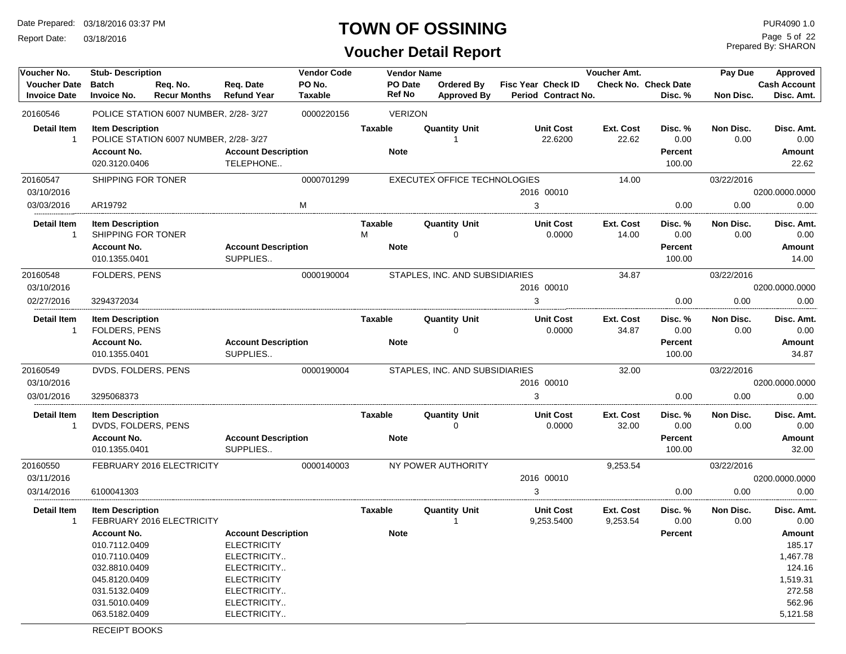Report Date: 03/18/2016

# **TOWN OF OSSINING** PURA090 1.0

#### **Voucher Detail Report**

Prepared By: SHARON Page 5 of 22

| Voucher No.                                | <b>Stub-Description</b>                                                                                                                                              |                                       |                                                                                                                                                   | <b>Vendor Code</b>       |                               | <b>Vendor Name</b> |                                         |                                           | Voucher Amt.          |                                             | Pay Due           | Approved                                                                                                 |
|--------------------------------------------|----------------------------------------------------------------------------------------------------------------------------------------------------------------------|---------------------------------------|---------------------------------------------------------------------------------------------------------------------------------------------------|--------------------------|-------------------------------|--------------------|-----------------------------------------|-------------------------------------------|-----------------------|---------------------------------------------|-------------------|----------------------------------------------------------------------------------------------------------|
| <b>Voucher Date</b><br><b>Invoice Date</b> | <b>Batch</b><br><b>Invoice No.</b>                                                                                                                                   | Req. No.<br><b>Recur Months</b>       | Req. Date<br><b>Refund Year</b>                                                                                                                   | PO No.<br><b>Taxable</b> | PO Date<br><b>Ref No</b>      |                    | <b>Ordered By</b><br><b>Approved By</b> | Fisc Year Check ID<br>Period Contract No. |                       | Check No. Check Date<br>Disc. %             | <b>Non Disc.</b>  | <b>Cash Account</b><br>Disc. Amt.                                                                        |
| 20160546                                   |                                                                                                                                                                      | POLICE STATION 6007 NUMBER, 2/28-3/27 |                                                                                                                                                   | 0000220156               |                               | <b>VERIZON</b>     |                                         |                                           |                       |                                             |                   |                                                                                                          |
| <b>Detail Item</b><br>$\mathbf{1}$         | <b>Item Description</b><br><b>Account No.</b><br>020.3120.0406                                                                                                       | POLICE STATION 6007 NUMBER, 2/28-3/27 | <b>Account Description</b><br>TELEPHONE                                                                                                           |                          | <b>Taxable</b><br><b>Note</b> |                    | <b>Quantity Unit</b><br>-1              | <b>Unit Cost</b><br>22.6200               | Ext. Cost<br>22.62    | Disc. %<br>0.00<br><b>Percent</b><br>100.00 | Non Disc.<br>0.00 | Disc. Amt.<br>0.00<br>Amount<br>22.62                                                                    |
| 20160547                                   | SHIPPING FOR TONER                                                                                                                                                   |                                       |                                                                                                                                                   | 0000701299               |                               |                    | <b>EXECUTEX OFFICE TECHNOLOGIES</b>     |                                           | 14.00                 |                                             | 03/22/2016        |                                                                                                          |
| 03/10/2016                                 |                                                                                                                                                                      |                                       |                                                                                                                                                   |                          |                               |                    |                                         | 2016 00010                                |                       |                                             |                   | 0200.0000.0000                                                                                           |
| 03/03/2016                                 | AR19792                                                                                                                                                              |                                       |                                                                                                                                                   | M                        |                               |                    |                                         | 3                                         |                       | 0.00                                        | 0.00              | 0.00                                                                                                     |
| <b>Detail Item</b><br>$\mathbf{1}$         | <b>Item Description</b><br>SHIPPING FOR TONER<br><b>Account No.</b>                                                                                                  |                                       | <b>Account Description</b>                                                                                                                        |                          | Taxable<br>M<br><b>Note</b>   |                    | Quantity Unit<br>$\Omega$               | <b>Unit Cost</b><br>0.0000                | Ext. Cost<br>14.00    | Disc. %<br>0.00<br><b>Percent</b>           | Non Disc.<br>0.00 | Disc. Amt.<br>0.00<br><b>Amount</b>                                                                      |
|                                            | 010.1355.0401                                                                                                                                                        |                                       | SUPPLIES                                                                                                                                          |                          |                               |                    |                                         |                                           |                       | 100.00                                      |                   | 14.00                                                                                                    |
| 20160548                                   | FOLDERS, PENS                                                                                                                                                        |                                       |                                                                                                                                                   | 0000190004               |                               |                    | STAPLES, INC. AND SUBSIDIARIES          |                                           | 34.87                 |                                             | 03/22/2016        |                                                                                                          |
| 03/10/2016                                 |                                                                                                                                                                      |                                       |                                                                                                                                                   |                          |                               |                    |                                         | 2016 00010                                |                       |                                             |                   | 0200.0000.0000                                                                                           |
| 02/27/2016                                 | 3294372034                                                                                                                                                           |                                       |                                                                                                                                                   |                          |                               |                    |                                         | 3                                         |                       | 0.00                                        | 0.00              | 0.00                                                                                                     |
| <b>Detail Item</b><br>$\mathbf{1}$         | <b>Item Description</b><br>FOLDERS, PENS                                                                                                                             |                                       |                                                                                                                                                   |                          | Taxable                       |                    | <b>Quantity Unit</b><br>$\Omega$        | <b>Unit Cost</b><br>0.0000                | Ext. Cost<br>34.87    | Disc. %<br>0.00                             | Non Disc.<br>0.00 | Disc. Amt.<br>0.00                                                                                       |
|                                            | <b>Account No.</b><br>010.1355.0401                                                                                                                                  |                                       | <b>Account Description</b><br>SUPPLIES                                                                                                            |                          | <b>Note</b>                   |                    |                                         |                                           |                       | <b>Percent</b><br>100.00                    |                   | <b>Amount</b><br>34.87                                                                                   |
| 20160549                                   | DVDS, FOLDERS, PENS                                                                                                                                                  |                                       |                                                                                                                                                   | 0000190004               |                               |                    | STAPLES, INC. AND SUBSIDIARIES          |                                           | 32.00                 |                                             | 03/22/2016        |                                                                                                          |
| 03/10/2016                                 |                                                                                                                                                                      |                                       |                                                                                                                                                   |                          |                               |                    |                                         | 2016 00010                                |                       |                                             |                   | 0200.0000.0000                                                                                           |
| 03/01/2016                                 | 3295068373                                                                                                                                                           |                                       |                                                                                                                                                   |                          |                               |                    |                                         | 3                                         |                       | 0.00                                        | 0.00              | 0.00                                                                                                     |
| <b>Detail Item</b><br>-1                   | <b>Item Description</b><br>DVDS, FOLDERS, PENS                                                                                                                       |                                       |                                                                                                                                                   |                          | Taxable                       |                    | <b>Quantity Unit</b><br>$\mathbf 0$     | <b>Unit Cost</b><br>0.0000                | Ext. Cost<br>32.00    | Disc. %<br>0.00                             | Non Disc.<br>0.00 | Disc. Amt.<br>0.00                                                                                       |
|                                            | <b>Account No.</b><br>010.1355.0401                                                                                                                                  |                                       | <b>Account Description</b><br>SUPPLIES                                                                                                            |                          | <b>Note</b>                   |                    |                                         |                                           |                       | <b>Percent</b><br>100.00                    |                   | Amount<br>32.00                                                                                          |
| 20160550                                   |                                                                                                                                                                      | FEBRUARY 2016 ELECTRICITY             |                                                                                                                                                   | 0000140003               |                               |                    | NY POWER AUTHORITY                      |                                           | 9,253.54              |                                             | 03/22/2016        |                                                                                                          |
| 03/11/2016                                 |                                                                                                                                                                      |                                       |                                                                                                                                                   |                          |                               |                    |                                         | 2016 00010                                |                       |                                             |                   | 0200.0000.0000                                                                                           |
| 03/14/2016                                 | 6100041303                                                                                                                                                           |                                       |                                                                                                                                                   |                          |                               |                    |                                         | 3                                         |                       | 0.00                                        | 0.00              | 0.00                                                                                                     |
| <b>Detail Item</b><br>$\mathbf{1}$         | <b>Item Description</b><br><b>Account No.</b><br>010.7112.0409<br>010.7110.0409<br>032.8810.0409<br>045.8120.0409<br>031.5132.0409<br>031.5010.0409<br>063.5182.0409 | FEBRUARY 2016 ELECTRICITY             | <b>Account Description</b><br><b>ELECTRICITY</b><br>ELECTRICITY<br>ELECTRICITY<br><b>ELECTRICITY</b><br>ELECTRICITY<br>ELECTRICITY<br>ELECTRICITY |                          | Taxable<br><b>Note</b>        |                    | <b>Quantity Unit</b><br>$\overline{1}$  | <b>Unit Cost</b><br>9,253.5400            | Ext. Cost<br>9,253.54 | Disc. %<br>0.00<br><b>Percent</b>           | Non Disc.<br>0.00 | Disc. Amt.<br>0.00<br>Amount<br>185.17<br>1,467.78<br>124.16<br>1,519.31<br>272.58<br>562.96<br>5,121.58 |

RECEIPT BOOKS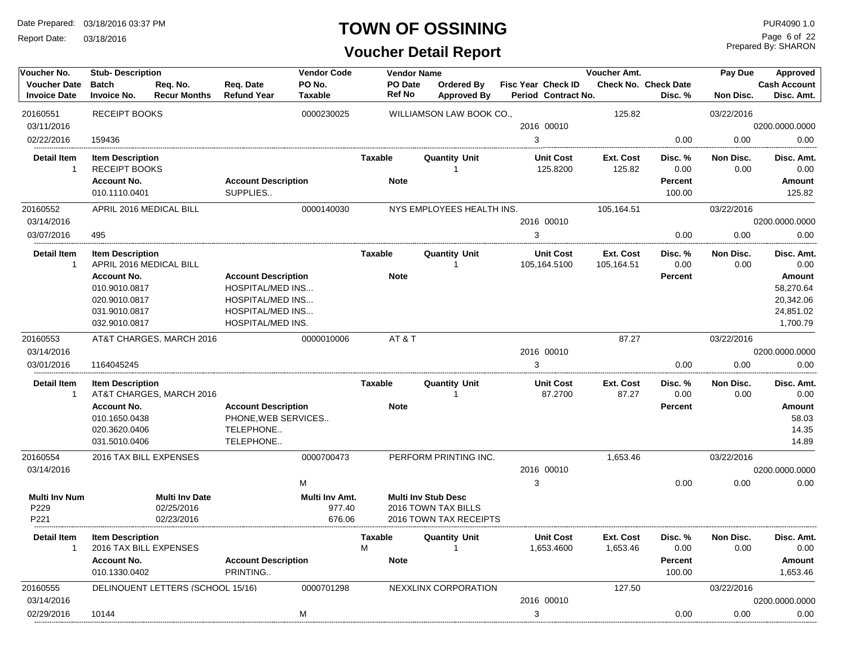Report Date: 03/18/2016

#### **TOWN OF OSSINING**

# **Voucher Detail Report**

Prepared By: SHARON Page 6 of 22

| Voucher No.                                | <b>Stub-Description</b>                            |                                   |                                        | <b>Vendor Code</b>       |                     | <b>Vendor Name</b> |                                  |                                                  | <b>Voucher Amt.</b>     |                                        | Pay Due           | <b>Approved</b>                   |
|--------------------------------------------|----------------------------------------------------|-----------------------------------|----------------------------------------|--------------------------|---------------------|--------------------|----------------------------------|--------------------------------------------------|-------------------------|----------------------------------------|-------------------|-----------------------------------|
| <b>Voucher Date</b><br><b>Invoice Date</b> | <b>Batch</b><br><b>Invoice No.</b>                 | Req. No.<br><b>Recur Months</b>   | Req. Date<br><b>Refund Year</b>        | PO No.<br><b>Taxable</b> | <b>Ref No</b>       | PO Date            | Ordered By<br><b>Approved By</b> | <b>Fisc Year Check ID</b><br>Period Contract No. |                         | <b>Check No. Check Date</b><br>Disc. % | Non Disc.         | <b>Cash Account</b><br>Disc. Amt. |
| 20160551                                   | <b>RECEIPT BOOKS</b>                               |                                   |                                        | 0000230025               |                     |                    | WILLIAMSON LAW BOOK CO.,         |                                                  | 125.82                  |                                        | 03/22/2016        |                                   |
| 03/11/2016                                 |                                                    |                                   |                                        |                          |                     |                    |                                  | 2016 00010                                       |                         |                                        |                   | 0200.0000.0000                    |
| 02/22/2016                                 | 159436                                             |                                   |                                        |                          |                     |                    |                                  | 3                                                |                         | 0.00                                   | 0.00              | 0.00                              |
| <b>Detail Item</b><br>$\mathbf{1}$         | <b>Item Description</b><br><b>RECEIPT BOOKS</b>    |                                   |                                        |                          | <b>Taxable</b>      |                    | <b>Quantity Unit</b><br>-1       | <b>Unit Cost</b><br>125.8200                     | Ext. Cost<br>125.82     | Disc.%<br>0.00                         | Non Disc.<br>0.00 | Disc. Amt.<br>0.00                |
|                                            | <b>Account No.</b><br>010.1110.0401                |                                   | <b>Account Description</b><br>SUPPLIES |                          | <b>Note</b>         |                    |                                  |                                                  |                         | <b>Percent</b><br>100.00               |                   | <b>Amount</b><br>125.82           |
| 20160552<br>03/14/2016                     | APRIL 2016 MEDICAL BILL                            |                                   |                                        | 0000140030               |                     |                    | NYS EMPLOYEES HEALTH INS.        | 2016 00010                                       | 105,164.51              |                                        | 03/22/2016        | 0200.0000.0000                    |
|                                            |                                                    |                                   |                                        |                          |                     |                    |                                  |                                                  |                         |                                        |                   |                                   |
| 03/07/2016                                 | 495                                                |                                   |                                        |                          |                     |                    |                                  | 3                                                |                         | 0.00                                   | 0.00              | 0.00                              |
| <b>Detail Item</b><br>$\mathbf{1}$         | <b>Item Description</b><br>APRIL 2016 MEDICAL BILL |                                   |                                        |                          | <b>Taxable</b>      |                    | <b>Quantity Unit</b><br>1        | <b>Unit Cost</b><br>105,164.5100                 | Ext. Cost<br>105,164.51 | Disc.%<br>0.00                         | Non Disc.<br>0.00 | Disc. Amt.<br>0.00                |
|                                            | <b>Account No.</b>                                 |                                   | <b>Account Description</b>             |                          | <b>Note</b>         |                    |                                  |                                                  |                         | <b>Percent</b>                         |                   | Amount                            |
|                                            | 010.9010.0817                                      |                                   | <b>HOSPITAL/MED INS</b>                |                          |                     |                    |                                  |                                                  |                         |                                        |                   | 58,270.64                         |
|                                            | 020.9010.0817                                      |                                   | <b>HOSPITAL/MED INS</b>                |                          |                     |                    |                                  |                                                  |                         |                                        |                   | 20,342.06                         |
|                                            | 031.9010.0817                                      |                                   | <b>HOSPITAL/MED INS</b>                |                          |                     |                    |                                  |                                                  |                         |                                        |                   | 24,851.02                         |
|                                            | 032.9010.0817                                      |                                   | HOSPITAL/MED INS.                      |                          |                     |                    |                                  |                                                  |                         |                                        |                   | 1,700.79                          |
| 20160553                                   |                                                    | AT&T CHARGES, MARCH 2016          |                                        | 0000010006               | AT&T                |                    |                                  |                                                  | 87.27                   |                                        | 03/22/2016        |                                   |
| 03/14/2016                                 |                                                    |                                   |                                        |                          |                     |                    |                                  | 2016 00010                                       |                         |                                        |                   | 0200.0000.0000                    |
| 03/01/2016                                 | 1164045245                                         |                                   |                                        |                          |                     |                    |                                  | 3                                                |                         | 0.00                                   | 0.00              | 0.00                              |
| <b>Detail Item</b><br>$\mathbf{1}$         | <b>Item Description</b>                            | AT&T CHARGES, MARCH 2016          |                                        |                          | <b>Taxable</b>      |                    | <b>Quantity Unit</b><br>-1       | <b>Unit Cost</b><br>87.2700                      | Ext. Cost<br>87.27      | Disc. %<br>0.00                        | Non Disc.<br>0.00 | Disc. Amt.<br>0.00                |
|                                            | <b>Account No.</b>                                 |                                   | <b>Account Description</b>             |                          | <b>Note</b>         |                    |                                  |                                                  |                         | <b>Percent</b>                         |                   | <b>Amount</b>                     |
|                                            | 010.1650.0438                                      |                                   | PHONE, WEB SERVICES                    |                          |                     |                    |                                  |                                                  |                         |                                        |                   | 58.03                             |
|                                            | 020.3620.0406                                      |                                   | TELEPHONE                              |                          |                     |                    |                                  |                                                  |                         |                                        |                   | 14.35                             |
|                                            | 031.5010.0406                                      |                                   | TELEPHONE                              |                          |                     |                    |                                  |                                                  |                         |                                        |                   | 14.89                             |
| 20160554                                   | 2016 TAX BILL EXPENSES                             |                                   |                                        | 0000700473               |                     |                    | PERFORM PRINTING INC.            |                                                  | 1,653.46                |                                        | 03/22/2016        |                                   |
| 03/14/2016                                 |                                                    |                                   |                                        |                          |                     |                    |                                  | 2016 00010                                       |                         |                                        |                   | 0200.0000.0000                    |
|                                            |                                                    |                                   |                                        | M                        |                     |                    |                                  | 3                                                |                         | 0.00                                   | 0.00              | 0.00                              |
| <b>Multi Inv Num</b>                       |                                                    | <b>Multi Inv Date</b>             |                                        | <b>Multi Inv Amt.</b>    |                     |                    | <b>Multi Inv Stub Desc</b>       |                                                  |                         |                                        |                   |                                   |
| P229                                       |                                                    | 02/25/2016                        |                                        | 977.40                   |                     |                    | 2016 TOWN TAX BILLS              |                                                  |                         |                                        |                   |                                   |
| P221                                       |                                                    | 02/23/2016                        |                                        | 676.06                   |                     |                    | 2016 TOWN TAX RECEIPTS           |                                                  |                         |                                        |                   |                                   |
| <b>Detail Item</b><br>$\overline{1}$       | <b>Item Description</b><br>2016 TAX BILL EXPENSES  |                                   |                                        |                          | <b>Taxable</b><br>M |                    | <b>Quantity Unit</b><br>-1       | <b>Unit Cost</b><br>1,653.4600                   | Ext. Cost<br>1,653.46   | Disc. %<br>0.00                        | Non Disc.<br>0.00 | Disc. Amt.<br>0.00                |
|                                            | <b>Account No.</b>                                 |                                   | <b>Account Description</b>             |                          | <b>Note</b>         |                    |                                  |                                                  |                         | <b>Percent</b>                         |                   | <b>Amount</b>                     |
|                                            | 010.1330.0402                                      |                                   | PRINTING                               |                          |                     |                    |                                  |                                                  |                         | 100.00                                 |                   | 1,653.46                          |
| 20160555                                   |                                                    | DELINQUENT LETTERS (SCHOOL 15/16) |                                        | 0000701298               |                     |                    | NEXXLINX CORPORATION             |                                                  | 127.50                  |                                        | 03/22/2016        |                                   |
| 03/14/2016                                 |                                                    |                                   |                                        |                          |                     |                    |                                  | 2016 00010                                       |                         |                                        |                   | 0200.0000.0000                    |
| 02/29/2016                                 | 10144                                              |                                   |                                        | M                        |                     |                    |                                  | 3                                                |                         | 0.00                                   | 0.00              | 0.00                              |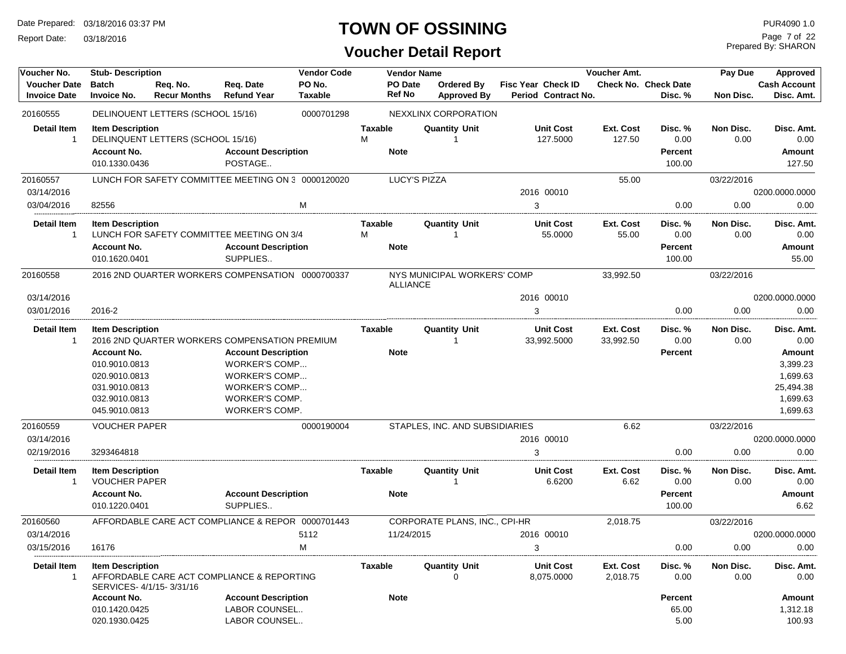Report Date: 03/18/2016

# **TOWN OF OSSINING**

# **Voucher Detail Report**

Prepared By: SHARON Page 7 of 22

| Voucher No.                                | <b>Stub-Description</b>                                                                                 |                                                    |                                                                                                                          | <b>Vendor Code</b>       |                | <b>Vendor Name</b>       |                                  |                                                  | Voucher Amt.           |                                             | Pay Due           | Approved                                                            |
|--------------------------------------------|---------------------------------------------------------------------------------------------------------|----------------------------------------------------|--------------------------------------------------------------------------------------------------------------------------|--------------------------|----------------|--------------------------|----------------------------------|--------------------------------------------------|------------------------|---------------------------------------------|-------------------|---------------------------------------------------------------------|
| <b>Voucher Date</b><br><b>Invoice Date</b> | <b>Batch</b><br><b>Invoice No.</b>                                                                      | Req. No.<br><b>Recur Months</b>                    | Req. Date<br><b>Refund Year</b>                                                                                          | PO No.<br><b>Taxable</b> |                | PO Date<br><b>Ref No</b> | Ordered By<br><b>Approved By</b> | <b>Fisc Year Check ID</b><br>Period Contract No. |                        | <b>Check No. Check Date</b><br>Disc. %      | Non Disc.         | Cash Account<br>Disc. Amt.                                          |
| 20160555                                   |                                                                                                         | DELINQUENT LETTERS (SCHOOL 15/16)                  |                                                                                                                          | 0000701298               |                |                          | NEXXLINX CORPORATION             |                                                  |                        |                                             |                   |                                                                     |
| <b>Detail Item</b><br>$\mathbf{1}$         | <b>Item Description</b><br><b>Account No.</b><br>010.1330.0436                                          | DELINQUENT LETTERS (SCHOOL 15/16)                  | <b>Account Description</b><br>POSTAGE                                                                                    |                          | Taxable<br>M   | <b>Note</b>              | <b>Quantity Unit</b>             | <b>Unit Cost</b><br>127.5000                     | Ext. Cost<br>127.50    | Disc. %<br>0.00<br><b>Percent</b><br>100.00 | Non Disc.<br>0.00 | Disc. Amt.<br>0.00<br>Amount<br>127.50                              |
| 20160557                                   |                                                                                                         | LUNCH FOR SAFETY COMMITTEE MEETING ON 3 0000120020 |                                                                                                                          |                          |                | <b>LUCY'S PIZZA</b>      |                                  |                                                  | 55.00                  |                                             | 03/22/2016        |                                                                     |
| 03/14/2016                                 |                                                                                                         |                                                    |                                                                                                                          |                          |                |                          |                                  | 2016 00010                                       |                        |                                             |                   | 0200.0000.0000                                                      |
| 03/04/2016                                 | 82556                                                                                                   |                                                    |                                                                                                                          | M                        |                |                          |                                  | 3                                                |                        | 0.00                                        | 0.00              | 0.00                                                                |
| <b>Detail Item</b><br>1                    | <b>Item Description</b>                                                                                 | LUNCH FOR SAFETY COMMITTEE MEETING ON 3/4          |                                                                                                                          |                          | Taxable<br>M   |                          | <b>Quantity Unit</b>             | <b>Unit Cost</b><br>55.0000                      | Ext. Cost<br>55.00     | Disc. %<br>0.00                             | Non Disc.<br>0.00 | Disc. Amt.<br>0.00                                                  |
|                                            | <b>Account No.</b>                                                                                      |                                                    | <b>Account Description</b>                                                                                               |                          |                | <b>Note</b>              |                                  |                                                  |                        | <b>Percent</b>                              |                   | Amount                                                              |
|                                            | 010.1620.0401                                                                                           |                                                    | SUPPLIES                                                                                                                 |                          |                |                          |                                  |                                                  |                        | 100.00                                      |                   | 55.00                                                               |
| 20160558                                   |                                                                                                         | 2016 2ND QUARTER WORKERS COMPENSATION 0000700337   |                                                                                                                          |                          |                | ALLIANCE                 | NYS MUNICIPAL WORKERS' COMP      |                                                  | 33,992.50              |                                             | 03/22/2016        |                                                                     |
| 03/14/2016                                 |                                                                                                         |                                                    |                                                                                                                          |                          |                |                          |                                  | 2016 00010                                       |                        |                                             |                   | 0200.0000.0000                                                      |
| 03/01/2016                                 | 2016-2                                                                                                  |                                                    |                                                                                                                          |                          |                |                          |                                  | 3                                                |                        | 0.00                                        | 0.00              | 0.00                                                                |
| <b>Detail Item</b><br>1                    | <b>Item Description</b>                                                                                 | 2016 2ND QUARTER WORKERS COMPENSATION PREMIUM      |                                                                                                                          |                          | <b>Taxable</b> |                          | <b>Quantity Unit</b><br>1        | <b>Unit Cost</b><br>33,992.5000                  | Ext. Cost<br>33,992.50 | Disc. %<br>0.00                             | Non Disc.<br>0.00 | Disc. Amt.<br>0.00                                                  |
|                                            | <b>Account No.</b><br>010.9010.0813<br>020.9010.0813<br>031.9010.0813<br>032.9010.0813<br>045.9010.0813 |                                                    | <b>Account Description</b><br><b>WORKER'S COMP</b><br>WORKER'S COMP<br>WORKER'S COMP<br>WORKER'S COMP.<br>WORKER'S COMP. |                          |                | <b>Note</b>              |                                  |                                                  |                        | <b>Percent</b>                              |                   | Amount<br>3,399.23<br>1,699.63<br>25,494.38<br>1,699.63<br>1,699.63 |
| 20160559                                   | <b>VOUCHER PAPER</b>                                                                                    |                                                    |                                                                                                                          | 0000190004               |                |                          | STAPLES, INC. AND SUBSIDIARIES   |                                                  | 6.62                   |                                             | 03/22/2016        |                                                                     |
| 03/14/2016                                 |                                                                                                         |                                                    |                                                                                                                          |                          |                |                          |                                  | 2016 00010                                       |                        |                                             |                   | 0200.0000.0000                                                      |
| 02/19/2016                                 | 3293464818                                                                                              |                                                    |                                                                                                                          |                          |                |                          |                                  | 3                                                |                        | 0.00                                        | 0.00              | 0.00                                                                |
| Detail Item<br>$\mathbf{1}$                | <b>Item Description</b><br><b>VOUCHER PAPER</b><br><b>Account No.</b><br>010.1220.0401                  |                                                    | <b>Account Description</b><br>SUPPLIES                                                                                   |                          | <b>Taxable</b> | <b>Note</b>              | <b>Quantity Unit</b>             | <b>Unit Cost</b><br>6.6200                       | Ext. Cost<br>6.62      | Disc. %<br>0.00<br><b>Percent</b><br>100.00 | Non Disc.<br>0.00 | Disc. Amt.<br>0.00<br>Amount<br>6.62                                |
| 20160560                                   |                                                                                                         | AFFORDABLE CARE ACT COMPLIANCE & REPOR 0000701443  |                                                                                                                          |                          |                |                          | CORPORATE PLANS, INC., CPI-HR    |                                                  | 2,018.75               |                                             | 03/22/2016        |                                                                     |
| 03/14/2016                                 |                                                                                                         |                                                    |                                                                                                                          | 5112                     |                | 11/24/2015               |                                  | 2016 00010                                       |                        |                                             |                   | 0200.0000.0000                                                      |
| 03/15/2016                                 | 16176                                                                                                   |                                                    |                                                                                                                          | M                        |                |                          |                                  |                                                  |                        | 0.00                                        | 0.00              | 0.00                                                                |
| <b>Detail Item</b><br>1                    | <b>Item Description</b><br>SERVICES-4/1/15-3/31/16                                                      | AFFORDABLE CARE ACT COMPLIANCE & REPORTING         |                                                                                                                          |                          | <b>Taxable</b> |                          | <b>Quantity Unit</b><br>0        | <b>Unit Cost</b><br>8,075.0000                   | Ext. Cost<br>2,018.75  | Disc. %<br>0.00                             | Non Disc.<br>0.00 | Disc. Amt.<br>0.00                                                  |
|                                            | <b>Account No.</b>                                                                                      |                                                    | <b>Account Description</b>                                                                                               |                          |                | <b>Note</b>              |                                  |                                                  |                        | Percent                                     |                   | Amount                                                              |
|                                            | 010.1420.0425<br>020.1930.0425                                                                          |                                                    | LABOR COUNSEL<br>LABOR COUNSEL                                                                                           |                          |                |                          |                                  |                                                  |                        | 65.00<br>5.00                               |                   | 1,312.18<br>100.93                                                  |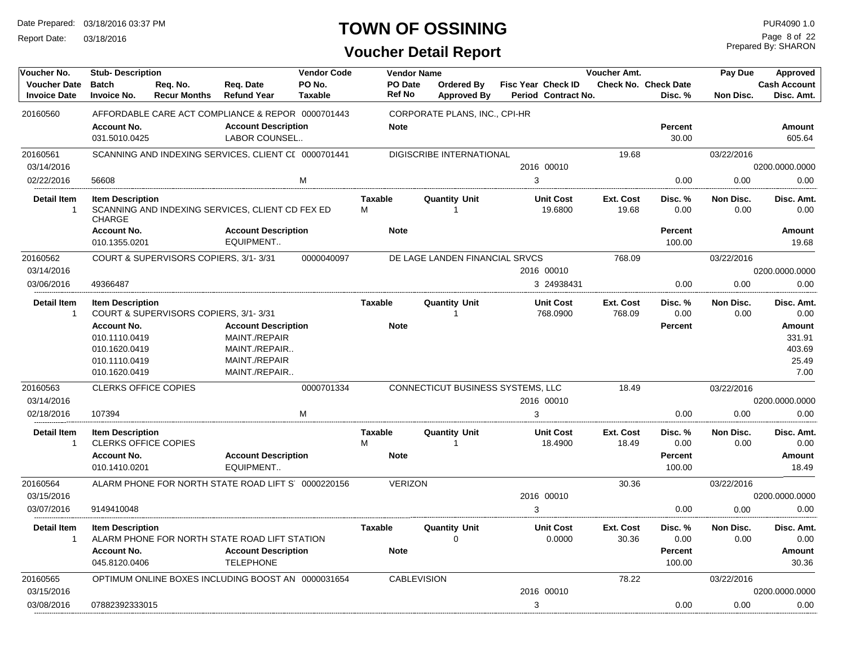Report Date: 03/18/2016

# **TOWN OF OSSINING**

Prepared By: SHARON Page 8 of 22

| Voucher No.                                | <b>Stub-Description</b>               |                                       |                                                      | <b>Vendor Code</b>       |                          | <b>Vendor Name</b> |                                         |   |                                                  | Voucher Amt. |                                        | Pay Due    | Approved                          |
|--------------------------------------------|---------------------------------------|---------------------------------------|------------------------------------------------------|--------------------------|--------------------------|--------------------|-----------------------------------------|---|--------------------------------------------------|--------------|----------------------------------------|------------|-----------------------------------|
| <b>Voucher Date</b><br><b>Invoice Date</b> | <b>Batch</b><br><b>Invoice No.</b>    | Reg. No.<br><b>Recur Months</b>       | Reg. Date<br><b>Refund Year</b>                      | PO No.<br><b>Taxable</b> | PO Date<br><b>Ref No</b> |                    | <b>Ordered Bv</b><br><b>Approved By</b> |   | <b>Fisc Year Check ID</b><br>Period Contract No. |              | <b>Check No. Check Date</b><br>Disc. % | Non Disc.  | <b>Cash Account</b><br>Disc. Amt. |
| 20160560                                   |                                       |                                       | AFFORDABLE CARE ACT COMPLIANCE & REPOR 0000701443    |                          |                          |                    | CORPORATE PLANS, INC., CPI-HR           |   |                                                  |              |                                        |            |                                   |
|                                            | <b>Account No.</b>                    |                                       | <b>Account Description</b>                           |                          | <b>Note</b>              |                    |                                         |   |                                                  |              | <b>Percent</b>                         |            | <b>Amount</b>                     |
|                                            | 031.5010.0425                         |                                       | LABOR COUNSEL                                        |                          |                          |                    |                                         |   |                                                  |              | 30.00                                  |            | 605.64                            |
| 20160561                                   |                                       |                                       | SCANNING AND INDEXING SERVICES, CLIENT CI 0000701441 |                          |                          |                    | DIGISCRIBE INTERNATIONAL                |   |                                                  | 19.68        |                                        | 03/22/2016 |                                   |
| 03/14/2016                                 |                                       |                                       |                                                      |                          |                          |                    |                                         |   | 2016 00010                                       |              |                                        |            | 0200.0000.0000                    |
| 02/22/2016                                 | 56608                                 |                                       |                                                      | M                        |                          |                    |                                         | 3 |                                                  |              | 0.00                                   | 0.00       | 0.00                              |
| <b>Detail Item</b>                         | <b>Item Description</b>               |                                       |                                                      |                          | <b>Taxable</b>           |                    | <b>Quantity Unit</b>                    |   | <b>Unit Cost</b>                                 | Ext. Cost    | Disc. %                                | Non Disc.  | Disc. Amt.                        |
| $\overline{1}$                             | <b>CHARGE</b>                         |                                       | SCANNING AND INDEXING SERVICES, CLIENT CD FEX ED     |                          | M                        |                    |                                         |   | 19.6800                                          | 19.68        | 0.00                                   | 0.00       | 0.00                              |
|                                            | <b>Account No.</b>                    |                                       | <b>Account Description</b>                           |                          | <b>Note</b>              |                    |                                         |   |                                                  |              | Percent                                |            | Amount                            |
|                                            | 010.1355.0201                         |                                       | EQUIPMENT                                            |                          |                          |                    |                                         |   |                                                  |              | 100.00                                 |            | 19.68                             |
| 20160562                                   |                                       | COURT & SUPERVISORS COPIERS, 3/1-3/31 |                                                      | 0000040097               |                          |                    | DE LAGE LANDEN FINANCIAL SRVCS          |   |                                                  | 768.09       |                                        | 03/22/2016 |                                   |
| 03/14/2016                                 |                                       |                                       |                                                      |                          |                          |                    |                                         |   | 2016 00010                                       |              |                                        |            | 0200.0000.0000                    |
| 03/06/2016                                 | 49366487                              |                                       |                                                      |                          |                          |                    |                                         |   | 3 24938431                                       |              | 0.00                                   | 0.00       | 0.00                              |
| <b>Detail Item</b>                         | <b>Item Description</b>               |                                       |                                                      |                          | Taxable                  |                    | <b>Quantity Unit</b>                    |   | <b>Unit Cost</b>                                 | Ext. Cost    | Disc. %                                | Non Disc.  | Disc. Amt.                        |
| $\overline{1}$                             | COURT & SUPERVISORS COPIERS, 3/1-3/31 |                                       |                                                      |                          |                          |                    |                                         |   | 768.0900                                         | 768.09       | 0.00                                   | 0.00       | 0.00                              |
|                                            | <b>Account No.</b>                    |                                       | <b>Account Description</b>                           |                          | <b>Note</b>              |                    |                                         |   |                                                  |              | <b>Percent</b>                         |            | Amount                            |
|                                            | 010.1110.0419                         |                                       | MAINT./REPAIR                                        |                          |                          |                    |                                         |   |                                                  |              |                                        |            | 331.91                            |
|                                            | 010.1620.0419                         |                                       | MAINT./REPAIR                                        |                          |                          |                    |                                         |   |                                                  |              |                                        |            | 403.69                            |
|                                            | 010.1110.0419                         |                                       | MAINT./REPAIR                                        |                          |                          |                    |                                         |   |                                                  |              |                                        |            | 25.49                             |
|                                            | 010.1620.0419                         |                                       | MAINT./REPAIR                                        |                          |                          |                    |                                         |   |                                                  |              |                                        |            | 7.00                              |
| 20160563                                   | <b>CLERKS OFFICE COPIES</b>           |                                       |                                                      | 0000701334               |                          |                    | CONNECTICUT BUSINESS SYSTEMS, LLC       |   |                                                  | 18.49        |                                        | 03/22/2016 |                                   |
| 03/14/2016                                 |                                       |                                       |                                                      |                          |                          |                    |                                         |   | 2016 00010                                       |              |                                        |            | 0200.0000.0000                    |
| 02/18/2016                                 | 107394                                |                                       |                                                      | M                        |                          |                    |                                         | 3 |                                                  |              | 0.00                                   | 0.00       | 0.00                              |
| <b>Detail Item</b>                         | <b>Item Description</b>               |                                       |                                                      |                          | Taxable                  |                    | <b>Quantity Unit</b>                    |   | <b>Unit Cost</b>                                 | Ext. Cost    | Disc. %                                | Non Disc.  | Disc. Amt.                        |
| $\overline{1}$                             | <b>CLERKS OFFICE COPIES</b>           |                                       |                                                      |                          | M                        |                    |                                         |   | 18.4900                                          | 18.49        | 0.00                                   | 0.00       | 0.00                              |
|                                            | <b>Account No.</b><br>010.1410.0201   |                                       | <b>Account Description</b><br>EQUIPMENT              |                          | <b>Note</b>              |                    |                                         |   |                                                  |              | <b>Percent</b><br>100.00               |            | Amount<br>18.49                   |
| 20160564                                   |                                       |                                       | ALARM PHONE FOR NORTH STATE ROAD LIFT S' 0000220156  |                          |                          | <b>VERIZON</b>     |                                         |   |                                                  | 30.36        |                                        | 03/22/2016 |                                   |
| 03/15/2016                                 |                                       |                                       |                                                      |                          |                          |                    |                                         |   | 2016 00010                                       |              |                                        |            | 0200.0000.0000                    |
| 03/07/2016                                 | 9149410048                            |                                       |                                                      |                          |                          |                    |                                         | 3 |                                                  |              | 0.00                                   | 0.00       | 0.00                              |
| <b>Detail Item</b>                         | <b>Item Description</b>               |                                       |                                                      |                          | <b>Taxable</b>           |                    | <b>Quantity Unit</b>                    |   | <b>Unit Cost</b>                                 | Ext. Cost    | Disc. %                                | Non Disc.  | Disc. Amt.                        |
| $\overline{1}$                             |                                       |                                       | ALARM PHONE FOR NORTH STATE ROAD LIFT STATION        |                          |                          |                    | $\Omega$                                |   | 0.0000                                           | 30.36        | 0.00                                   | 0.00       | 0.00                              |
|                                            | <b>Account No.</b>                    |                                       | <b>Account Description</b>                           |                          | <b>Note</b>              |                    |                                         |   |                                                  |              | Percent                                |            | Amount                            |
|                                            | 045.8120.0406                         |                                       | <b>TELEPHONE</b>                                     |                          |                          |                    |                                         |   |                                                  |              | 100.00                                 |            | 30.36                             |
| 20160565                                   |                                       |                                       | OPTIMUM ONLINE BOXES INCLUDING BOOST AN 0000031654   |                          |                          | <b>CABLEVISION</b> |                                         |   |                                                  | 78.22        |                                        | 03/22/2016 |                                   |
| 03/15/2016                                 |                                       |                                       |                                                      |                          |                          |                    |                                         |   | 2016 00010                                       |              |                                        |            | 0200.0000.0000                    |
| 03/08/2016                                 | 07882392333015                        |                                       |                                                      |                          |                          |                    |                                         | 3 |                                                  |              | 0.00                                   | 0.00       | 0.00                              |
|                                            |                                       |                                       |                                                      |                          |                          |                    |                                         |   |                                                  |              |                                        |            |                                   |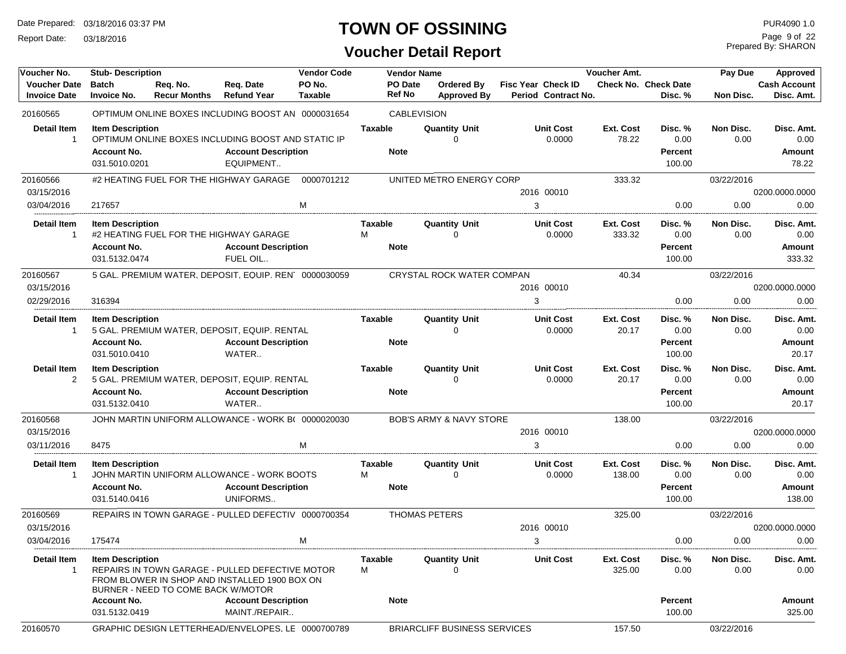Report Date: 03/18/2016

# **TOWN OF OSSINING**

**Voucher Detail Report**

Prepared By: SHARON Page 9 of 22

| Voucher No.         | <b>Stub-Description</b>             | <b>Vendor Code</b><br><b>Vendor Name</b><br>Voucher Amt. |                                                       |            |                |                                     |                           | Pay Due   | Approved             |            |                     |
|---------------------|-------------------------------------|----------------------------------------------------------|-------------------------------------------------------|------------|----------------|-------------------------------------|---------------------------|-----------|----------------------|------------|---------------------|
| <b>Voucher Date</b> | <b>Batch</b>                        | Req. No.                                                 | Req. Date                                             | PO No.     | PO Date        | Ordered By                          | <b>Fisc Year Check ID</b> |           | Check No. Check Date |            | <b>Cash Account</b> |
| <b>Invoice Date</b> | <b>Invoice No.</b>                  | <b>Recur Months</b>                                      | <b>Refund Year</b>                                    | Taxable    | Ref No         | <b>Approved By</b>                  | Period Contract No.       |           | Disc. %              | Non Disc.  | Disc. Amt.          |
| 20160565            |                                     |                                                          | OPTIMUM ONLINE BOXES INCLUDING BOOST AN 0000031654    |            |                | <b>CABLEVISION</b>                  |                           |           |                      |            |                     |
| <b>Detail Item</b>  | <b>Item Description</b>             |                                                          |                                                       |            | <b>Taxable</b> | <b>Quantity Unit</b>                | <b>Unit Cost</b>          | Ext. Cost | Disc. %              | Non Disc.  | Disc. Amt.          |
| -1                  |                                     |                                                          | OPTIMUM ONLINE BOXES INCLUDING BOOST AND STATIC IP    |            |                |                                     | 0.0000                    | 78.22     | 0.00                 | 0.00       | 0.00                |
|                     | <b>Account No.</b>                  |                                                          | <b>Account Description</b>                            |            | <b>Note</b>    |                                     |                           |           | <b>Percent</b>       |            | Amount              |
|                     | 031.5010.0201                       |                                                          | EQUIPMENT                                             |            |                |                                     |                           |           | 100.00               |            | 78.22               |
| 20160566            |                                     |                                                          | #2 HEATING FUEL FOR THE HIGHWAY GARAGE                | 0000701212 |                | UNITED METRO ENERGY CORP            |                           | 333.32    |                      | 03/22/2016 |                     |
| 03/15/2016          |                                     |                                                          |                                                       |            |                |                                     | 2016 00010                |           |                      |            | 0200.0000.0000      |
| 03/04/2016          | 217657                              |                                                          |                                                       | M          |                |                                     | 3                         |           | 0.00                 | 0.00       | 0.00                |
| <b>Detail Item</b>  | <b>Item Description</b>             |                                                          |                                                       |            | <b>Taxable</b> | <b>Quantity Unit</b>                | <b>Unit Cost</b>          | Ext. Cost | Disc. %              | Non Disc.  | Disc. Amt.          |
| -1                  |                                     |                                                          | #2 HEATING FUEL FOR THE HIGHWAY GARAGE                |            | м              | 0                                   | 0.0000                    | 333.32    | 0.00                 | 0.00       | 0.00                |
|                     | <b>Account No.</b>                  |                                                          | <b>Account Description</b>                            |            | <b>Note</b>    |                                     |                           |           | <b>Percent</b>       |            | Amount              |
|                     | 031.5132.0474                       |                                                          | FUEL OIL                                              |            |                |                                     |                           |           | 100.00               |            | 333.32              |
| 20160567            |                                     |                                                          | 5 GAL. PREMIUM WATER, DEPOSIT, EQUIP. REN' 0000030059 |            |                | CRYSTAL ROCK WATER COMPAN           |                           | 40.34     |                      | 03/22/2016 |                     |
| 03/15/2016          |                                     |                                                          |                                                       |            |                |                                     | 2016 00010                |           |                      |            | 0200.0000.0000      |
| 02/29/2016          | 316394                              |                                                          |                                                       |            |                |                                     | 3                         |           | 0.00                 | 0.00       | 0.00                |
| <b>Detail Item</b>  | <b>Item Description</b>             |                                                          |                                                       |            | <b>Taxable</b> | <b>Quantity Unit</b>                | <b>Unit Cost</b>          | Ext. Cost | Disc. %              | Non Disc.  | Disc. Amt.          |
| -1                  |                                     |                                                          | 5 GAL. PREMIUM WATER, DEPOSIT, EQUIP. RENTAL          |            |                | $\Omega$                            | 0.0000                    | 20.17     | 0.00                 | 0.00       | 0.00                |
|                     | <b>Account No.</b>                  |                                                          | <b>Account Description</b>                            |            | <b>Note</b>    |                                     |                           |           | <b>Percent</b>       |            | Amount              |
|                     | 031.5010.0410                       |                                                          | WATER                                                 |            |                |                                     |                           |           | 100.00               |            | 20.17               |
| <b>Detail Item</b>  | <b>Item Description</b>             |                                                          |                                                       |            | <b>Taxable</b> | <b>Quantity Unit</b>                | <b>Unit Cost</b>          | Ext. Cost | Disc. %              | Non Disc.  | Disc. Amt.          |
| $\overline{2}$      |                                     |                                                          | 5 GAL. PREMIUM WATER, DEPOSIT, EQUIP. RENTAL          |            |                | ∩                                   | 0.0000                    | 20.17     | 0.00                 | 0.00       | 0.00                |
|                     | <b>Account No.</b><br>031.5132.0410 |                                                          | <b>Account Description</b><br>WATER                   |            | <b>Note</b>    |                                     |                           |           | Percent<br>100.00    |            | Amount<br>20.17     |
|                     |                                     |                                                          |                                                       |            |                |                                     |                           |           |                      |            |                     |
| 20160568            |                                     |                                                          | JOHN MARTIN UNIFORM ALLOWANCE - WORK B( 0000020030    |            |                | <b>BOB'S ARMY &amp; NAVY STORE</b>  |                           | 138.00    |                      | 03/22/2016 |                     |
| 03/15/2016          |                                     |                                                          |                                                       |            |                |                                     | 2016 00010                |           |                      |            | 0200.0000.0000      |
| 03/11/2016          | 8475                                |                                                          |                                                       | M          |                |                                     | 3                         |           | 0.00                 | 0.00       | 0.00                |
| <b>Detail Item</b>  | <b>Item Description</b>             |                                                          |                                                       |            | Taxable        | <b>Quantity Unit</b>                | <b>Unit Cost</b>          | Ext. Cost | Disc. %              | Non Disc.  | Disc. Amt.          |
| -1                  |                                     |                                                          | JOHN MARTIN UNIFORM ALLOWANCE - WORK BOOTS            |            | м              | $\Omega$                            | 0.0000                    | 138.00    | 0.00                 | 0.00       | 0.00                |
|                     | <b>Account No.</b>                  |                                                          | <b>Account Description</b>                            |            | <b>Note</b>    |                                     |                           |           | <b>Percent</b>       |            | <b>Amount</b>       |
|                     | 031.5140.0416                       |                                                          | UNIFORMS                                              |            |                |                                     |                           |           | 100.00               |            | 138.00              |
| 20160569            |                                     |                                                          | REPAIRS IN TOWN GARAGE - PULLED DEFECTIV 0000700354   |            |                | <b>THOMAS PETERS</b>                |                           | 325.00    |                      | 03/22/2016 |                     |
| 03/15/2016          |                                     |                                                          |                                                       |            |                |                                     | 2016 00010                |           |                      |            | 0200.0000.0000      |
| 03/04/2016          | 175474                              |                                                          |                                                       | M          |                |                                     | 3                         |           | 0.00                 | 0.00       | 0.00                |
| Detail Item         | <b>Item Description</b>             |                                                          |                                                       |            | Taxable        | <b>Quantity Unit</b>                | <b>Unit Cost</b>          | Ext. Cost | Disc. %              | Non Disc.  | Disc. Amt.          |
|                     |                                     |                                                          | REPAIRS IN TOWN GARAGE - PULLED DEFECTIVE MOTOR       |            | м              |                                     |                           | 325.00    | 0.00                 | 0.00       | $0.00\,$            |
|                     |                                     | BURNER - NEED TO COME BACK W/MOTOR                       | FROM BLOWER IN SHOP AND INSTALLED 1900 BOX ON         |            |                |                                     |                           |           |                      |            |                     |
|                     | <b>Account No.</b>                  |                                                          | <b>Account Description</b>                            |            | <b>Note</b>    |                                     |                           |           | Percent              |            | Amount              |
|                     | 031.5132.0419                       |                                                          | MAINT./REPAIR                                         |            |                |                                     |                           |           | 100.00               |            | 325.00              |
| 20160570            |                                     |                                                          | GRAPHIC DESIGN LETTERHEAD/ENVELOPES, LE 0000700789    |            |                | <b>BRIARCLIFF BUSINESS SERVICES</b> |                           | 157.50    |                      | 03/22/2016 |                     |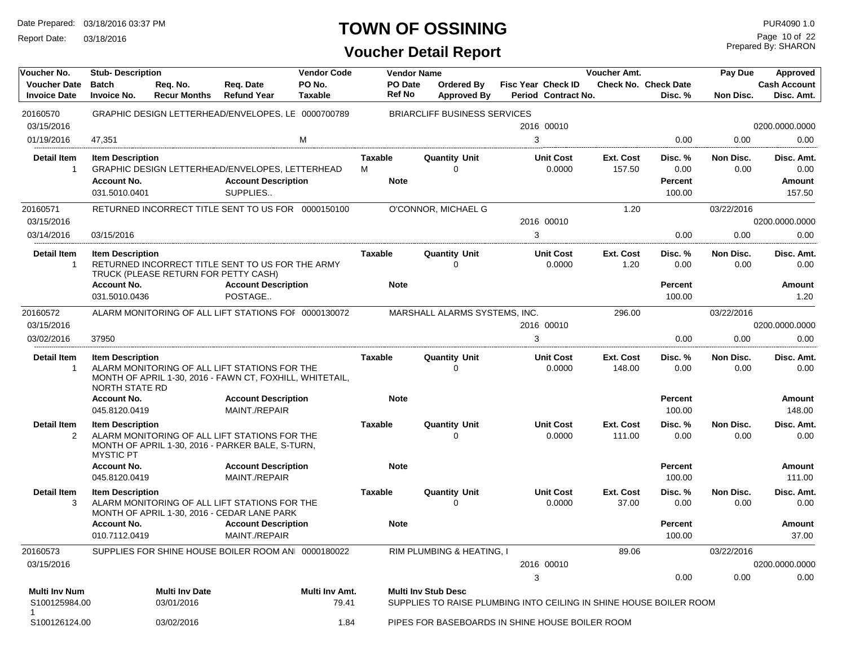Report Date: 03/18/2016

# **TOWN OF OSSINING**

Prepared By: SHARON Page 10 of 22

| Voucher No.                                | <b>Stub-Description</b>            |                                      |                                                                                                           | <b>Vendor Code</b>       |                          | <b>Vendor Name</b>         |                                                 |   |                                                  | <b>Voucher Amt.</b> |                                                                    | Pay Due           | Approved                          |
|--------------------------------------------|------------------------------------|--------------------------------------|-----------------------------------------------------------------------------------------------------------|--------------------------|--------------------------|----------------------------|-------------------------------------------------|---|--------------------------------------------------|---------------------|--------------------------------------------------------------------|-------------------|-----------------------------------|
| <b>Voucher Date</b><br><b>Invoice Date</b> | <b>Batch</b><br><b>Invoice No.</b> | Req. No.<br><b>Recur Months</b>      | Req. Date<br><b>Refund Year</b>                                                                           | PO No.<br><b>Taxable</b> | PO Date<br><b>Ref No</b> |                            | Ordered By<br><b>Approved By</b>                |   | <b>Fisc Year Check ID</b><br>Period Contract No. |                     | <b>Check No. Check Date</b><br>Disc. %                             | Non Disc.         | <b>Cash Account</b><br>Disc. Amt. |
| 20160570                                   |                                    |                                      | GRAPHIC DESIGN LETTERHEAD/ENVELOPES, LE 0000700789                                                        |                          |                          |                            | <b>BRIARCLIFF BUSINESS SERVICES</b>             |   |                                                  |                     |                                                                    |                   |                                   |
| 03/15/2016                                 |                                    |                                      |                                                                                                           |                          |                          |                            |                                                 |   | 2016 00010                                       |                     |                                                                    |                   | 0200.0000.0000                    |
| 01/19/2016                                 | 47,351                             |                                      |                                                                                                           | M                        |                          |                            |                                                 | 3 |                                                  |                     | 0.00                                                               | 0.00              | 0.00                              |
| Detail Item                                | <b>Item Description</b>            |                                      |                                                                                                           |                          | Taxable                  |                            | Quantity Unit                                   |   | <b>Unit Cost</b>                                 | Ext. Cost           | Disc. %                                                            | Non Disc.         | Disc. Amt.                        |
| $\mathbf 1$                                |                                    |                                      | GRAPHIC DESIGN LETTERHEAD/ENVELOPES, LETTERHEAD                                                           |                          | М                        |                            | $\Omega$                                        |   | 0.0000                                           | 157.50              | 0.00                                                               | 0.00              | 0.00                              |
|                                            | <b>Account No.</b>                 |                                      | <b>Account Description</b>                                                                                |                          | <b>Note</b>              |                            |                                                 |   |                                                  |                     | Percent                                                            |                   | Amount                            |
|                                            | 031.5010.0401                      |                                      | SUPPLIES                                                                                                  |                          |                          |                            |                                                 |   |                                                  |                     | 100.00                                                             |                   | 157.50                            |
| 20160571                                   |                                    |                                      | RETURNED INCORRECT TITLE SENT TO US FOR 0000150100                                                        |                          |                          |                            | O'CONNOR, MICHAEL G                             |   |                                                  | 1.20                |                                                                    | 03/22/2016        |                                   |
| 03/15/2016                                 |                                    |                                      |                                                                                                           |                          |                          |                            |                                                 |   | 2016 00010                                       |                     |                                                                    |                   | 0200.0000.0000                    |
| 03/14/2016                                 | 03/15/2016                         |                                      |                                                                                                           |                          |                          |                            |                                                 | 3 |                                                  |                     | 0.00                                                               | 0.00              | 0.00                              |
| <b>Detail Item</b>                         | <b>Item Description</b>            |                                      |                                                                                                           |                          | Taxable                  |                            | <b>Quantity Unit</b>                            |   | <b>Unit Cost</b>                                 | Ext. Cost           | Disc. %                                                            | Non Disc.         | Disc. Amt.                        |
| -1                                         |                                    | TRUCK (PLEASE RETURN FOR PETTY CASH) | RETURNED INCORRECT TITLE SENT TO US FOR THE ARMY                                                          |                          |                          |                            | $\Omega$                                        |   | 0.0000                                           | 1.20                | 0.00                                                               | 0.00              | 0.00                              |
|                                            | <b>Account No.</b>                 |                                      | <b>Account Description</b>                                                                                |                          | <b>Note</b>              |                            |                                                 |   |                                                  |                     | <b>Percent</b>                                                     |                   | <b>Amount</b>                     |
|                                            | 031.5010.0436                      |                                      | POSTAGE                                                                                                   |                          |                          |                            |                                                 |   |                                                  |                     | 100.00                                                             |                   | 1.20                              |
| 20160572                                   |                                    |                                      | ALARM MONITORING OF ALL LIFT STATIONS FOF 0000130072                                                      |                          |                          |                            | MARSHALL ALARMS SYSTEMS, INC.                   |   |                                                  | 296.00              |                                                                    | 03/22/2016        |                                   |
| 03/15/2016                                 |                                    |                                      |                                                                                                           |                          |                          |                            |                                                 |   | 2016 00010                                       |                     |                                                                    |                   | 0200.0000.0000                    |
| 03/02/2016                                 | 37950                              |                                      |                                                                                                           |                          |                          |                            |                                                 | 3 |                                                  |                     | 0.00                                                               | 0.00              | 0.00                              |
| <b>Detail Item</b><br>-1                   | <b>Item Description</b>            |                                      | ALARM MONITORING OF ALL LIFT STATIONS FOR THE<br>MONTH OF APRIL 1-30, 2016 - FAWN CT, FOXHILL, WHITETAIL, |                          | Taxable                  |                            | <b>Quantity Unit</b><br>0                       |   | <b>Unit Cost</b><br>0.0000                       | Ext. Cost<br>148.00 | Disc. %<br>0.00                                                    | Non Disc.<br>0.00 | Disc. Amt.<br>0.00                |
|                                            | <b>NORTH STATE RD</b>              |                                      |                                                                                                           |                          |                          |                            |                                                 |   |                                                  |                     |                                                                    |                   |                                   |
|                                            | <b>Account No.</b>                 |                                      | <b>Account Description</b>                                                                                |                          | <b>Note</b>              |                            |                                                 |   |                                                  |                     | Percent                                                            |                   | Amount                            |
|                                            | 045.8120.0419                      |                                      | MAINT./REPAIR                                                                                             |                          |                          |                            |                                                 |   |                                                  |                     | 100.00                                                             |                   | 148.00                            |
| <b>Detail Item</b>                         | <b>Item Description</b>            |                                      |                                                                                                           |                          | Taxable                  |                            | <b>Quantity Unit</b>                            |   | <b>Unit Cost</b>                                 | Ext. Cost           | Disc. %                                                            | Non Disc.         | Disc. Amt.                        |
| 2                                          | <b>MYSTIC PT</b>                   |                                      | ALARM MONITORING OF ALL LIFT STATIONS FOR THE<br>MONTH OF APRIL 1-30, 2016 - PARKER BALE, S-TURN,         |                          |                          |                            | ∩                                               |   | 0.0000                                           | 111.00              | 0.00                                                               | 0.00              | 0.00                              |
|                                            | <b>Account No.</b>                 |                                      | <b>Account Description</b>                                                                                |                          | <b>Note</b>              |                            |                                                 |   |                                                  |                     | Percent                                                            |                   | Amount                            |
|                                            | 045.8120.0419                      |                                      | MAINT./REPAIR                                                                                             |                          |                          |                            |                                                 |   |                                                  |                     | 100.00                                                             |                   | 111.00                            |
| <b>Detail Item</b><br>3                    | <b>Item Description</b>            |                                      | ALARM MONITORING OF ALL LIFT STATIONS FOR THE<br>MONTH OF APRIL 1-30, 2016 - CEDAR LANE PARK              |                          | Taxable                  |                            | <b>Quantity Unit</b><br>O                       |   | <b>Unit Cost</b><br>0.0000                       | Ext. Cost<br>37.00  | Disc. %<br>0.00                                                    | Non Disc.<br>0.00 | Disc. Amt.<br>0.00                |
|                                            | <b>Account No.</b>                 |                                      | <b>Account Description</b>                                                                                |                          | <b>Note</b>              |                            |                                                 |   |                                                  |                     | <b>Percent</b>                                                     |                   | Amount                            |
|                                            | 010.7112.0419                      |                                      | MAINT./REPAIR                                                                                             |                          |                          |                            |                                                 |   |                                                  |                     | 100.00                                                             |                   | 37.00                             |
| 20160573                                   |                                    |                                      | SUPPLIES FOR SHINE HOUSE BOILER ROOM AN 0000180022                                                        |                          |                          |                            | RIM PLUMBING & HEATING, I                       |   |                                                  | 89.06               |                                                                    | 03/22/2016        |                                   |
| 03/15/2016                                 |                                    |                                      |                                                                                                           |                          |                          |                            |                                                 |   | 2016 00010                                       |                     |                                                                    |                   | 0200.0000.0000                    |
|                                            |                                    |                                      |                                                                                                           |                          |                          |                            |                                                 | 3 |                                                  |                     | 0.00                                                               | 0.00              | 0.00                              |
| <b>Multi Inv Num</b><br>S100125984.00      |                                    | <b>Multi Inv Date</b><br>03/01/2016  |                                                                                                           | Multi Inv Amt.<br>79.41  |                          | <b>Multi Inv Stub Desc</b> |                                                 |   |                                                  |                     | SUPPLIES TO RAISE PLUMBING INTO CEILING IN SHINE HOUSE BOILER ROOM |                   |                                   |
| 1<br>S100126124.00                         |                                    | 03/02/2016                           |                                                                                                           | 1.84                     |                          |                            | PIPES FOR BASEBOARDS IN SHINE HOUSE BOILER ROOM |   |                                                  |                     |                                                                    |                   |                                   |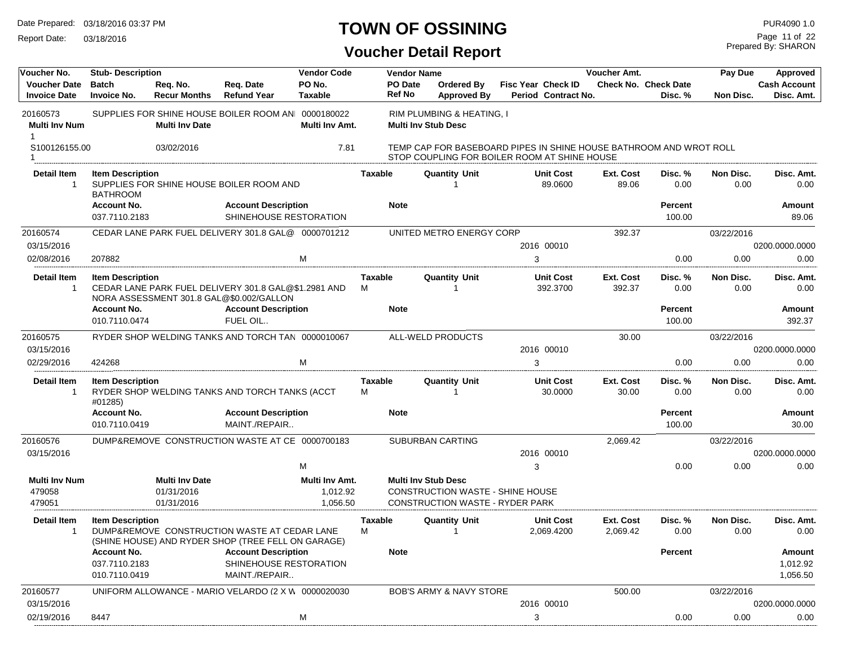Report Date: 03/18/2016

# **TOWN OF OSSINING**

Prepared By: SHARON Page 11 of 22

| Voucher No.                                | <b>Stub-Description</b>                    |                                                   |                                                                                                    | <b>Vendor Code</b>                     |                     | <b>Vendor Name</b> |                                                                                                                    |                                                  | Voucher Amt.          |                                        | Pay Due           | Approved                          |
|--------------------------------------------|--------------------------------------------|---------------------------------------------------|----------------------------------------------------------------------------------------------------|----------------------------------------|---------------------|--------------------|--------------------------------------------------------------------------------------------------------------------|--------------------------------------------------|-----------------------|----------------------------------------|-------------------|-----------------------------------|
| <b>Voucher Date</b><br><b>Invoice Date</b> | <b>Batch</b><br><b>Invoice No.</b>         | Reg. No.<br><b>Recur Months</b>                   | Reg. Date<br><b>Refund Year</b>                                                                    | PO No.<br>Taxable                      | <b>Ref No</b>       | PO Date            | Ordered By<br><b>Approved By</b>                                                                                   | <b>Fisc Year Check ID</b><br>Period Contract No. |                       | <b>Check No. Check Date</b><br>Disc. % | Non Disc.         | <b>Cash Account</b><br>Disc. Amt. |
| 20160573<br><b>Multi Inv Num</b><br>1      |                                            | <b>Multi Inv Date</b>                             | SUPPLIES FOR SHINE HOUSE BOILER ROOM AN 0000180022                                                 | Multi Inv Amt.                         |                     |                    | RIM PLUMBING & HEATING, I<br><b>Multi Inv Stub Desc</b>                                                            |                                                  |                       |                                        |                   |                                   |
| S100126155.00                              |                                            | 03/02/2016                                        |                                                                                                    | 7.81                                   |                     |                    | TEMP CAP FOR BASEBOARD PIPES IN SHINE HOUSE BATHROOM AND WROT ROLL<br>STOP COUPLING FOR BOILER ROOM AT SHINE HOUSE |                                                  |                       |                                        |                   |                                   |
| <b>Detail Item</b><br>$\mathbf{1}$         | <b>Item Description</b><br><b>BATHROOM</b> |                                                   | SUPPLIES FOR SHINE HOUSE BOILER ROOM AND                                                           |                                        | Taxable             |                    | <b>Quantity Unit</b>                                                                                               | <b>Unit Cost</b><br>89.0600                      | Ext. Cost<br>89.06    | Disc. %<br>0.00                        | Non Disc.<br>0.00 | Disc. Amt.<br>0.00                |
|                                            | <b>Account No.</b>                         |                                                   | <b>Account Description</b>                                                                         |                                        | <b>Note</b>         |                    |                                                                                                                    |                                                  |                       | <b>Percent</b>                         |                   | <b>Amount</b>                     |
|                                            | 037.7110.2183                              |                                                   | SHINEHOUSE RESTORATION                                                                             |                                        |                     |                    |                                                                                                                    |                                                  |                       | 100.00                                 |                   | 89.06                             |
| 20160574                                   |                                            |                                                   | CEDAR LANE PARK FUEL DELIVERY 301.8 GAL@ 0000701212                                                |                                        |                     |                    | UNITED METRO ENERGY CORP                                                                                           |                                                  | 392.37                |                                        | 03/22/2016        |                                   |
| 03/15/2016                                 |                                            |                                                   |                                                                                                    |                                        |                     |                    |                                                                                                                    | 2016 00010                                       |                       |                                        |                   | 0200.0000.0000                    |
| 02/08/2016                                 | 207882                                     |                                                   |                                                                                                    | M                                      |                     |                    |                                                                                                                    | 3                                                |                       | 0.00                                   | 0.00              | 0.00                              |
| <b>Detail Item</b><br>$\mathbf{1}$         | <b>Item Description</b>                    |                                                   | CEDAR LANE PARK FUEL DELIVERY 301.8 GAL@\$1.2981 AND<br>NORA ASSESSMENT 301.8 GAL@\$0.002/GALLON   |                                        | Taxable<br>M        |                    | <b>Quantity Unit</b><br>$\overline{1}$                                                                             | <b>Unit Cost</b><br>392.3700                     | Ext. Cost<br>392.37   | Disc. %<br>0.00                        | Non Disc.<br>0.00 | Disc. Amt.<br>0.00                |
|                                            | <b>Account No.</b><br>010.7110.0474        |                                                   | <b>Account Description</b><br>FUEL OIL                                                             |                                        | <b>Note</b>         |                    |                                                                                                                    |                                                  |                       | Percent<br>100.00                      |                   | Amount<br>392.37                  |
| 20160575                                   |                                            |                                                   | RYDER SHOP WELDING TANKS AND TORCH TAN 0000010067                                                  |                                        |                     |                    | ALL-WELD PRODUCTS                                                                                                  |                                                  | 30.00                 |                                        | 03/22/2016        |                                   |
| 03/15/2016                                 |                                            |                                                   |                                                                                                    |                                        |                     |                    |                                                                                                                    | 2016 00010                                       |                       |                                        |                   | 0200.0000.0000                    |
| 02/29/2016                                 | 424268                                     |                                                   |                                                                                                    | М                                      |                     |                    |                                                                                                                    | 3                                                |                       | 0.00                                   | 0.00              | 0.00                              |
| <b>Detail Item</b><br>$\mathbf{1}$         | <b>Item Description</b><br>#01285)         |                                                   | RYDER SHOP WELDING TANKS AND TORCH TANKS (ACCT                                                     |                                        | <b>Taxable</b><br>м |                    | <b>Quantity Unit</b><br>-1                                                                                         | <b>Unit Cost</b><br>30.0000                      | Ext. Cost<br>30.00    | Disc. %<br>0.00                        | Non Disc.<br>0.00 | Disc. Amt.<br>0.00                |
|                                            | <b>Account No.</b>                         |                                                   | <b>Account Description</b>                                                                         |                                        | <b>Note</b>         |                    |                                                                                                                    |                                                  |                       | <b>Percent</b>                         |                   | <b>Amount</b>                     |
|                                            | 010.7110.0419                              |                                                   | MAINT./REPAIR                                                                                      |                                        |                     |                    |                                                                                                                    |                                                  |                       | 100.00                                 |                   | 30.00                             |
| 20160576                                   |                                            |                                                   | DUMP&REMOVE CONSTRUCTION WASTE AT CE 0000700183                                                    |                                        |                     |                    | <b>SUBURBAN CARTING</b>                                                                                            |                                                  | 2,069.42              |                                        | 03/22/2016        |                                   |
| 03/15/2016                                 |                                            |                                                   |                                                                                                    |                                        |                     |                    |                                                                                                                    | 2016 00010                                       |                       |                                        |                   | 0200.0000.0000                    |
|                                            |                                            |                                                   |                                                                                                    | м                                      |                     |                    |                                                                                                                    | 3                                                |                       | 0.00                                   | 0.00              | 0.00                              |
| <b>Multi Inv Num</b><br>479058<br>479051   |                                            | <b>Multi Inv Date</b><br>01/31/2016<br>01/31/2016 |                                                                                                    | Multi Inv Amt.<br>1,012.92<br>1.056.50 |                     |                    | <b>Multi Inv Stub Desc</b><br><b>CONSTRUCTION WASTE - SHINE HOUSE</b><br><b>CONSTRUCTION WASTE - RYDER PARK</b>    |                                                  |                       |                                        |                   |                                   |
| <b>Detail Item</b>                         | <b>Item Description</b>                    |                                                   | DUMP&REMOVE CONSTRUCTION WASTE AT CEDAR LANE<br>(SHINE HOUSE) AND RYDER SHOP (TREE FELL ON GARAGE) |                                        | <b>Taxable</b><br>м |                    | <b>Quantity Unit</b><br>$\overline{1}$                                                                             | <b>Unit Cost</b><br>2,069.4200                   | Ext. Cost<br>2,069.42 | Disc. %<br>0.00                        | Non Disc.<br>0.00 | Disc. Amt.<br>0.00                |
|                                            | <b>Account No.</b>                         |                                                   | <b>Account Description</b>                                                                         |                                        | <b>Note</b>         |                    |                                                                                                                    |                                                  |                       | <b>Percent</b>                         |                   | Amount                            |
|                                            | 037.7110.2183<br>010.7110.0419             |                                                   | SHINEHOUSE RESTORATION<br>MAINT./REPAIR                                                            |                                        |                     |                    |                                                                                                                    |                                                  |                       |                                        |                   | 1,012.92<br>1,056.50              |
| 20160577                                   |                                            |                                                   | UNIFORM ALLOWANCE - MARIO VELARDO (2 X W 0000020030                                                |                                        |                     |                    | <b>BOB'S ARMY &amp; NAVY STORE</b>                                                                                 |                                                  | 500.00                |                                        | 03/22/2016        |                                   |
| 03/15/2016                                 |                                            |                                                   |                                                                                                    |                                        |                     |                    |                                                                                                                    | 2016 00010                                       |                       |                                        |                   | 0200.0000.0000                    |
| 02/19/2016                                 | 8447                                       |                                                   |                                                                                                    | М                                      |                     |                    |                                                                                                                    | 3                                                |                       | 0.00                                   | 0.00              | 0.00                              |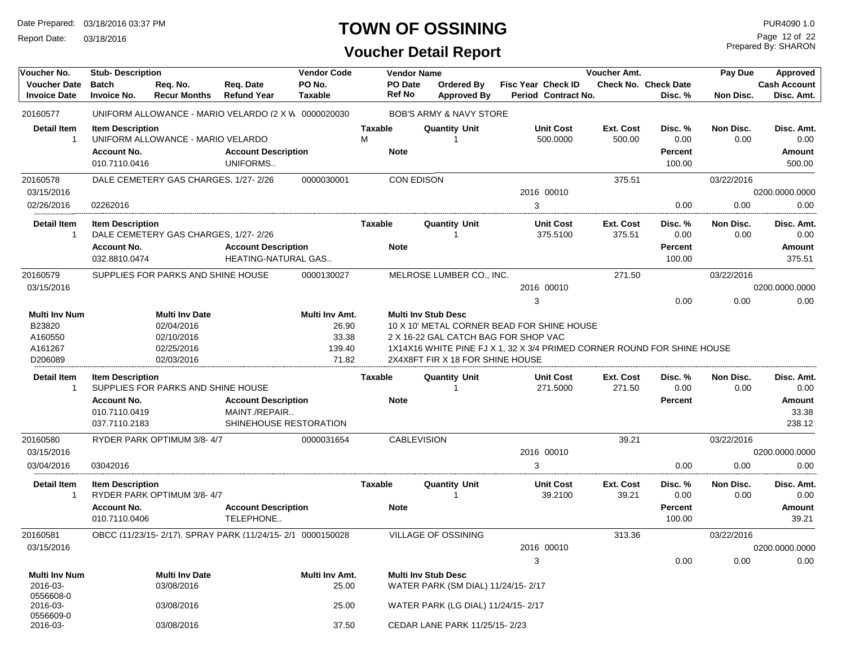Report Date: 03/18/2016

# **TOWN OF OSSINING**

# **Voucher Detail Report**

Prepared By: SHARON Page 12 of 22

| Voucher No.                                                     | <b>Stub-Description</b>                                                                                                                                                                                                                                                                                                                                                 |                                      |                                                           | <b>Vendor Code</b>      |                     | <b>Vendor Name</b>       |                                                                  |                                                  | Voucher Amt.               |                                        | Pay Due           | Approved                          |
|-----------------------------------------------------------------|-------------------------------------------------------------------------------------------------------------------------------------------------------------------------------------------------------------------------------------------------------------------------------------------------------------------------------------------------------------------------|--------------------------------------|-----------------------------------------------------------|-------------------------|---------------------|--------------------------|------------------------------------------------------------------|--------------------------------------------------|----------------------------|----------------------------------------|-------------------|-----------------------------------|
| <b>Voucher Date</b><br><b>Invoice Date</b>                      | <b>Batch</b><br><b>Invoice No.</b>                                                                                                                                                                                                                                                                                                                                      | Req. No.<br><b>Recur Months</b>      | Req. Date<br><b>Refund Year</b>                           | PO No.<br>Taxable       |                     | PO Date<br><b>Ref No</b> | Ordered By<br><b>Approved By</b>                                 | <b>Fisc Year Check ID</b><br>Period Contract No. |                            | <b>Check No. Check Date</b><br>Disc. % | Non Disc.         | <b>Cash Account</b><br>Disc. Amt. |
| 20160577                                                        |                                                                                                                                                                                                                                                                                                                                                                         |                                      | UNIFORM ALLOWANCE - MARIO VELARDO (2 X W 0000020030       |                         |                     |                          | BOB'S ARMY & NAVY STORE                                          |                                                  |                            |                                        |                   |                                   |
| <b>Detail Item</b>                                              | <b>Item Description</b><br><b>Account No.</b>                                                                                                                                                                                                                                                                                                                           | UNIFORM ALLOWANCE - MARIO VELARDO    | <b>Account Description</b>                                |                         | <b>Taxable</b><br>M | <b>Note</b>              | <b>Quantity Unit</b>                                             | <b>Unit Cost</b><br>500.0000                     | <b>Ext. Cost</b><br>500.00 | Disc. %<br>0.00<br>Percent             | Non Disc.<br>0.00 | Disc. Amt.<br>0.00<br>Amount      |
|                                                                 | 010.7110.0416                                                                                                                                                                                                                                                                                                                                                           |                                      | UNIFORMS                                                  |                         |                     |                          |                                                                  |                                                  |                            | 100.00                                 |                   | 500.00                            |
| 20160578                                                        |                                                                                                                                                                                                                                                                                                                                                                         | DALE CEMETERY GAS CHARGES, 1/27-2/26 |                                                           | 0000030001              |                     | <b>CON EDISON</b>        |                                                                  |                                                  | 375.51                     |                                        | 03/22/2016        |                                   |
| 03/15/2016                                                      |                                                                                                                                                                                                                                                                                                                                                                         |                                      |                                                           |                         |                     |                          |                                                                  | 2016 00010                                       |                            |                                        |                   | 0200.0000.0000                    |
| 02/26/2016                                                      | 02262016                                                                                                                                                                                                                                                                                                                                                                |                                      |                                                           |                         |                     |                          |                                                                  | 3                                                |                            | 0.00                                   | 0.00              | 0.00                              |
| <b>Detail Item</b><br>-1                                        | <b>Item Description</b>                                                                                                                                                                                                                                                                                                                                                 | DALE CEMETERY GAS CHARGES, 1/27-2/26 |                                                           |                         | <b>Taxable</b>      |                          | <b>Quantity Unit</b>                                             | <b>Unit Cost</b><br>375.5100                     | Ext. Cost<br>375.51        | Disc. %<br>0.00                        | Non Disc.<br>0.00 | Disc. Amt.<br>0.00                |
|                                                                 | <b>Account No.</b>                                                                                                                                                                                                                                                                                                                                                      |                                      | <b>Account Description</b>                                |                         |                     | <b>Note</b>              |                                                                  |                                                  |                            | Percent                                |                   | Amount                            |
|                                                                 | 032.8810.0474                                                                                                                                                                                                                                                                                                                                                           |                                      | HEATING-NATURAL GAS                                       |                         |                     |                          |                                                                  |                                                  |                            | 100.00                                 |                   | 375.51                            |
| 20160579                                                        |                                                                                                                                                                                                                                                                                                                                                                         | SUPPLIES FOR PARKS AND SHINE HOUSE   |                                                           | 0000130027              |                     |                          | MELROSE LUMBER CO., INC.                                         |                                                  | 271.50                     |                                        | 03/22/2016        |                                   |
| 03/15/2016                                                      |                                                                                                                                                                                                                                                                                                                                                                         |                                      |                                                           |                         |                     |                          |                                                                  | 2016 00010                                       |                            |                                        |                   | 0200.0000.0000                    |
|                                                                 |                                                                                                                                                                                                                                                                                                                                                                         |                                      |                                                           |                         |                     |                          |                                                                  | 3                                                |                            | 0.00                                   | 0.00              | 0.00                              |
| <b>Multi Inv Num</b><br>B23820<br>A160550<br>A161267<br>D206089 | <b>Multi Inv Stub Desc</b><br><b>Multi Inv Date</b><br>Multi Inv Amt.<br>02/04/2016<br>26.90<br>10 X 10' METAL CORNER BEAD FOR SHINE HOUSE<br>02/10/2016<br>33.38<br>2 X 16-22 GAL CATCH BAG FOR SHOP VAC<br>02/25/2016<br>139.40<br>1X14X16 WHITE PINE FJ X 1, 32 X 3/4 PRIMED CORNER ROUND FOR SHINE HOUSE<br>02/03/2016<br>71.82<br>2X4X8FT FIR X 18 FOR SHINE HOUSE |                                      |                                                           |                         |                     |                          |                                                                  |                                                  |                            |                                        |                   |                                   |
| <b>Detail Item</b>                                              | <b>Item Description</b>                                                                                                                                                                                                                                                                                                                                                 |                                      |                                                           |                         | <b>Taxable</b>      |                          | <b>Quantity Unit</b>                                             | <b>Unit Cost</b>                                 | <b>Ext. Cost</b>           | Disc. %                                | Non Disc.         | Disc. Amt.                        |
| -1                                                              |                                                                                                                                                                                                                                                                                                                                                                         | SUPPLIES FOR PARKS AND SHINE HOUSE   |                                                           |                         |                     |                          |                                                                  | 271.5000                                         | 271.50                     | 0.00                                   | 0.00              | 0.00                              |
|                                                                 | <b>Account No.</b>                                                                                                                                                                                                                                                                                                                                                      |                                      | <b>Account Description</b>                                |                         |                     | <b>Note</b>              |                                                                  |                                                  |                            | Percent                                |                   | Amount                            |
|                                                                 | 010.7110.0419                                                                                                                                                                                                                                                                                                                                                           |                                      | MAINT./REPAIR                                             |                         |                     |                          |                                                                  |                                                  |                            |                                        |                   | 33.38                             |
|                                                                 | 037.7110.2183                                                                                                                                                                                                                                                                                                                                                           |                                      | SHINEHOUSE RESTORATION                                    |                         |                     |                          |                                                                  |                                                  |                            |                                        |                   | 238.12                            |
| 20160580                                                        |                                                                                                                                                                                                                                                                                                                                                                         | RYDER PARK OPTIMUM 3/8-4/7           |                                                           | 0000031654              |                     | <b>CABLEVISION</b>       |                                                                  |                                                  | 39.21                      |                                        | 03/22/2016        |                                   |
| 03/15/2016                                                      |                                                                                                                                                                                                                                                                                                                                                                         |                                      |                                                           |                         |                     |                          |                                                                  | 2016 00010                                       |                            |                                        |                   | 0200.0000.0000                    |
| 03/04/2016                                                      | 03042016                                                                                                                                                                                                                                                                                                                                                                |                                      |                                                           |                         |                     |                          |                                                                  | 3                                                |                            | 0.00                                   | 0.00              | 0.00                              |
| <b>Detail Item</b><br>-1                                        | <b>Item Description</b>                                                                                                                                                                                                                                                                                                                                                 | RYDER PARK OPTIMUM 3/8-4/7           |                                                           |                         | Taxable             |                          | <b>Quantity Unit</b>                                             | <b>Unit Cost</b><br>39.2100                      | Ext. Cost<br>39.21         | Disc. %<br>0.00                        | Non Disc.<br>0.00 | Disc. Amt.<br>0.00                |
|                                                                 | <b>Account No.</b>                                                                                                                                                                                                                                                                                                                                                      |                                      | <b>Account Description</b>                                |                         |                     | <b>Note</b>              |                                                                  |                                                  |                            | Percent                                |                   | Amount                            |
|                                                                 | 010.7110.0406                                                                                                                                                                                                                                                                                                                                                           |                                      | TELEPHONE                                                 |                         |                     |                          |                                                                  |                                                  |                            | 100.00                                 |                   | 39.21                             |
| 20160581                                                        |                                                                                                                                                                                                                                                                                                                                                                         |                                      | OBCC (11/23/15-2/17), SPRAY PARK (11/24/15-2/1 0000150028 |                         |                     |                          | VILLAGE OF OSSINING                                              |                                                  | 313.36                     |                                        | 03/22/2016        |                                   |
| 03/15/2016                                                      |                                                                                                                                                                                                                                                                                                                                                                         |                                      |                                                           |                         |                     |                          |                                                                  | 2016 00010                                       |                            |                                        |                   | 0200.0000.0000                    |
|                                                                 |                                                                                                                                                                                                                                                                                                                                                                         |                                      |                                                           |                         |                     |                          |                                                                  | 3                                                |                            | 0.00                                   | 0.00              | 0.00                              |
| <b>Multi Inv Num</b><br>2016-03-<br>0556608-0                   |                                                                                                                                                                                                                                                                                                                                                                         | <b>Multi Inv Date</b><br>03/08/2016  |                                                           | Multi Inv Amt.<br>25.00 |                     |                          | <b>Multi Inv Stub Desc</b><br>WATER PARK (SM DIAL) 11/24/15-2/17 |                                                  |                            |                                        |                   |                                   |
| 2016-03-<br>0556609-0                                           |                                                                                                                                                                                                                                                                                                                                                                         | 03/08/2016                           |                                                           | 25.00                   |                     |                          | WATER PARK (LG DIAL) 11/24/15-2/17                               |                                                  |                            |                                        |                   |                                   |
| 2016-03-                                                        |                                                                                                                                                                                                                                                                                                                                                                         | 03/08/2016                           |                                                           | 37.50                   |                     |                          | CEDAR LANE PARK 11/25/15-2/23                                    |                                                  |                            |                                        |                   |                                   |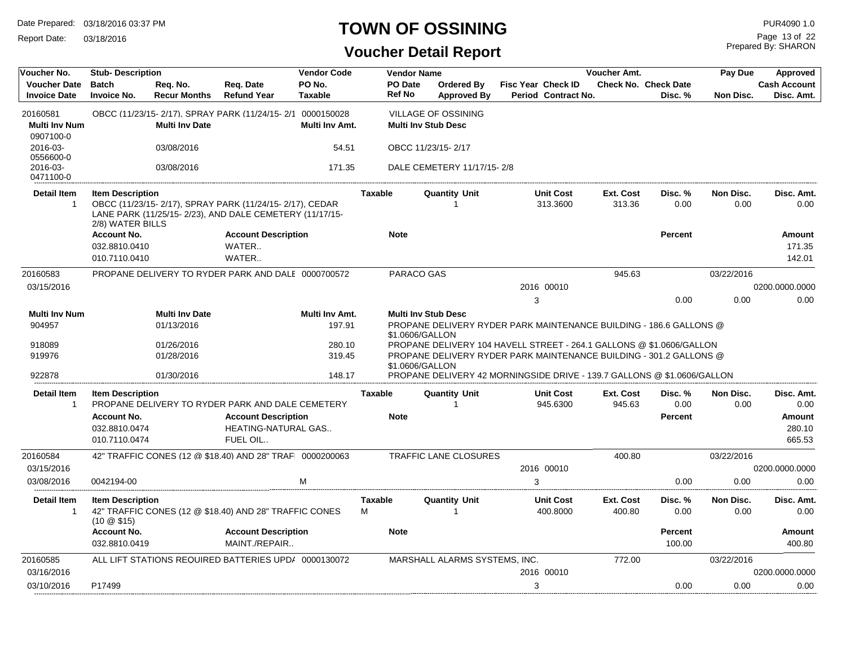Report Date: 03/18/2016

#### **TOWN OF OSSINING**

| Voucher No.<br><b>Voucher Date</b>            | <b>Stub-Description</b><br><b>Batch</b>              | Reg. No.              | Reg. Date                                                                                                          | <b>Vendor Code</b><br>PO No. |                | <b>Vendor Name</b><br><b>PO</b> Date | <b>Ordered By</b>                                                       |   | Fisc Year Check ID           | <b>Voucher Amt.</b>        | <b>Check No. Check Date</b> | Pay Due           | Approved<br><b>Cash Account</b> |
|-----------------------------------------------|------------------------------------------------------|-----------------------|--------------------------------------------------------------------------------------------------------------------|------------------------------|----------------|--------------------------------------|-------------------------------------------------------------------------|---|------------------------------|----------------------------|-----------------------------|-------------------|---------------------------------|
| <b>Invoice Date</b>                           | <b>Invoice No.</b>                                   | <b>Recur Months</b>   | <b>Refund Year</b>                                                                                                 | <b>Taxable</b>               |                | <b>Ref No</b>                        | <b>Approved By</b>                                                      |   | <b>Period Contract No.</b>   |                            | Disc. %                     | Non Disc.         | Disc. Amt.                      |
| 20160581<br><b>Multi Inv Num</b><br>0907100-0 |                                                      | <b>Multi Inv Date</b> | OBCC (11/23/15-2/17). SPRAY PARK (11/24/15-2/1 0000150028                                                          | Multi Inv Amt.               |                |                                      | VILLAGE OF OSSINING<br><b>Multi Inv Stub Desc</b>                       |   |                              |                            |                             |                   |                                 |
| 2016-03-<br>0556600-0                         |                                                      | 03/08/2016            |                                                                                                                    | 54.51                        |                |                                      | OBCC 11/23/15-2/17                                                      |   |                              |                            |                             |                   |                                 |
| 2016-03-<br>0471100-0                         |                                                      | 03/08/2016            |                                                                                                                    | 171.35                       |                |                                      | DALE CEMETERY 11/17/15-2/8                                              |   |                              |                            |                             |                   |                                 |
| <b>Detail Item</b><br>$\mathbf{1}$            | <b>Item Description</b><br>2/8) WATER BILLS          |                       | OBCC (11/23/15-2/17), SPRAY PARK (11/24/15-2/17), CEDAR<br>LANE PARK (11/25/15-2/23), AND DALE CEMETERY (11/17/15- |                              | <b>Taxable</b> |                                      | <b>Quantity Unit</b><br>-1                                              |   | <b>Unit Cost</b><br>313.3600 | <b>Ext. Cost</b><br>313.36 | Disc. %<br>0.00             | Non Disc.<br>0.00 | Disc. Amt.<br>0.00              |
|                                               | <b>Account No.</b>                                   |                       | <b>Account Description</b>                                                                                         |                              |                | <b>Note</b>                          |                                                                         |   |                              |                            | Percent                     |                   | <b>Amount</b>                   |
|                                               | 032.8810.0410                                        |                       | WATER                                                                                                              |                              |                |                                      |                                                                         |   |                              |                            |                             |                   | 171.35                          |
|                                               | 010.7110.0410                                        |                       | WATER                                                                                                              |                              |                |                                      |                                                                         |   |                              |                            |                             |                   | 142.01                          |
| 20160583                                      |                                                      |                       | PROPANE DELIVERY TO RYDER PARK AND DALE 0000700572                                                                 |                              |                | PARACO GAS                           |                                                                         |   |                              | 945.63                     |                             | 03/22/2016        |                                 |
| 03/15/2016                                    |                                                      |                       |                                                                                                                    |                              |                |                                      |                                                                         |   | 2016 00010                   |                            |                             |                   | 0200.0000.0000                  |
|                                               |                                                      |                       |                                                                                                                    |                              |                |                                      |                                                                         | 3 |                              |                            | 0.00                        | 0.00              | 0.00                            |
| <b>Multi Inv Num</b>                          |                                                      | <b>Multi Inv Date</b> |                                                                                                                    | Multi Inv Amt.               |                |                                      | <b>Multi Inv Stub Desc</b>                                              |   |                              |                            |                             |                   |                                 |
| 904957                                        |                                                      | 01/13/2016            |                                                                                                                    | 197.91                       |                | \$1.0606/GALLON                      | PROPANE DELIVERY RYDER PARK MAINTENANCE BUILDING - 186.6 GALLONS @      |   |                              |                            |                             |                   |                                 |
| 918089                                        |                                                      | 01/26/2016            |                                                                                                                    | 280.10                       |                |                                      | PROPANE DELIVERY 104 HAVELL STREET - 264.1 GALLONS @ \$1.0606/GALLON    |   |                              |                            |                             |                   |                                 |
| 919976                                        |                                                      | 01/28/2016            |                                                                                                                    | 319.45                       |                | \$1.0606/GALLON                      | PROPANE DELIVERY RYDER PARK MAINTENANCE BUILDING - 301.2 GALLONS @      |   |                              |                            |                             |                   |                                 |
| 922878                                        |                                                      | 01/30/2016            |                                                                                                                    | 148.17                       |                |                                      | PROPANE DELIVERY 42 MORNINGSIDE DRIVE - 139.7 GALLONS @ \$1.0606/GALLON |   |                              |                            |                             |                   |                                 |
| <b>Detail Item</b><br>$\mathbf{1}$            | <b>Item Description</b>                              |                       | PROPANE DELIVERY TO RYDER PARK AND DALE CEMETERY                                                                   |                              | <b>Taxable</b> |                                      | <b>Quantity Unit</b><br>-1                                              |   | <b>Unit Cost</b><br>945.6300 | <b>Ext. Cost</b><br>945.63 | Disc. %<br>0.00             | Non Disc.<br>0.00 | Disc. Amt.<br>0.00              |
|                                               | <b>Account No.</b><br>032.8810.0474<br>010.7110.0474 |                       | <b>Account Description</b><br>HEATING-NATURAL GAS<br>FUEL OIL                                                      |                              |                | <b>Note</b>                          |                                                                         |   |                              |                            | <b>Percent</b>              |                   | Amount<br>280.10<br>665.53      |
| 20160584                                      |                                                      |                       | 42" TRAFFIC CONES (12 @ \$18.40) AND 28" TRAF 0000200063                                                           |                              |                |                                      | <b>TRAFFIC LANE CLOSURES</b>                                            |   |                              | 400.80                     |                             | 03/22/2016        |                                 |
| 03/15/2016                                    |                                                      |                       |                                                                                                                    |                              |                |                                      |                                                                         |   | 2016 00010                   |                            |                             |                   | 0200.0000.0000                  |
| 03/08/2016                                    | 0042194-00                                           |                       |                                                                                                                    | M                            |                |                                      |                                                                         | 3 |                              |                            | 0.00                        | 0.00              | 0.00                            |
| <b>Detail Item</b>                            | <b>Item Description</b>                              |                       |                                                                                                                    |                              | <b>Taxable</b> |                                      | <b>Quantity Unit</b>                                                    |   | <b>Unit Cost</b>             | Ext. Cost                  | Disc. %                     | Non Disc.         | Disc. Amt.                      |
| $\mathbf{1}$                                  | $(10 \& $15)$                                        |                       | 42" TRAFFIC CONES (12 @ \$18.40) AND 28" TRAFFIC CONES                                                             |                              | M              |                                      |                                                                         |   | 400.8000                     | 400.80                     | 0.00                        | 0.00              | 0.00                            |
|                                               | <b>Account No.</b>                                   |                       | <b>Account Description</b>                                                                                         |                              |                | <b>Note</b>                          |                                                                         |   |                              |                            | Percent                     |                   | Amount                          |
|                                               | 032.8810.0419                                        |                       | MAINT./REPAIR                                                                                                      |                              |                |                                      |                                                                         |   |                              |                            | 100.00                      |                   | 400.80                          |
| 20160585                                      |                                                      |                       | ALL LIFT STATIONS REQUIRED BATTERIES UPD/ 0000130072                                                               |                              |                |                                      | MARSHALL ALARMS SYSTEMS, INC.                                           |   |                              | 772.00                     |                             | 03/22/2016        |                                 |
| 03/16/2016                                    |                                                      |                       |                                                                                                                    |                              |                |                                      |                                                                         |   | 2016 00010                   |                            |                             |                   | 0200.0000.0000                  |
| 03/10/2016                                    | P17499                                               |                       |                                                                                                                    |                              |                |                                      |                                                                         | 3 |                              |                            | 0.00                        | 0.00              | 0.00                            |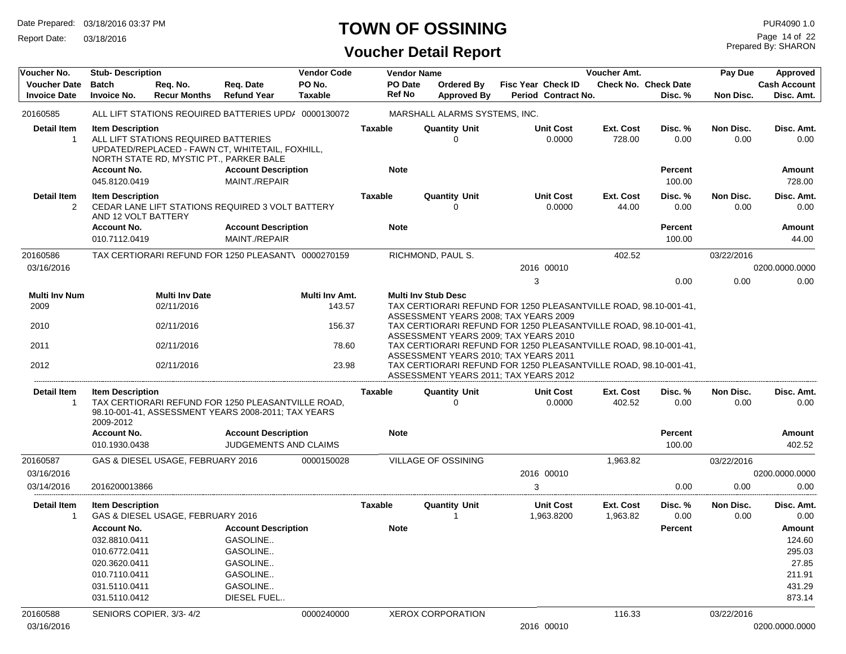Report Date: 03/18/2016

# **TOWN OF OSSINING**

# **Voucher Detail Report**

Prepared By: SHARON Page 14 of 22

| Voucher No.                                | <b>Stub- Description</b>                                       |                                                                                 |                                                                                                           | <b>Vendor Code</b>       |                | <b>Vendor Name</b>                                                                                                                                                                                                     |                                                                                                                                                    |   |                                                  | Voucher Amt.          |                                             | Pay Due           | <b>Approved</b>                        |
|--------------------------------------------|----------------------------------------------------------------|---------------------------------------------------------------------------------|-----------------------------------------------------------------------------------------------------------|--------------------------|----------------|------------------------------------------------------------------------------------------------------------------------------------------------------------------------------------------------------------------------|----------------------------------------------------------------------------------------------------------------------------------------------------|---|--------------------------------------------------|-----------------------|---------------------------------------------|-------------------|----------------------------------------|
| <b>Voucher Date</b><br><b>Invoice Date</b> | <b>Batch</b><br><b>Invoice No.</b>                             | Req. No.<br><b>Recur Months</b>                                                 | Req. Date<br><b>Refund Year</b>                                                                           | PO No.<br><b>Taxable</b> |                | PO Date<br><b>Ref No</b>                                                                                                                                                                                               | Ordered By<br><b>Approved By</b>                                                                                                                   |   | <b>Fisc Year Check ID</b><br>Period Contract No. |                       | <b>Check No. Check Date</b><br>Disc. %      | Non Disc.         | <b>Cash Account</b><br>Disc. Amt.      |
| 20160585                                   |                                                                |                                                                                 | ALL LIFT STATIONS REQUIRED BATTERIES UPD/ 0000130072                                                      |                          |                |                                                                                                                                                                                                                        | MARSHALL ALARMS SYSTEMS, INC.                                                                                                                      |   |                                                  |                       |                                             |                   |                                        |
| Detail Item<br>$\mathbf{1}$                | <b>Item Description</b><br><b>Account No.</b><br>045.8120.0419 | ALL LIFT STATIONS REQUIRED BATTERIES<br>NORTH STATE RD, MYSTIC PT., PARKER BALE | UPDATED/REPLACED - FAWN CT, WHITETAIL, FOXHILL,<br><b>Account Description</b><br>MAINT./REPAIR            |                          | <b>Taxable</b> | <b>Note</b>                                                                                                                                                                                                            | <b>Quantity Unit</b><br>$\Omega$                                                                                                                   |   | <b>Unit Cost</b><br>0.0000                       | Ext. Cost<br>728.00   | Disc. %<br>0.00<br><b>Percent</b><br>100.00 | Non Disc.<br>0.00 | Disc. Amt.<br>0.00<br>Amount<br>728.00 |
| <b>Detail Item</b><br>2                    | <b>Item Description</b><br>AND 12 VOLT BATTERY                 |                                                                                 | CEDAR LANE LIFT STATIONS REQUIRED 3 VOLT BATTERY                                                          |                          | <b>Taxable</b> |                                                                                                                                                                                                                        | <b>Quantity Unit</b><br>0                                                                                                                          |   | <b>Unit Cost</b><br>0.0000                       | Ext. Cost<br>44.00    | Disc. %<br>0.00                             | Non Disc.<br>0.00 | Disc. Amt.<br>0.00                     |
|                                            | <b>Account No.</b><br>010.7112.0419                            |                                                                                 | <b>Account Description</b><br>MAINT./REPAIR                                                               |                          |                | <b>Note</b>                                                                                                                                                                                                            |                                                                                                                                                    |   |                                                  |                       | <b>Percent</b><br>100.00                    |                   | Amount<br>44.00                        |
| 20160586                                   |                                                                |                                                                                 | TAX CERTIORARI REFUND FOR 1250 PLEASANT\ 0000270159                                                       |                          |                |                                                                                                                                                                                                                        | RICHMOND, PAUL S.                                                                                                                                  |   |                                                  | 402.52                |                                             | 03/22/2016        |                                        |
| 03/16/2016                                 |                                                                |                                                                                 |                                                                                                           |                          |                |                                                                                                                                                                                                                        |                                                                                                                                                    |   | 2016 00010                                       |                       |                                             |                   | 0200.0000.0000                         |
|                                            |                                                                |                                                                                 |                                                                                                           |                          |                |                                                                                                                                                                                                                        |                                                                                                                                                    | 3 |                                                  |                       | 0.00                                        | 0.00              | 0.00                                   |
| Multi Inv Num                              |                                                                | <b>Multi Inv Date</b>                                                           |                                                                                                           | Multi Inv Amt.           |                |                                                                                                                                                                                                                        | <b>Multi Inv Stub Desc</b>                                                                                                                         |   |                                                  |                       |                                             |                   |                                        |
| 2009                                       |                                                                | 02/11/2016                                                                      |                                                                                                           | 143.57                   |                |                                                                                                                                                                                                                        | TAX CERTIORARI REFUND FOR 1250 PLEASANTVILLE ROAD, 98.10-001-41,                                                                                   |   |                                                  |                       |                                             |                   |                                        |
| 2010                                       |                                                                | 02/11/2016                                                                      |                                                                                                           | 156.37                   |                |                                                                                                                                                                                                                        | ASSESSMENT YEARS 2008; TAX YEARS 2009<br>TAX CERTIORARI REFUND FOR 1250 PLEASANTVILLE ROAD, 98.10-001-41,<br>ASSESSMENT YEARS 2009; TAX YEARS 2010 |   |                                                  |                       |                                             |                   |                                        |
| 2011                                       |                                                                | 02/11/2016                                                                      |                                                                                                           | 78.60                    |                |                                                                                                                                                                                                                        |                                                                                                                                                    |   |                                                  |                       |                                             |                   |                                        |
| 2012                                       |                                                                | 02/11/2016                                                                      |                                                                                                           | 23.98                    |                | TAX CERTIORARI REFUND FOR 1250 PLEASANTVILLE ROAD, 98.10-001-41,<br>ASSESSMENT YEARS 2010: TAX YEARS 2011<br>TAX CERTIORARI REFUND FOR 1250 PLEASANTVILLE ROAD, 98.10-001-41,<br>ASSESSMENT YEARS 2011; TAX YEARS 2012 |                                                                                                                                                    |   |                                                  |                       |                                             |                   |                                        |
| Detail Item<br>-1                          | <b>Item Description</b><br>2009-2012                           |                                                                                 | TAX CERTIORARI REFUND FOR 1250 PLEASANTVILLE ROAD,<br>98.10-001-41, ASSESSMENT YEARS 2008-2011; TAX YEARS |                          | Taxable        |                                                                                                                                                                                                                        | <b>Quantity Unit</b><br>$\Omega$                                                                                                                   |   | <b>Unit Cost</b><br>0.0000                       | Ext. Cost<br>402.52   | Disc. %<br>0.00                             | Non Disc.<br>0.00 | Disc. Amt.<br>0.00                     |
|                                            | <b>Account No.</b><br>010.1930.0438                            |                                                                                 | <b>Account Description</b><br>JUDGEMENTS AND CLAIMS                                                       |                          |                | <b>Note</b>                                                                                                                                                                                                            |                                                                                                                                                    |   |                                                  |                       | <b>Percent</b><br>100.00                    |                   | Amount<br>402.52                       |
| 20160587                                   |                                                                | GAS & DIESEL USAGE, FEBRUARY 2016                                               |                                                                                                           | 0000150028               |                |                                                                                                                                                                                                                        | <b>VILLAGE OF OSSINING</b>                                                                                                                         |   |                                                  | 1,963.82              |                                             | 03/22/2016        |                                        |
| 03/16/2016                                 |                                                                |                                                                                 |                                                                                                           |                          |                |                                                                                                                                                                                                                        |                                                                                                                                                    |   | 2016 00010                                       |                       |                                             |                   | 0200.0000.0000                         |
| 03/14/2016                                 | 2016200013866                                                  |                                                                                 |                                                                                                           |                          |                |                                                                                                                                                                                                                        |                                                                                                                                                    | 3 |                                                  |                       | 0.00                                        | 0.00              | 0.00                                   |
| <b>Detail Item</b><br>1                    | <b>Item Description</b>                                        | GAS & DIESEL USAGE, FEBRUARY 2016                                               |                                                                                                           |                          | <b>Taxable</b> |                                                                                                                                                                                                                        | <b>Quantity Unit</b>                                                                                                                               |   | <b>Unit Cost</b><br>1,963.8200                   | Ext. Cost<br>1,963.82 | Disc. %<br>0.00                             | Non Disc.<br>0.00 | Disc. Amt.<br>0.00                     |
|                                            | <b>Account No.</b>                                             |                                                                                 | <b>Account Description</b>                                                                                |                          |                | <b>Note</b>                                                                                                                                                                                                            |                                                                                                                                                    |   |                                                  |                       | <b>Percent</b>                              |                   | Amount                                 |
|                                            | 032.8810.0411                                                  |                                                                                 | GASOLINE                                                                                                  |                          |                |                                                                                                                                                                                                                        |                                                                                                                                                    |   |                                                  |                       |                                             |                   | 124.60                                 |
|                                            | 010.6772.0411                                                  |                                                                                 | GASOLINE                                                                                                  |                          |                |                                                                                                                                                                                                                        |                                                                                                                                                    |   |                                                  |                       |                                             |                   | 295.03                                 |
|                                            | 020.3620.0411                                                  |                                                                                 | GASOLINE                                                                                                  |                          |                |                                                                                                                                                                                                                        |                                                                                                                                                    |   |                                                  |                       |                                             |                   | 27.85                                  |
|                                            | 010.7110.0411                                                  |                                                                                 | GASOLINE                                                                                                  |                          |                |                                                                                                                                                                                                                        |                                                                                                                                                    |   |                                                  |                       |                                             |                   | 211.91                                 |
|                                            | 031.5110.0411                                                  |                                                                                 | GASOLINE                                                                                                  |                          |                |                                                                                                                                                                                                                        |                                                                                                                                                    |   |                                                  |                       |                                             |                   | 431.29                                 |
|                                            | 031.5110.0412                                                  |                                                                                 | DIESEL FUEL                                                                                               |                          |                |                                                                                                                                                                                                                        |                                                                                                                                                    |   |                                                  |                       |                                             |                   | 873.14                                 |
| 20160588                                   | SENIORS COPIER, 3/3-4/2                                        |                                                                                 |                                                                                                           | 0000240000               |                |                                                                                                                                                                                                                        | <b>XEROX CORPORATION</b>                                                                                                                           |   |                                                  | 116.33                |                                             | 03/22/2016        |                                        |
| 03/16/2016                                 |                                                                |                                                                                 |                                                                                                           |                          |                |                                                                                                                                                                                                                        |                                                                                                                                                    |   | 2016 00010                                       |                       |                                             |                   | 0200.0000.0000                         |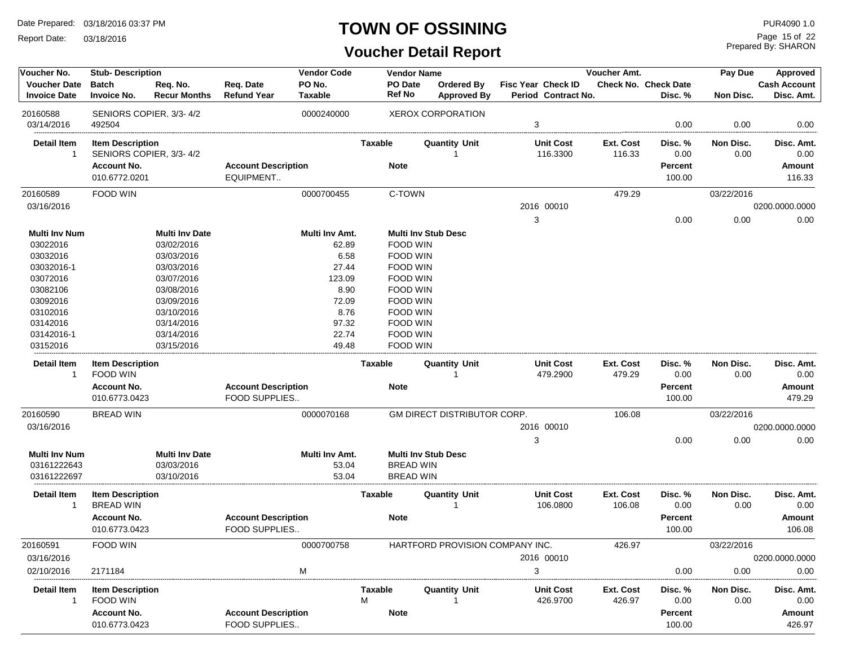Report Date: 03/18/2016

#### **TOWN OF OSSINING**

Prepared By: SHARON Page 15 of 22

| Voucher No.          | <b>Stub-Description</b> |                       |                            | <b>Vendor Code</b> |                | <b>Vendor Name</b> |                                 |                     | Voucher Amt. |                             | Pay Due    | <b>Approved</b>     |
|----------------------|-------------------------|-----------------------|----------------------------|--------------------|----------------|--------------------|---------------------------------|---------------------|--------------|-----------------------------|------------|---------------------|
| <b>Voucher Date</b>  | <b>Batch</b>            | Req. No.              | Req. Date                  | PO No.             | PO Date        |                    | Ordered By                      | Fisc Year Check ID  |              | <b>Check No. Check Date</b> |            | <b>Cash Account</b> |
| <b>Invoice Date</b>  | <b>Invoice No.</b>      | <b>Recur Months</b>   | <b>Refund Year</b>         | <b>Taxable</b>     | <b>Ref No</b>  |                    | <b>Approved By</b>              | Period Contract No. |              | Disc. %                     | Non Disc.  | Disc. Amt.          |
| 20160588             | SENIORS COPIER, 3/3-4/2 |                       |                            | 0000240000         |                |                    | <b>XEROX CORPORATION</b>        |                     |              |                             |            |                     |
| 03/14/2016           | 492504                  |                       |                            |                    |                |                    |                                 | 3                   |              | 0.00                        | 0.00       | 0.00                |
| Detail Item          | <b>Item Description</b> |                       |                            |                    | Taxable        |                    | <b>Quantity Unit</b>            | Unit Cost           | Ext. Cost    | Disc. %                     | Non Disc.  | Disc. Amt.          |
| -1                   | SENIORS COPIER, 3/3-4/2 |                       |                            |                    |                |                    |                                 | 116.3300            | 116.33       | 0.00                        | 0.00       | 0.00                |
|                      | <b>Account No.</b>      |                       | <b>Account Description</b> |                    | <b>Note</b>    |                    |                                 |                     |              | Percent                     |            | Amount              |
|                      | 010.6772.0201           |                       | EQUIPMENT                  |                    |                |                    |                                 |                     |              | 100.00                      |            | 116.33              |
| 20160589             | <b>FOOD WIN</b>         |                       |                            | 0000700455         |                | C-TOWN             |                                 |                     | 479.29       |                             | 03/22/2016 |                     |
| 03/16/2016           |                         |                       |                            |                    |                |                    |                                 | 2016 00010          |              |                             |            | 0200.0000.0000      |
|                      |                         |                       |                            |                    |                |                    |                                 | 3                   |              | 0.00                        | 0.00       | 0.00                |
| <b>Multi Inv Num</b> |                         | <b>Multi Inv Date</b> |                            | Multi Inv Amt.     |                |                    | <b>Multi Inv Stub Desc</b>      |                     |              |                             |            |                     |
| 03022016             |                         | 03/02/2016            |                            | 62.89              |                | FOOD WIN           |                                 |                     |              |                             |            |                     |
| 03032016             |                         | 03/03/2016            |                            | 6.58               |                | FOOD WIN           |                                 |                     |              |                             |            |                     |
| 03032016-1           |                         | 03/03/2016            |                            | 27.44              |                | FOOD WIN           |                                 |                     |              |                             |            |                     |
| 03072016             |                         | 03/07/2016            |                            | 123.09             |                | FOOD WIN           |                                 |                     |              |                             |            |                     |
| 03082106             |                         | 03/08/2016            |                            | 8.90               |                | FOOD WIN           |                                 |                     |              |                             |            |                     |
| 03092016             |                         | 03/09/2016            |                            | 72.09              |                | FOOD WIN           |                                 |                     |              |                             |            |                     |
| 03102016             |                         | 03/10/2016            |                            | 8.76               |                | FOOD WIN           |                                 |                     |              |                             |            |                     |
| 03142016             |                         | 03/14/2016            |                            | 97.32              |                | FOOD WIN           |                                 |                     |              |                             |            |                     |
| 03142016-1           |                         | 03/14/2016            |                            | 22.74              |                | FOOD WIN           |                                 |                     |              |                             |            |                     |
| 03152016             |                         | 03/15/2016            |                            | 49.48              |                | FOOD WIN           |                                 |                     |              |                             |            |                     |
| <b>Detail Item</b>   | <b>Item Description</b> |                       |                            |                    | Taxable        |                    | <b>Quantity Unit</b>            | <b>Unit Cost</b>    | Ext. Cost    | Disc. %                     | Non Disc.  | Disc. Amt.          |
| $\overline{1}$       | FOOD WIN                |                       |                            |                    |                |                    |                                 | 479.2900            | 479.29       | 0.00                        | 0.00       | 0.00                |
|                      | <b>Account No.</b>      |                       | <b>Account Description</b> |                    | <b>Note</b>    |                    |                                 |                     |              | <b>Percent</b>              |            | Amount              |
|                      | 010.6773.0423           |                       | FOOD SUPPLIES              |                    |                |                    |                                 |                     |              | 100.00                      |            | 479.29              |
| 20160590             | <b>BREAD WIN</b>        |                       |                            | 0000070168         |                |                    | GM DIRECT DISTRIBUTOR CORP.     |                     | 106.08       |                             | 03/22/2016 |                     |
| 03/16/2016           |                         |                       |                            |                    |                |                    |                                 | 2016 00010          |              |                             |            | 0200.0000.0000      |
|                      |                         |                       |                            |                    |                |                    |                                 | 3                   |              | 0.00                        | 0.00       | 0.00                |
| <b>Multi Inv Num</b> |                         | <b>Multi Inv Date</b> |                            | Multi Inv Amt.     |                |                    | <b>Multi Inv Stub Desc</b>      |                     |              |                             |            |                     |
| 03161222643          |                         | 03/03/2016            |                            | 53.04              |                | <b>BREAD WIN</b>   |                                 |                     |              |                             |            |                     |
| 03161222697          |                         | 03/10/2016            |                            | 53.04              |                | BREAD WIN          |                                 |                     |              |                             |            |                     |
| <b>Detail Item</b>   | <b>Item Description</b> |                       |                            |                    | <b>Taxable</b> |                    | <b>Quantity Unit</b>            | <b>Unit Cost</b>    | Ext. Cost    | Disc. %                     | Non Disc.  | Disc. Amt.          |
| 1                    | <b>BREAD WIN</b>        |                       |                            |                    |                |                    |                                 | 106.0800            | 106.08       | 0.00                        | 0.00       | 0.00                |
|                      | <b>Account No.</b>      |                       | <b>Account Description</b> |                    | <b>Note</b>    |                    |                                 |                     |              | <b>Percent</b>              |            | Amount              |
|                      | 010.6773.0423           |                       | FOOD SUPPLIES              |                    |                |                    |                                 |                     |              | 100.00                      |            | 106.08              |
| 20160591             | FOOD WIN                |                       |                            | 0000700758         |                |                    | HARTFORD PROVISION COMPANY INC. |                     | 426.97       |                             | 03/22/2016 |                     |
| 03/16/2016           |                         |                       |                            |                    |                |                    |                                 | 2016 00010          |              |                             |            | 0200.0000.0000      |
| 02/10/2016           | 2171184                 |                       |                            | M                  |                |                    |                                 | 3                   |              | 0.00                        | 0.00       | 0.00                |
|                      |                         |                       |                            |                    |                |                    |                                 |                     |              |                             |            |                     |
| <b>Detail Item</b>   | <b>Item Description</b> |                       |                            |                    | Taxable        |                    | <b>Quantity Unit</b>            | <b>Unit Cost</b>    | Ext. Cost    | Disc. %                     | Non Disc.  | Disc. Amt.          |
| $\overline{1}$       | FOOD WIN                |                       |                            |                    | м              |                    |                                 | 426.9700            | 426.97       | 0.00                        | 0.00       | 0.00                |
|                      | <b>Account No.</b>      |                       | <b>Account Description</b> |                    | <b>Note</b>    |                    |                                 |                     |              | <b>Percent</b>              |            | <b>Amount</b>       |
|                      | 010.6773.0423           |                       | FOOD SUPPLIES              |                    |                |                    |                                 |                     |              | 100.00                      |            | 426.97              |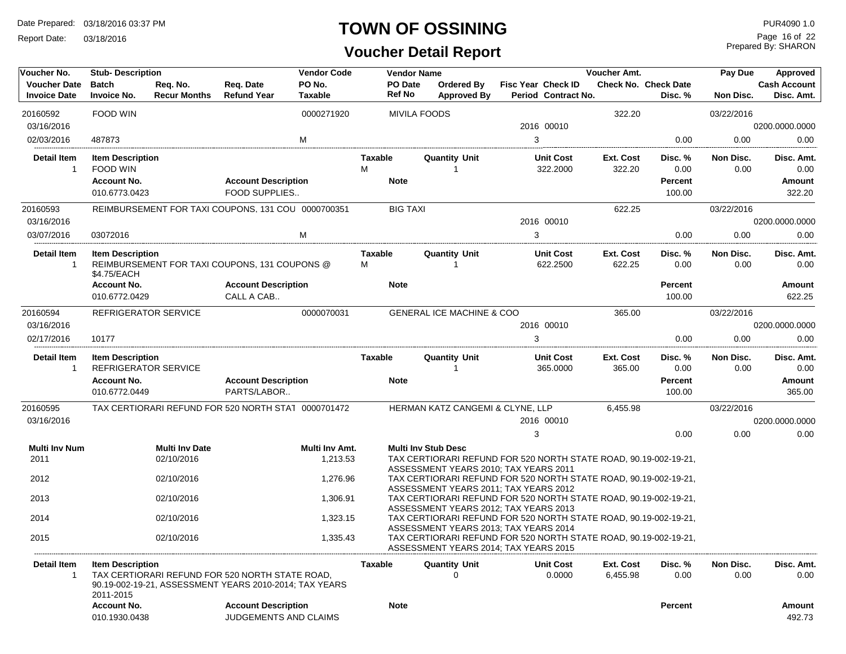Report Date: 03/18/2016

#### **TOWN OF OSSINING**

# **Voucher Detail Report**

Prepared By: SHARON Page 16 of 22

| Voucher No.                                | <b>Stub-Description</b>                         |                                 |                                                                                                           | <b>Vendor Code</b>       |                                 | <b>Vendor Name</b>                   |                                                                                                                                                    | Voucher Amt.          |                                        | Pay Due           | Approved                          |
|--------------------------------------------|-------------------------------------------------|---------------------------------|-----------------------------------------------------------------------------------------------------------|--------------------------|---------------------------------|--------------------------------------|----------------------------------------------------------------------------------------------------------------------------------------------------|-----------------------|----------------------------------------|-------------------|-----------------------------------|
| <b>Voucher Date</b><br><b>Invoice Date</b> | <b>Batch</b><br><b>Invoice No.</b>              | Req. No.<br><b>Recur Months</b> | Req. Date<br><b>Refund Year</b>                                                                           | PO No.<br><b>Taxable</b> | <b>PO</b> Date<br><b>Ref No</b> | Ordered By<br><b>Approved By</b>     | <b>Fisc Year Check ID</b><br><b>Period Contract No.</b>                                                                                            |                       | <b>Check No. Check Date</b><br>Disc. % | Non Disc.         | <b>Cash Account</b><br>Disc. Amt. |
| 20160592                                   | FOOD WIN                                        |                                 |                                                                                                           | 0000271920               |                                 | <b>MIVILA FOODS</b>                  |                                                                                                                                                    | 322.20                |                                        | 03/22/2016        |                                   |
| 03/16/2016                                 |                                                 |                                 |                                                                                                           |                          |                                 |                                      | 2016 00010                                                                                                                                         |                       |                                        |                   | 0200.0000.0000                    |
| 02/03/2016                                 | 487873                                          |                                 |                                                                                                           | M                        |                                 |                                      | 3                                                                                                                                                  |                       | 0.00                                   | 0.00              | 0.00                              |
| <b>Detail Item</b><br>$\mathbf{1}$         | <b>Item Description</b><br>FOOD WIN             |                                 |                                                                                                           |                          | Taxable<br>М                    | <b>Quantity Unit</b>                 | <b>Unit Cost</b><br>322.2000                                                                                                                       | Ext. Cost<br>322.20   | Disc. %<br>0.00                        | Non Disc.<br>0.00 | Disc. Amt.<br>0.00                |
|                                            | <b>Account No.</b><br>010.6773.0423             |                                 | <b>Account Description</b><br>FOOD SUPPLIES                                                               |                          | <b>Note</b>                     |                                      |                                                                                                                                                    |                       | <b>Percent</b><br>100.00               |                   | Amount<br>322.20                  |
| 20160593<br>03/16/2016                     |                                                 |                                 | REIMBURSEMENT FOR TAXI COUPONS, 131 COU 0000700351                                                        |                          | <b>BIG TAXI</b>                 |                                      | 2016 00010                                                                                                                                         | 622.25                |                                        | 03/22/2016        | 0200.0000.0000                    |
| 03/07/2016                                 | 03072016                                        |                                 |                                                                                                           | м                        |                                 |                                      | 3                                                                                                                                                  |                       | 0.00                                   | 0.00              | 0.00                              |
|                                            |                                                 |                                 |                                                                                                           |                          |                                 |                                      |                                                                                                                                                    |                       |                                        |                   |                                   |
| <b>Detail Item</b><br>$\mathbf{1}$         | <b>Item Description</b><br>\$4.75/EACH          |                                 | REIMBURSEMENT FOR TAXI COUPONS, 131 COUPONS @                                                             |                          | <b>Taxable</b><br>м             | <b>Quantity Unit</b><br>1            | <b>Unit Cost</b><br>622.2500                                                                                                                       | Ext. Cost<br>622.25   | Disc. %<br>0.00                        | Non Disc.<br>0.00 | Disc. Amt.<br>0.00                |
|                                            | <b>Account No.</b>                              |                                 | <b>Account Description</b>                                                                                |                          | <b>Note</b>                     |                                      |                                                                                                                                                    |                       | <b>Percent</b>                         |                   | Amount                            |
|                                            | 010.6772.0429                                   |                                 | CALL A CAB                                                                                                |                          |                                 |                                      |                                                                                                                                                    |                       | 100.00                                 |                   | 622.25                            |
| 20160594                                   | <b>REFRIGERATOR SERVICE</b>                     |                                 |                                                                                                           | 0000070031               |                                 | <b>GENERAL ICE MACHINE &amp; COO</b> |                                                                                                                                                    | 365.00                |                                        | 03/22/2016        |                                   |
| 03/16/2016                                 |                                                 |                                 |                                                                                                           |                          |                                 |                                      | 2016 00010                                                                                                                                         |                       |                                        |                   | 0200.0000.0000                    |
| 02/17/2016                                 | 10177                                           |                                 |                                                                                                           |                          |                                 |                                      | 3                                                                                                                                                  |                       | 0.00                                   | 0.00              | 0.00                              |
| <b>Detail Item</b><br>-1                   | <b>Item Description</b><br>REFRIGERATOR SERVICE |                                 |                                                                                                           |                          | Taxable                         | <b>Quantity Unit</b>                 | <b>Unit Cost</b><br>365.0000                                                                                                                       | Ext. Cost<br>365.00   | Disc. %<br>0.00                        | Non Disc.<br>0.00 | Disc. Amt.<br>0.00                |
|                                            | <b>Account No.</b><br>010.6772.0449             |                                 | <b>Account Description</b><br>PARTS/LABOR                                                                 |                          | <b>Note</b>                     |                                      |                                                                                                                                                    |                       | <b>Percent</b><br>100.00               |                   | Amount<br>365.00                  |
| 20160595                                   |                                                 |                                 | TAX CERTIORARI REFUND FOR 520 NORTH STAT 0000701472                                                       |                          |                                 | HERMAN KATZ CANGEMI & CLYNE, LLP     |                                                                                                                                                    | 6,455.98              |                                        | 03/22/2016        |                                   |
| 03/16/2016                                 |                                                 |                                 |                                                                                                           |                          |                                 |                                      | 2016 00010                                                                                                                                         |                       |                                        |                   | 0200.0000.0000                    |
|                                            |                                                 |                                 |                                                                                                           |                          |                                 |                                      | 3                                                                                                                                                  |                       | 0.00                                   | 0.00              | 0.00                              |
| <b>Multi Inv Num</b>                       |                                                 | <b>Multi Inv Date</b>           |                                                                                                           | Multi Inv Amt.           |                                 | <b>Multi Inv Stub Desc</b>           |                                                                                                                                                    |                       |                                        |                   |                                   |
| 2011                                       |                                                 | 02/10/2016                      |                                                                                                           | 1,213.53                 |                                 |                                      | TAX CERTIORARI REFUND FOR 520 NORTH STATE ROAD, 90.19-002-19-21,<br>ASSESSMENT YEARS 2010; TAX YEARS 2011                                          |                       |                                        |                   |                                   |
| 2012                                       |                                                 | 02/10/2016                      |                                                                                                           | 1,276.96                 |                                 |                                      | TAX CERTIORARI REFUND FOR 520 NORTH STATE ROAD, 90.19-002-19-21.                                                                                   |                       |                                        |                   |                                   |
| 2013                                       |                                                 | 02/10/2016                      |                                                                                                           | 1,306.91                 |                                 |                                      | ASSESSMENT YEARS 2011; TAX YEARS 2012<br>TAX CERTIORARI REFUND FOR 520 NORTH STATE ROAD, 90.19-002-19-21,<br>ASSESSMENT YEARS 2012; TAX YEARS 2013 |                       |                                        |                   |                                   |
| 2014                                       |                                                 | 02/10/2016                      |                                                                                                           | 1,323.15                 |                                 |                                      | TAX CERTIORARI REFUND FOR 520 NORTH STATE ROAD, 90.19-002-19-21,                                                                                   |                       |                                        |                   |                                   |
| 2015                                       |                                                 | 02/10/2016                      |                                                                                                           | 1,335.43                 |                                 |                                      | ASSESSMENT YEARS 2013; TAX YEARS 2014<br>TAX CERTIORARI REFUND FOR 520 NORTH STATE ROAD, 90.19-002-19-21,<br>ASSESSMENT YEARS 2014; TAX YEARS 2015 |                       |                                        |                   |                                   |
| Detail Item<br>-1                          | <b>Item Description</b><br>2011-2015            |                                 | TAX CERTIORARI REFUND FOR 520 NORTH STATE ROAD,<br>90.19-002-19-21, ASSESSMENT YEARS 2010-2014; TAX YEARS |                          | Taxable                         | <b>Quantity Unit</b>                 | <b>Unit Cost</b><br>0.0000                                                                                                                         | Ext. Cost<br>6,455.98 | Disc. %<br>0.00                        | Non Disc.<br>0.00 | Disc. Amt.<br>0.00                |
|                                            | <b>Account No.</b><br>010.1930.0438             |                                 | <b>Account Description</b><br>JUDGEMENTS AND CLAIMS                                                       |                          | <b>Note</b>                     |                                      |                                                                                                                                                    |                       | <b>Percent</b>                         |                   | Amount<br>492.73                  |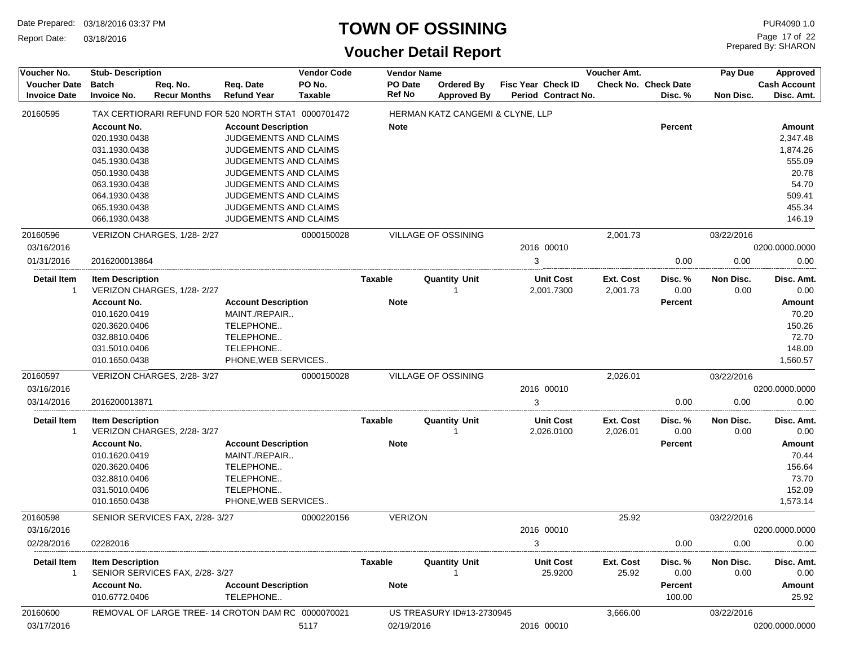Report Date: 03/18/2016

#### **TOWN OF OSSINING**

| Voucher No.                                | <b>Stub-Description</b>            |                                 |                                                     | <b>Vendor Code</b>       |                          | <b>Vendor Name</b>                      |                           |                                | Voucher Amt.          |                                        | Approved          |                                   |
|--------------------------------------------|------------------------------------|---------------------------------|-----------------------------------------------------|--------------------------|--------------------------|-----------------------------------------|---------------------------|--------------------------------|-----------------------|----------------------------------------|-------------------|-----------------------------------|
| <b>Voucher Date</b><br><b>Invoice Date</b> | <b>Batch</b><br><b>Invoice No.</b> | Req. No.<br><b>Recur Months</b> | Req. Date<br><b>Refund Year</b>                     | PO No.<br><b>Taxable</b> | PO Date<br><b>Ref No</b> | <b>Ordered By</b><br><b>Approved By</b> | <b>Fisc Year Check ID</b> | Period Contract No.            |                       | <b>Check No. Check Date</b><br>Disc. % | Non Disc.         | <b>Cash Account</b><br>Disc. Amt. |
| 20160595                                   |                                    |                                 | TAX CERTIORARI REFUND FOR 520 NORTH STAT 0000701472 |                          |                          | HERMAN KATZ CANGEMI & CLYNE, LLP        |                           |                                |                       |                                        |                   |                                   |
|                                            | <b>Account No.</b>                 |                                 | <b>Account Description</b>                          |                          | <b>Note</b>              |                                         |                           |                                |                       | <b>Percent</b>                         |                   | Amount                            |
|                                            | 020.1930.0438                      |                                 | JUDGEMENTS AND CLAIMS                               |                          |                          |                                         |                           |                                |                       |                                        |                   | 2,347.48                          |
|                                            | 031.1930.0438                      |                                 | JUDGEMENTS AND CLAIMS                               |                          |                          |                                         |                           |                                |                       |                                        |                   | 1,874.26                          |
|                                            | 045.1930.0438                      |                                 | JUDGEMENTS AND CLAIMS                               |                          |                          |                                         |                           |                                |                       |                                        |                   | 555.09                            |
|                                            | 050.1930.0438                      |                                 | JUDGEMENTS AND CLAIMS                               |                          |                          |                                         |                           |                                |                       |                                        |                   | 20.78                             |
|                                            | 063.1930.0438                      |                                 | <b>JUDGEMENTS AND CLAIMS</b>                        |                          |                          |                                         |                           |                                |                       |                                        |                   | 54.70                             |
|                                            | 064.1930.0438                      |                                 | JUDGEMENTS AND CLAIMS                               |                          |                          |                                         |                           |                                |                       |                                        |                   | 509.41                            |
|                                            | 065.1930.0438                      |                                 | JUDGEMENTS AND CLAIMS                               |                          |                          |                                         |                           |                                |                       |                                        |                   | 455.34                            |
|                                            | 066.1930.0438                      |                                 | JUDGEMENTS AND CLAIMS                               |                          |                          |                                         |                           |                                |                       |                                        |                   | 146.19                            |
| 20160596                                   |                                    | VERIZON CHARGES, 1/28-2/27      |                                                     | 0000150028               |                          | VILLAGE OF OSSINING                     |                           |                                | 2,001.73              |                                        | 03/22/2016        |                                   |
| 03/16/2016                                 |                                    |                                 |                                                     |                          |                          |                                         |                           | 2016 00010                     |                       |                                        |                   | 0200.0000.0000                    |
| 01/31/2016                                 | 2016200013864                      |                                 |                                                     |                          |                          |                                         | 3                         |                                |                       | 0.00                                   | 0.00              | 0.00                              |
| <b>Detail Item</b><br>$\overline{1}$       | <b>Item Description</b>            | VERIZON CHARGES, 1/28-2/27      |                                                     |                          | <b>Taxable</b>           | <b>Quantity Unit</b><br>1               |                           | <b>Unit Cost</b><br>2,001.7300 | Ext. Cost<br>2,001.73 | Disc. %<br>0.00                        | Non Disc.<br>0.00 | Disc. Amt.<br>0.00                |
|                                            | <b>Account No.</b>                 |                                 | <b>Account Description</b>                          |                          | <b>Note</b>              |                                         |                           |                                |                       | Percent                                |                   | Amount                            |
|                                            | 010.1620.0419                      |                                 | MAINT./REPAIR                                       |                          |                          |                                         |                           |                                |                       |                                        |                   | 70.20                             |
|                                            | 020.3620.0406                      |                                 | TELEPHONE                                           |                          |                          |                                         |                           |                                |                       |                                        |                   | 150.26                            |
|                                            | 032.8810.0406                      |                                 | TELEPHONE                                           |                          |                          |                                         |                           |                                |                       |                                        |                   | 72.70                             |
|                                            | 031.5010.0406                      |                                 | TELEPHONE                                           |                          |                          |                                         |                           |                                |                       |                                        |                   | 148.00                            |
|                                            | 010.1650.0438                      |                                 | PHONE, WEB SERVICES                                 |                          |                          |                                         |                           |                                |                       |                                        |                   | 1,560.57                          |
| 20160597                                   |                                    | VERIZON CHARGES, 2/28-3/27      |                                                     | 0000150028               |                          | VILLAGE OF OSSINING                     |                           |                                | 2,026.01              |                                        | 03/22/2016        |                                   |
| 03/16/2016                                 |                                    |                                 |                                                     |                          |                          |                                         |                           | 2016 00010                     |                       |                                        |                   | 0200.0000.0000                    |
| 03/14/2016                                 | 2016200013871                      |                                 |                                                     |                          |                          |                                         | 3                         |                                |                       | 0.00                                   | 0.00              | 0.00                              |
| <b>Detail Item</b><br>$\mathbf{1}$         | <b>Item Description</b>            | VERIZON CHARGES, 2/28-3/27      |                                                     |                          | <b>Taxable</b>           | <b>Quantity Unit</b>                    |                           | <b>Unit Cost</b><br>2,026.0100 | Ext. Cost<br>2,026.01 | Disc. %<br>0.00                        | Non Disc.<br>0.00 | Disc. Amt.<br>0.00                |
|                                            | <b>Account No.</b>                 |                                 | <b>Account Description</b>                          |                          | <b>Note</b>              |                                         |                           |                                |                       | <b>Percent</b>                         |                   | Amount                            |
|                                            | 010.1620.0419                      |                                 | MAINT./REPAIR                                       |                          |                          |                                         |                           |                                |                       |                                        |                   | 70.44                             |
|                                            | 020.3620.0406                      |                                 | TELEPHONE                                           |                          |                          |                                         |                           |                                |                       |                                        |                   | 156.64                            |
|                                            | 032.8810.0406                      |                                 | TELEPHONE                                           |                          |                          |                                         |                           |                                |                       |                                        |                   | 73.70                             |
|                                            | 031.5010.0406                      |                                 | TELEPHONE                                           |                          |                          |                                         |                           |                                |                       |                                        |                   | 152.09                            |
|                                            | 010.1650.0438                      |                                 | PHONE, WEB SERVICES                                 |                          |                          |                                         |                           |                                |                       |                                        |                   | 1,573.14                          |
| 20160598                                   |                                    | SENIOR SERVICES FAX, 2/28-3/27  |                                                     | 0000220156               | <b>VERIZON</b>           |                                         |                           |                                | 25.92                 |                                        | 03/22/2016        |                                   |
| 03/16/2016                                 |                                    |                                 |                                                     |                          |                          |                                         |                           | 2016 00010                     |                       |                                        |                   | 0200.0000.0000                    |
| 02/28/2016                                 | 02282016                           |                                 |                                                     |                          |                          |                                         | 3                         |                                |                       | 0.00                                   | 0.00              | 0.00                              |
| Detail Item<br>$\mathbf{1}$                | <b>Item Description</b>            | SENIOR SERVICES FAX, 2/28-3/27  |                                                     |                          | Taxable                  | Quantity Unit                           |                           | <b>Unit Cost</b><br>25.9200    | Ext. Cost<br>25.92    | Disc. %<br>0.00                        | Non Disc.<br>0.00 | Disc. Amt.<br>0.00                |
|                                            | <b>Account No.</b>                 |                                 | <b>Account Description</b>                          |                          | <b>Note</b>              |                                         |                           |                                |                       | <b>Percent</b>                         |                   | Amount                            |
|                                            | 010.6772.0406                      |                                 | TELEPHONE                                           |                          |                          |                                         |                           |                                |                       | 100.00                                 |                   | 25.92                             |
| 20160600                                   |                                    |                                 | REMOVAL OF LARGE TREE-14 CROTON DAM RC 0000070021   |                          |                          | US TREASURY ID#13-2730945               |                           |                                | 3,666.00              |                                        | 03/22/2016        |                                   |
| 03/17/2016                                 |                                    |                                 |                                                     | 5117                     | 02/19/2016               |                                         |                           | 2016 00010                     |                       |                                        |                   | 0200.0000.0000                    |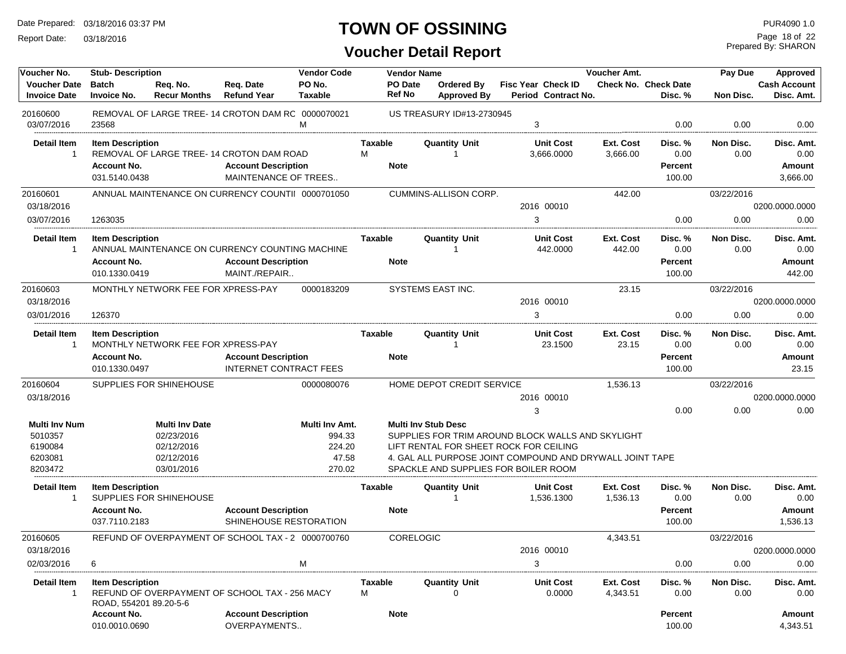Report Date: 03/18/2016

# **TOWN OF OSSINING**

Prepared By: SHARON Page 18 of 22

| Voucher No.                                |                                     | <b>Stub-Description</b>            |                                                    |                          |                          | <b>Vendor Name</b>               |                                                          | Voucher Amt. |                                 | Pay Due    | Approved                          |
|--------------------------------------------|-------------------------------------|------------------------------------|----------------------------------------------------|--------------------------|--------------------------|----------------------------------|----------------------------------------------------------|--------------|---------------------------------|------------|-----------------------------------|
| <b>Voucher Date</b><br><b>Invoice Date</b> | <b>Batch</b><br><b>Invoice No.</b>  | Req. No.<br><b>Recur Months</b>    | Req. Date<br><b>Refund Year</b>                    | PO No.<br><b>Taxable</b> | PO Date<br><b>Ref No</b> | Ordered By<br><b>Approved By</b> | <b>Fisc Year Check ID</b><br>Period Contract No.         |              | Check No. Check Date<br>Disc. % | Non Disc.  | <b>Cash Account</b><br>Disc. Amt. |
| 20160600<br>03/07/2016                     | 23568                               |                                    | REMOVAL OF LARGE TREE-14 CROTON DAM RC 0000070021  | M                        |                          | US TREASURY ID#13-2730945        | 3                                                        |              | 0.00                            | 0.00       | 0.00                              |
| <b>Detail Item</b><br>-1                   | <b>Item Description</b>             |                                    |                                                    |                          | Taxable                  | Quantity Unit<br>-1              | <b>Unit Cost</b>                                         | Ext. Cost    | Disc. %                         | Non Disc.  | Disc. Amt.                        |
|                                            |                                     |                                    | REMOVAL OF LARGE TREE-14 CROTON DAM ROAD           |                          | M                        |                                  | 3,666.0000                                               | 3,666.00     | 0.00                            | 0.00       | 0.00                              |
|                                            | <b>Account No.</b><br>031.5140.0438 |                                    | <b>Account Description</b><br>MAINTENANCE OF TREES |                          | <b>Note</b>              |                                  |                                                          |              | <b>Percent</b><br>100.00        |            | Amount<br>3,666.00                |
| 20160601                                   |                                     |                                    | ANNUAL MAINTENANCE ON CURRENCY COUNTII 0000701050  |                          |                          | <b>CUMMINS-ALLISON CORP.</b>     |                                                          | 442.00       |                                 | 03/22/2016 |                                   |
| 03/18/2016                                 |                                     |                                    |                                                    |                          |                          |                                  | 2016 00010                                               |              |                                 |            | 0200.0000.0000                    |
| 03/07/2016                                 | 1263035                             |                                    |                                                    |                          |                          |                                  | 3                                                        |              | 0.00                            | 0.00       | 0.00                              |
| <b>Detail Item</b>                         | <b>Item Description</b>             |                                    |                                                    |                          | <b>Taxable</b>           | <b>Quantity Unit</b>             | <b>Unit Cost</b>                                         | Ext. Cost    | Disc. %                         | Non Disc.  | Disc. Amt.                        |
| $\mathbf 1$                                |                                     |                                    | ANNUAL MAINTENANCE ON CURRENCY COUNTING MACHINE    |                          |                          | -1                               | 442.0000                                                 | 442.00       | 0.00                            | 0.00       | 0.00                              |
|                                            | <b>Account No.</b>                  |                                    | <b>Account Description</b>                         |                          | <b>Note</b>              |                                  |                                                          |              | <b>Percent</b>                  |            | Amount                            |
|                                            | 010.1330.0419                       |                                    | MAINT./REPAIR                                      |                          |                          |                                  |                                                          |              | 100.00                          |            | 442.00                            |
| 20160603                                   |                                     | MONTHLY NETWORK FEE FOR XPRESS-PAY |                                                    | 0000183209               |                          | SYSTEMS EAST INC.                |                                                          | 23.15        |                                 | 03/22/2016 |                                   |
| 03/18/2016                                 |                                     |                                    |                                                    |                          |                          |                                  | 2016 00010                                               |              |                                 |            | 0200.0000.0000                    |
| 03/01/2016                                 | 126370                              |                                    |                                                    |                          |                          |                                  | 3                                                        |              | 0.00                            | 0.00       | 0.00                              |
| <b>Detail Item</b>                         | <b>Item Description</b>             |                                    |                                                    |                          | Taxable                  | <b>Quantity Unit</b>             | <b>Unit Cost</b>                                         | Ext. Cost    | Disc. %                         | Non Disc.  | Disc. Amt.                        |
| $\mathbf{1}$                               |                                     | MONTHLY NETWORK FEE FOR XPRESS-PAY |                                                    |                          |                          | -1                               | 23.1500                                                  | 23.15        | 0.00                            | 0.00       | 0.00                              |
|                                            | <b>Account No.</b>                  |                                    | <b>Account Description</b>                         |                          | <b>Note</b>              |                                  |                                                          |              | <b>Percent</b>                  |            | Amount                            |
|                                            | 010.1330.0497                       |                                    | <b>INTERNET CONTRACT FEES</b>                      |                          |                          |                                  |                                                          |              | 100.00                          |            | 23.15                             |
| 20160604                                   |                                     | SUPPLIES FOR SHINEHOUSE            |                                                    | 0000080076               |                          | HOME DEPOT CREDIT SERVICE        |                                                          | 1,536.13     |                                 | 03/22/2016 |                                   |
| 03/18/2016                                 |                                     |                                    |                                                    |                          |                          |                                  | 2016 00010                                               |              |                                 |            | 0200.0000.0000                    |
|                                            |                                     |                                    |                                                    |                          |                          |                                  | 3                                                        |              | 0.00                            | 0.00       | 0.00                              |
| <b>Multi Inv Num</b>                       |                                     | <b>Multi Inv Date</b>              |                                                    | Multi Inv Amt.           |                          | <b>Multi Inv Stub Desc</b>       |                                                          |              |                                 |            |                                   |
| 5010357                                    |                                     | 02/23/2016                         |                                                    | 994.33                   |                          |                                  | SUPPLIES FOR TRIM AROUND BLOCK WALLS AND SKYLIGHT        |              |                                 |            |                                   |
| 6190084                                    |                                     | 02/12/2016                         |                                                    | 224.20                   |                          |                                  | LIFT RENTAL FOR SHEET ROCK FOR CEILING                   |              |                                 |            |                                   |
| 6203081                                    |                                     | 02/12/2016                         |                                                    | 47.58                    |                          |                                  | 4. GAL ALL PURPOSE JOINT COMPOUND AND DRYWALL JOINT TAPE |              |                                 |            |                                   |
| 8203472                                    |                                     | 03/01/2016                         |                                                    | 270.02                   |                          |                                  | SPACKLE AND SUPPLIES FOR BOILER ROOM                     |              |                                 |            |                                   |
| <b>Detail Item</b>                         | <b>Item Description</b>             |                                    |                                                    |                          | <b>Taxable</b>           | <b>Quantity Unit</b>             | <b>Unit Cost</b>                                         | Ext. Cost    | Disc. %                         | Non Disc.  | Disc. Amt.                        |
| $\mathbf{1}$                               |                                     | SUPPLIES FOR SHINEHOUSE            |                                                    |                          |                          | -1                               | 1,536.1300                                               | 1,536.13     | 0.00                            | 0.00       | 0.00                              |
|                                            | <b>Account No.</b>                  |                                    | <b>Account Description</b>                         |                          | <b>Note</b>              |                                  |                                                          |              | <b>Percent</b>                  |            | Amount                            |
|                                            | 037.7110.2183                       |                                    | SHINEHOUSE RESTORATION                             |                          |                          |                                  |                                                          |              | 100.00                          |            | 1,536.13                          |
| 20160605                                   |                                     |                                    | REFUND OF OVERPAYMENT OF SCHOOL TAX - 2 0000700760 |                          |                          | CORELOGIC                        |                                                          | 4,343.51     |                                 | 03/22/2016 |                                   |
| 03/18/2016                                 |                                     |                                    |                                                    |                          |                          |                                  | 2016 00010                                               |              |                                 |            | 0200.0000.0000                    |
| 02/03/2016                                 | 6                                   |                                    |                                                    | M                        |                          |                                  | 3                                                        |              | 0.00                            | 0.00       | 0.00                              |
| <b>Detail Item</b>                         | <b>Item Description</b>             |                                    |                                                    |                          | <b>Taxable</b>           | <b>Quantity Unit</b>             | <b>Unit Cost</b>                                         | Ext. Cost    | Disc. %                         | Non Disc.  | Disc. Amt.                        |
| $\mathbf{1}$                               | ROAD, 554201 89.20-5-6              |                                    | REFUND OF OVERPAYMENT OF SCHOOL TAX - 256 MACY     |                          | М                        | 0                                | 0.0000                                                   | 4,343.51     | 0.00                            | 0.00       | 0.00                              |
|                                            | <b>Account No.</b>                  |                                    | <b>Account Description</b>                         |                          | <b>Note</b>              |                                  |                                                          |              | Percent                         |            | Amount                            |
|                                            | 010.0010.0690                       |                                    | OVERPAYMENTS                                       |                          |                          |                                  |                                                          |              | 100.00                          |            | 4,343.51                          |
|                                            |                                     |                                    |                                                    |                          |                          |                                  |                                                          |              |                                 |            |                                   |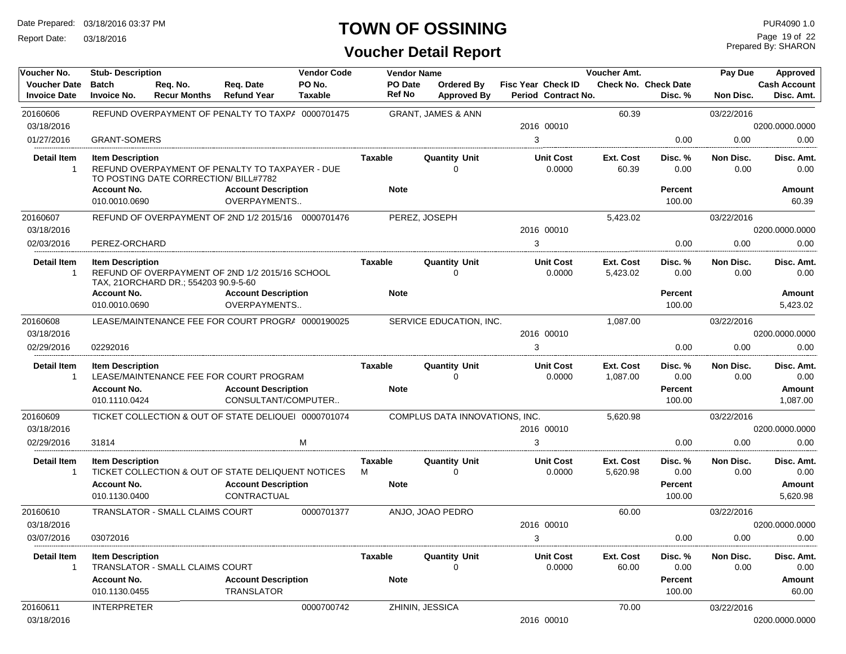Report Date: 03/18/2016

#### **TOWN OF OSSINING**

| Voucher No.                                | <b>Stub-Description</b>             |                                        |                                                      | <b>Vendor Code</b>       | <b>Vendor Name</b>              |                                         |                                                  | Voucher Amt.                 |                                        | Pay Due           | <b>Approved</b>                   |
|--------------------------------------------|-------------------------------------|----------------------------------------|------------------------------------------------------|--------------------------|---------------------------------|-----------------------------------------|--------------------------------------------------|------------------------------|----------------------------------------|-------------------|-----------------------------------|
| <b>Voucher Date</b><br><b>Invoice Date</b> | <b>Batch</b><br><b>Invoice No.</b>  | Req. No.<br><b>Recur Months</b>        | Req. Date<br><b>Refund Year</b>                      | PO No.<br><b>Taxable</b> | <b>PO</b> Date<br><b>Ref No</b> | <b>Ordered By</b><br><b>Approved By</b> | <b>Fisc Year Check ID</b><br>Period Contract No. |                              | <b>Check No. Check Date</b><br>Disc. % | Non Disc.         | <b>Cash Account</b><br>Disc. Amt. |
| 20160606                                   |                                     |                                        | REFUND OVERPAYMENT OF PENALTY TO TAXPA 0000701475    |                          |                                 | <b>GRANT, JAMES &amp; ANN</b>           |                                                  | 60.39                        |                                        | 03/22/2016        |                                   |
| 03/18/2016                                 |                                     |                                        |                                                      |                          |                                 |                                         | 2016 00010                                       |                              |                                        |                   | 0200.0000.0000                    |
| 01/27/2016                                 | <b>GRANT-SOMERS</b>                 |                                        |                                                      |                          |                                 |                                         | 3                                                |                              | 0.00                                   | 0.00              | 0.00                              |
| <b>Detail Item</b><br>-1                   | <b>Item Description</b>             | TO POSTING DATE CORRECTION/BILL#7782   | REFUND OVERPAYMENT OF PENALTY TO TAXPAYER - DUE      |                          | Taxable                         | <b>Quantity Unit</b><br>$\Omega$        | <b>Unit Cost</b><br>0.0000                       | Ext. Cost<br>60.39           | Disc. %<br>0.00                        | Non Disc.<br>0.00 | Disc. Amt.<br>0.00                |
|                                            | <b>Account No.</b><br>010.0010.0690 |                                        | <b>Account Description</b><br><b>OVERPAYMENTS</b>    |                          | <b>Note</b>                     |                                         |                                                  |                              | <b>Percent</b><br>100.00               |                   | Amount<br>60.39                   |
| 20160607                                   |                                     |                                        | REFUND OF OVERPAYMENT OF 2ND 1/2 2015/16 0000701476  |                          |                                 | PEREZ, JOSEPH                           |                                                  | 5,423.02                     |                                        | 03/22/2016        |                                   |
| 03/18/2016                                 |                                     |                                        |                                                      |                          |                                 |                                         | 2016 00010                                       |                              |                                        |                   | 0200.0000.0000                    |
| 02/03/2016                                 | PEREZ-ORCHARD                       |                                        |                                                      |                          |                                 |                                         | 3                                                |                              | 0.00                                   | 0.00              | 0.00                              |
| Detail Item<br>-1                          | <b>Item Description</b>             | TAX, 21ORCHARD DR.; 554203 90.9-5-60   | REFUND OF OVERPAYMENT OF 2ND 1/2 2015/16 SCHOOL      |                          | Taxable                         | <b>Quantity Unit</b><br>$\Omega$        | <b>Unit Cost</b><br>0.0000                       | Ext. Cost<br>5,423.02        | Disc. %<br>0.00                        | Non Disc.<br>0.00 | Disc. Amt.<br>0.00                |
|                                            | <b>Account No.</b>                  |                                        | <b>Account Description</b>                           |                          | <b>Note</b>                     |                                         |                                                  |                              | Percent                                |                   | Amount                            |
|                                            | 010.0010.0690                       |                                        | OVERPAYMENTS                                         |                          |                                 |                                         |                                                  |                              | 100.00                                 |                   | 5,423.02                          |
| 20160608                                   |                                     |                                        | LEASE/MAINTENANCE FEE FOR COURT PROGRA 0000190025    |                          |                                 | SERVICE EDUCATION, INC.                 |                                                  | 1,087.00                     |                                        | 03/22/2016        |                                   |
| 03/18/2016                                 |                                     |                                        |                                                      |                          |                                 |                                         | 2016 00010                                       |                              |                                        |                   | 0200.0000.0000                    |
| 02/29/2016                                 | 02292016                            |                                        |                                                      |                          |                                 |                                         | 3                                                |                              | 0.00                                   | 0.00              | 0.00                              |
| <b>Detail Item</b><br>1                    | <b>Item Description</b>             |                                        | LEASE/MAINTENANCE FEE FOR COURT PROGRAM              |                          | <b>Taxable</b>                  | <b>Quantity Unit</b><br>$\Omega$        | <b>Unit Cost</b><br>0.0000                       | <b>Ext. Cost</b><br>1,087.00 | Disc. %<br>0.00                        | Non Disc.<br>0.00 | Disc. Amt.<br>0.00                |
|                                            | <b>Account No.</b><br>010.1110.0424 |                                        | <b>Account Description</b><br>CONSULTANT/COMPUTER    |                          | <b>Note</b>                     |                                         |                                                  |                              | <b>Percent</b><br>100.00               |                   | Amount<br>1,087.00                |
| 20160609                                   |                                     |                                        | TICKET COLLECTION & OUT OF STATE DELIQUEI 0000701074 |                          |                                 | COMPLUS DATA INNOVATIONS, INC.          |                                                  | 5,620.98                     |                                        | 03/22/2016        |                                   |
| 03/18/2016                                 |                                     |                                        |                                                      |                          |                                 |                                         | 2016 00010                                       |                              |                                        |                   | 0200.0000.0000                    |
| 02/29/2016                                 | 31814                               |                                        |                                                      | M                        |                                 |                                         | 3                                                |                              | 0.00                                   | 0.00              | 0.00                              |
| <b>Detail Item</b><br>$\mathbf{1}$         | <b>Item Description</b>             |                                        | TICKET COLLECTION & OUT OF STATE DELIQUENT NOTICES   |                          | <b>Taxable</b><br>м             | <b>Quantity Unit</b><br>$\Omega$        | <b>Unit Cost</b><br>0.0000                       | Ext. Cost<br>5,620.98        | Disc. %<br>0.00                        | Non Disc.<br>0.00 | Disc. Amt.<br>0.00                |
|                                            | <b>Account No.</b><br>010.1130.0400 |                                        | <b>Account Description</b><br>CONTRACTUAL            |                          | <b>Note</b>                     |                                         |                                                  |                              | <b>Percent</b><br>100.00               |                   | Amount<br>5,620.98                |
| 20160610<br>03/18/2016                     |                                     | TRANSLATOR - SMALL CLAIMS COURT        |                                                      | 0000701377               |                                 | ANJO, JOAO PEDRO                        | 2016 00010                                       | 60.00                        |                                        | 03/22/2016        | 0200.0000.0000                    |
| 03/07/2016                                 | 03072016                            |                                        |                                                      |                          |                                 |                                         | 3                                                |                              | 0.00                                   | 0.00              | 0.00                              |
|                                            |                                     |                                        |                                                      |                          |                                 |                                         |                                                  |                              |                                        |                   |                                   |
| Detail Item<br>$\mathbf 1$                 | <b>Item Description</b>             | <b>TRANSLATOR - SMALL CLAIMS COURT</b> |                                                      |                          | Taxable                         | <b>Quantity Unit</b>                    | <b>Unit Cost</b><br>0.0000                       | Ext. Cost<br>60.00           | Disc. %<br>0.00                        | Non Disc.<br>0.00 | Disc. Amt.<br>0.00                |
|                                            | <b>Account No.</b><br>010.1130.0455 |                                        | <b>Account Description</b><br>TRANSLATOR             |                          | <b>Note</b>                     |                                         |                                                  |                              | Percent<br>100.00                      |                   | Amount<br>60.00                   |
| 20160611<br>03/18/2016                     | <b>INTERPRETER</b>                  |                                        |                                                      | 0000700742               |                                 | ZHININ, JESSICA                         | 2016 00010                                       | 70.00                        |                                        | 03/22/2016        | 0200.0000.0000                    |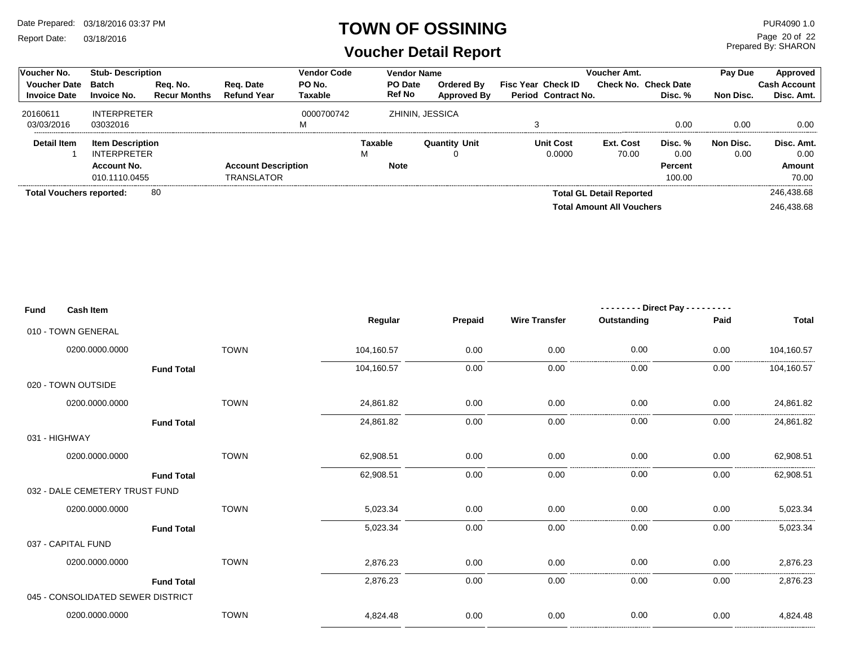Report Date: 03/18/2016

#### **TOWN OF OSSINING**

Prepared By: SHARON Page 20 of 22

| <b>Voucher No.</b>              | <b>Stub-Description</b> |                     | Vendor Code                | <b>Vendor Name</b> |               |                      | <b>Voucher Amt.</b>        |                                  | Pay Due                     | Approved  |                     |
|---------------------------------|-------------------------|---------------------|----------------------------|--------------------|---------------|----------------------|----------------------------|----------------------------------|-----------------------------|-----------|---------------------|
| <b>Voucher Date</b>             | Batch                   | Req. No.            | Reg. Date                  | PO No.             | PO Date       | <b>Ordered By</b>    | <b>Fisc Year Check ID</b>  |                                  | <b>Check No. Check Date</b> |           | <b>Cash Account</b> |
| <b>Invoice Date</b>             | <b>Invoice No.</b>      | <b>Recur Months</b> | <b>Refund Year</b>         | Taxable            | <b>Ref No</b> | <b>Approved By</b>   | <b>Period Contract No.</b> |                                  | Disc. %                     | Non Disc. | Disc. Amt.          |
| 20160611                        | <b>INTERPRETER</b>      |                     |                            | 0000700742         |               | ZHININ, JESSICA      |                            |                                  |                             |           |                     |
| 03/03/2016                      | 03032016                |                     |                            | ΙV                 |               |                      |                            |                                  | 0.00                        | 0.00      | 0.00                |
| Detail Item                     | <b>Item Description</b> |                     |                            |                    | Taxable       | <b>Quantity Unit</b> | <b>Unit Cost</b>           | Ext. Cost                        | Disc. %                     | Non Disc. | Disc. Amt.          |
|                                 | <b>INTERPRETER</b>      |                     |                            |                    | M             |                      | 0.0000                     | 70.00                            | 0.00                        | 0.00      | 0.00                |
|                                 | Account No.             |                     | <b>Account Description</b> |                    | <b>Note</b>   |                      |                            |                                  | <b>Percent</b>              |           | Amount              |
|                                 | 010.1110.0455           |                     | <b>TRANSLATOR</b>          |                    |               |                      |                            |                                  | 100.00                      |           | 70.00               |
| <b>Total Vouchers reported:</b> |                         | -80                 |                            |                    |               |                      |                            | <b>Total GL Detail Reported</b>  |                             |           | 246.438.68          |
|                                 |                         |                     |                            |                    |               |                      |                            | <b>Total Amount All Vouchers</b> |                             |           | 246.438.68          |

| Fund | <b>Cash Item</b>                  |             |            |         |                      | - - - - - - - - Direct Pay - - | ----- |                |
|------|-----------------------------------|-------------|------------|---------|----------------------|--------------------------------|-------|----------------|
|      |                                   |             | Regular    | Prepaid | <b>Wire Transfer</b> | Outstanding                    | Paid  | <b>Total</b>   |
|      | 010 - TOWN GENERAL                |             |            |         |                      |                                |       |                |
|      | 0200.0000.0000                    | <b>TOWN</b> | 104,160.57 | 0.00    | 0.00                 | 0.00                           | 0.00  | 104,160.57     |
|      | <b>Fund Total</b>                 |             | 104,160.57 | 0.00    | 0.00                 | 0.00                           | 0.00  | 104,160.57     |
|      | 020 - TOWN OUTSIDE                |             |            |         |                      |                                |       |                |
|      | 0200.0000.0000                    | <b>TOWN</b> | 24,861.82  | 0.00    | 0.00                 | 0.00                           | 0.00  | 24,861.82      |
|      | <b>Fund Total</b>                 |             | 24,861.82  | 0.00    | 0.00                 | 0.00                           | 0.00  | 24,861.82      |
|      | 031 - HIGHWAY                     |             |            |         |                      |                                |       |                |
|      | 0200.0000.0000                    | <b>TOWN</b> | 62,908.51  | 0.00    | 0.00                 | 0.00                           | 0.00  | 62,908.51      |
|      | <b>Fund Total</b>                 |             | 62,908.51  | 0.00    | 0.00                 | 0.00                           | 0.00  | .<br>62,908.51 |
|      | 032 - DALE CEMETERY TRUST FUND    |             |            |         |                      |                                |       |                |
|      | 0200.0000.0000                    | <b>TOWN</b> | 5,023.34   | 0.00    | 0.00                 | 0.00                           | 0.00  | 5,023.34       |
|      | <b>Fund Total</b>                 |             | 5,023.34   | 0.00    | 0.00                 | 0.00                           | 0.00  | 5,023.34       |
|      | 037 - CAPITAL FUND                |             |            |         |                      |                                |       |                |
|      | 0200.0000.0000                    | <b>TOWN</b> | 2,876.23   | 0.00    | 0.00                 | 0.00                           | 0.00  | 2,876.23       |
|      | <b>Fund Total</b>                 |             | 2,876.23   | 0.00    | 0.00                 | 0.00                           | 0.00  | 2,876.23       |
|      | 045 - CONSOLIDATED SEWER DISTRICT |             |            |         |                      |                                |       |                |
|      | 0200.0000.0000                    | <b>TOWN</b> | 4,824.48   | 0.00    | 0.00                 | 0.00                           | 0.00  | 4,824.48       |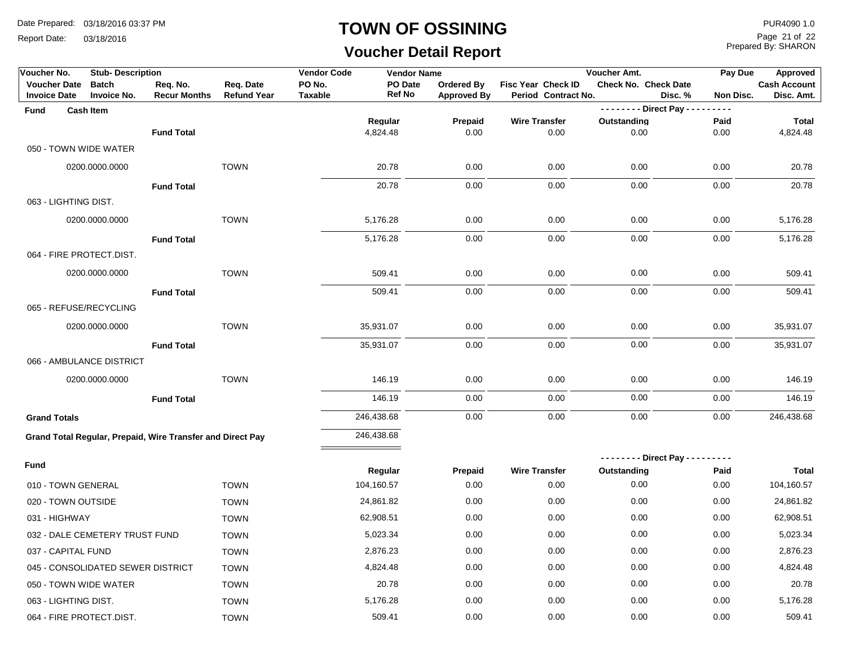Report Date: 03/18/2016

#### **TOWN OF OSSINING**

# **Voucher Detail Report**

Prepared By: SHARON Page 21 of 22

| Voucher No.                                | <b>Stub-Description</b>                                    |                                 |                                 | <b>Vendor Code</b>       | <b>Vendor Name</b>       |                                         |                                                  | Voucher Amt.                | Pay Due             | Approved                          |
|--------------------------------------------|------------------------------------------------------------|---------------------------------|---------------------------------|--------------------------|--------------------------|-----------------------------------------|--------------------------------------------------|-----------------------------|---------------------|-----------------------------------|
| <b>Voucher Date</b><br><b>Invoice Date</b> | <b>Batch</b><br>Invoice No.                                | Req. No.<br><b>Recur Months</b> | Req. Date<br><b>Refund Year</b> | PO No.<br><b>Taxable</b> | PO Date<br><b>Ref No</b> | <b>Ordered By</b><br><b>Approved By</b> | <b>Fisc Year Check ID</b><br>Period Contract No. | <b>Check No. Check Date</b> | Disc.%<br>Non Disc. | <b>Cash Account</b><br>Disc. Amt. |
| Fund                                       | <b>Cash Item</b>                                           |                                 |                                 |                          |                          |                                         |                                                  | -------- Direct Pay ---     | $- - - -$           |                                   |
|                                            |                                                            |                                 |                                 |                          | Regular                  | Prepaid                                 | <b>Wire Transfer</b>                             | Outstanding                 | Paid                | <b>Total</b>                      |
|                                            |                                                            | <b>Fund Total</b>               |                                 |                          | 4,824.48                 | 0.00                                    | 0.00                                             | 0.00                        | 0.00                | 4,824.48                          |
| 050 - TOWN WIDE WATER                      |                                                            |                                 |                                 |                          |                          |                                         |                                                  |                             |                     |                                   |
|                                            | 0200.0000.0000                                             |                                 | <b>TOWN</b>                     |                          | 20.78                    | 0.00                                    | 0.00                                             | 0.00                        | 0.00                | 20.78                             |
|                                            |                                                            | <b>Fund Total</b>               |                                 |                          | 20.78                    | 0.00                                    | 0.00                                             | 0.00                        | 0.00                | 20.78                             |
| 063 - LIGHTING DIST.                       |                                                            |                                 |                                 |                          |                          |                                         |                                                  |                             |                     |                                   |
|                                            | 0200.0000.0000                                             |                                 | <b>TOWN</b>                     |                          | 5,176.28                 | 0.00                                    | 0.00                                             | 0.00                        | 0.00                | 5,176.28                          |
|                                            |                                                            | <b>Fund Total</b>               |                                 |                          | 5,176.28                 | 0.00                                    | 0.00                                             | 0.00                        | 0.00                | 5,176.28                          |
| 064 - FIRE PROTECT.DIST.                   |                                                            |                                 |                                 |                          |                          |                                         |                                                  |                             |                     |                                   |
|                                            | 0200.0000.0000                                             |                                 | <b>TOWN</b>                     |                          | 509.41                   | 0.00                                    | 0.00                                             | 0.00                        | 0.00                | 509.41                            |
|                                            |                                                            | <b>Fund Total</b>               |                                 |                          | 509.41                   | 0.00                                    | 0.00                                             | 0.00                        | 0.00                | 509.41                            |
| 065 - REFUSE/RECYCLING                     |                                                            |                                 |                                 |                          |                          |                                         |                                                  |                             |                     |                                   |
|                                            | 0200.0000.0000                                             |                                 | <b>TOWN</b>                     |                          | 35,931.07                | 0.00                                    | 0.00                                             | 0.00                        | 0.00                | 35,931.07                         |
|                                            |                                                            | <b>Fund Total</b>               |                                 |                          | 35,931.07                | 0.00                                    | 0.00                                             | 0.00                        | 0.00                | 35,931.07                         |
|                                            | 066 - AMBULANCE DISTRICT                                   |                                 |                                 |                          |                          |                                         |                                                  |                             |                     |                                   |
|                                            | 0200.0000.0000                                             |                                 | <b>TOWN</b>                     |                          | 146.19                   | 0.00                                    | 0.00                                             | 0.00                        | 0.00                | 146.19                            |
|                                            |                                                            | <b>Fund Total</b>               |                                 |                          | 146.19                   | 0.00                                    | 0.00                                             | 0.00                        | 0.00                | 146.19                            |
| <b>Grand Totals</b>                        |                                                            |                                 |                                 |                          | 246,438.68               | 0.00                                    | 0.00                                             | 0.00                        | 0.00                | 246,438.68                        |
|                                            |                                                            |                                 |                                 |                          |                          |                                         |                                                  |                             |                     |                                   |
|                                            | Grand Total Regular, Prepaid, Wire Transfer and Direct Pay |                                 |                                 |                          | 246,438.68               |                                         |                                                  |                             |                     |                                   |
| <b>Fund</b>                                |                                                            |                                 |                                 |                          |                          |                                         |                                                  | $--- - -$ Direct Pay - - -  | .                   |                                   |
|                                            |                                                            |                                 |                                 |                          | Regular                  | Prepaid                                 | <b>Wire Transfer</b>                             | Outstanding                 | Paid                | <b>Total</b>                      |
| 010 - TOWN GENERAL                         |                                                            |                                 | <b>TOWN</b>                     |                          | 104,160.57               | 0.00                                    | 0.00                                             | 0.00                        | 0.00                | 104,160.57                        |
| 020 - TOWN OUTSIDE                         |                                                            |                                 | <b>TOWN</b>                     |                          | 24,861.82                | 0.00                                    | 0.00                                             | 0.00                        | 0.00                | 24,861.82                         |
| 031 - HIGHWAY                              |                                                            |                                 | <b>TOWN</b>                     |                          | 62,908.51                | 0.00                                    | 0.00                                             | 0.00                        | 0.00                | 62,908.51                         |
|                                            | 032 - DALE CEMETERY TRUST FUND                             |                                 | <b>TOWN</b>                     |                          | 5,023.34                 | 0.00                                    | 0.00                                             | 0.00                        | 0.00                | 5,023.34                          |
| 037 - CAPITAL FUND                         |                                                            |                                 | <b>TOWN</b>                     |                          | 2,876.23                 | 0.00                                    | 0.00                                             | 0.00                        | 0.00                | 2,876.23                          |
|                                            | 045 - CONSOLIDATED SEWER DISTRICT                          |                                 | <b>TOWN</b>                     |                          | 4,824.48                 | 0.00                                    | 0.00                                             | 0.00                        | 0.00                | 4,824.48                          |
| 050 - TOWN WIDE WATER                      |                                                            |                                 | <b>TOWN</b>                     |                          | 20.78                    | 0.00                                    | 0.00                                             | 0.00                        | 0.00                | 20.78                             |
| 063 - LIGHTING DIST.                       |                                                            |                                 | <b>TOWN</b>                     |                          | 5,176.28                 | 0.00                                    | 0.00                                             | 0.00                        | 0.00                | 5,176.28                          |
| 064 - FIRE PROTECT.DIST.                   |                                                            |                                 | <b>TOWN</b>                     |                          | 509.41                   | 0.00                                    | 0.00                                             | 0.00                        | 0.00                | 509.41                            |